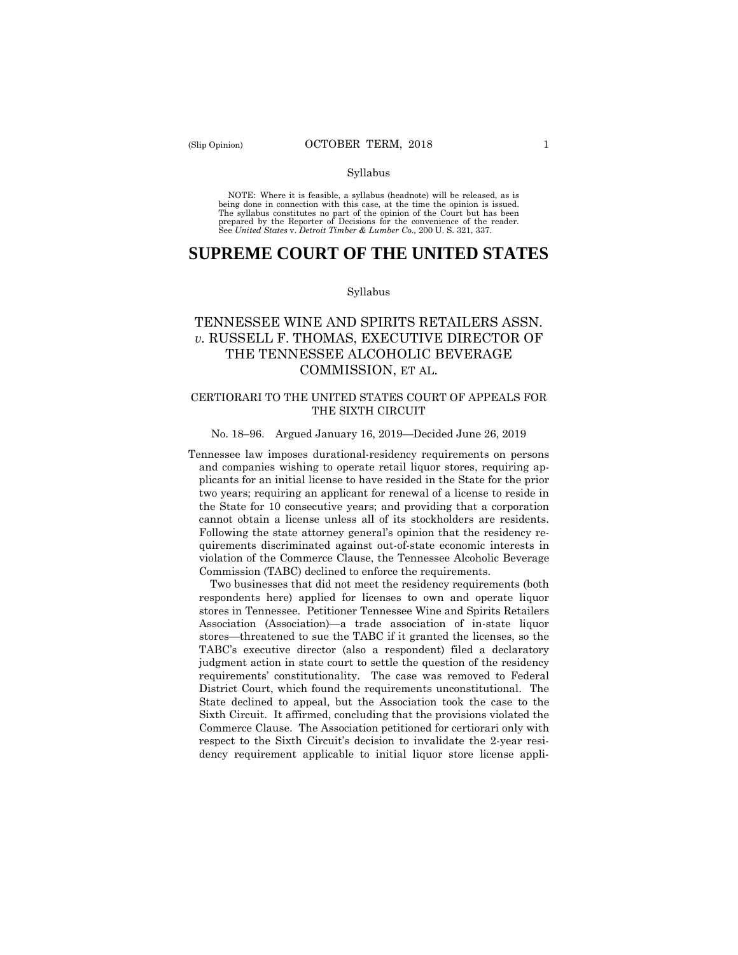#### Syllabus

 NOTE: Where it is feasible, a syllabus (headnote) will be released, as is being done in connection with this case, at the time the opinion is issued. The syllabus constitutes no part of the opinion of the Court but has been<br>prepared by the Reporter of Decisions for the convenience of the reader.<br>See United States v. Detroit Timber & Lumber Co., 200 U.S. 321, 337.

# **SUPREME COURT OF THE UNITED STATES**

## Syllabus

# TENNESSEE WINE AND SPIRITS RETAILERS ASSN. *v.* RUSSELL F. THOMAS, EXECUTIVE DIRECTOR OF THE TENNESSEE ALCOHOLIC BEVERAGE COMMISSION, ET AL.

## CERTIORARI TO THE UNITED STATES COURT OF APPEALS FOR THE SIXTH CIRCUIT

### No. 18–96. Argued January 16, 2019—Decided June 26, 2019

cannot obtain a license unless all of its stockholders are residents. Tennessee law imposes durational-residency requirements on persons and companies wishing to operate retail liquor stores, requiring applicants for an initial license to have resided in the State for the prior two years; requiring an applicant for renewal of a license to reside in the State for 10 consecutive years; and providing that a corporation Following the state attorney general's opinion that the residency requirements discriminated against out-of-state economic interests in violation of the Commerce Clause, the Tennessee Alcoholic Beverage Commission (TABC) declined to enforce the requirements.

 requirements' constitutionality. The case was removed to Federal Two businesses that did not meet the residency requirements (both respondents here) applied for licenses to own and operate liquor stores in Tennessee. Petitioner Tennessee Wine and Spirits Retailers Association (Association)—a trade association of in-state liquor stores—threatened to sue the TABC if it granted the licenses, so the TABC's executive director (also a respondent) filed a declaratory judgment action in state court to settle the question of the residency District Court, which found the requirements unconstitutional. The State declined to appeal, but the Association took the case to the Sixth Circuit. It affirmed, concluding that the provisions violated the Commerce Clause. The Association petitioned for certiorari only with respect to the Sixth Circuit's decision to invalidate the 2-year residency requirement applicable to initial liquor store license appli-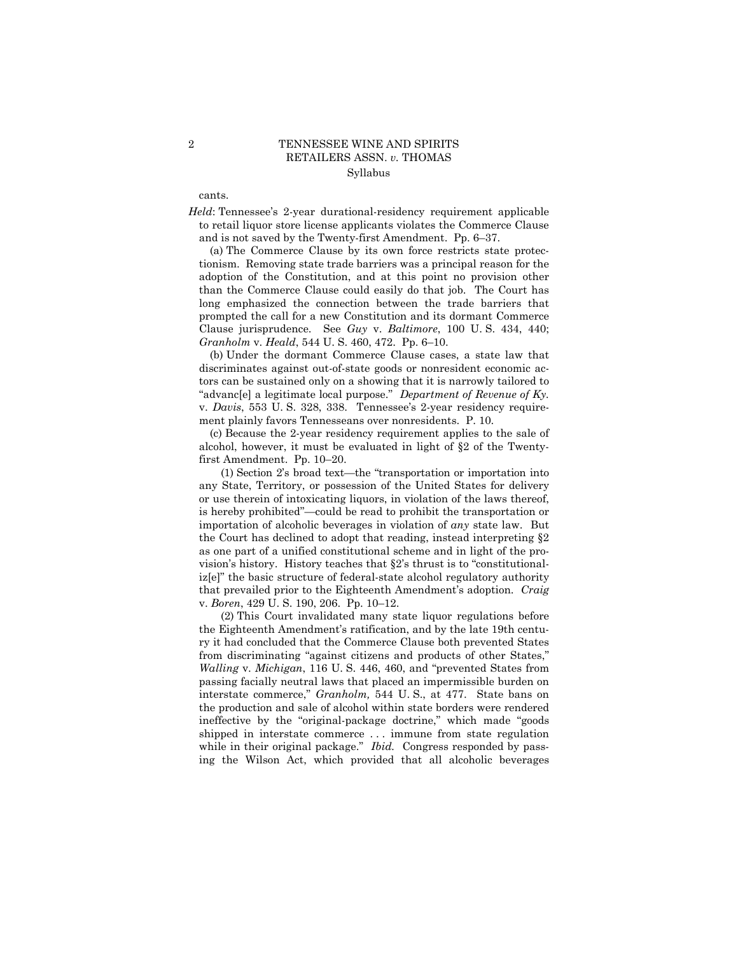# 2 TENNESSEE WINE AND SPIRITS RETAILERS ASSN. *v.* THOMAS Syllabus

cants.

*Held*: Tennessee's 2-year durational-residency requirement applicable to retail liquor store license applicants violates the Commerce Clause and is not saved by the Twenty-first Amendment. Pp. 6–37.

(a) The Commerce Clause by its own force restricts state protectionism. Removing state trade barriers was a principal reason for the adoption of the Constitution, and at this point no provision other than the Commerce Clause could easily do that job. The Court has long emphasized the connection between the trade barriers that prompted the call for a new Constitution and its dormant Commerce Clause jurisprudence. See *Guy* v. *Baltimore*, 100 U. S. 434, 440; *Granholm* v. *Heald*, 544 U. S. 460, 472. Pp. 6–10.

 (b) Under the dormant Commerce Clause cases, a state law that discriminates against out-of-state goods or nonresident economic actors can be sustained only on a showing that it is narrowly tailored to "advanc[e] a legitimate local purpose." *Department of Revenue of Ky.*  v. *Davis*, 553 U. S. 328, 338. Tennessee's 2-year residency requirement plainly favors Tennesseans over nonresidents. P. 10. (c) Because the 2-year residency requirement applies to the sale of

alcohol, however, it must be evaluated in light of §2 of the Twentyfirst Amendment. Pp. 10–20.

(1) Section 2's broad text—the "transportation or importation into any State, Territory, or possession of the United States for delivery or use therein of intoxicating liquors, in violation of the laws thereof, is hereby prohibited"—could be read to prohibit the transportation or importation of alcoholic beverages in violation of *any* state law. But the Court has declined to adopt that reading, instead interpreting §2 as one part of a unified constitutional scheme and in light of the provision's history. History teaches that §2's thrust is to "constitutionaliz[e]" the basic structure of federal-state alcohol regulatory authority that prevailed prior to the Eighteenth Amendment's adoption. *Craig*  v. *Boren*, 429 U. S. 190, 206. Pp. 10–12.

(2) This Court invalidated many state liquor regulations before the Eighteenth Amendment's ratification, and by the late 19th century it had concluded that the Commerce Clause both prevented States from discriminating "against citizens and products of other States," *Walling* v. *Michigan*, 116 U. S. 446, 460, and "prevented States from passing facially neutral laws that placed an impermissible burden on interstate commerce," *Granholm,* 544 U. S., at 477. State bans on the production and sale of alcohol within state borders were rendered ineffective by the "original-package doctrine," which made "goods shipped in interstate commerce . . . immune from state regulation while in their original package." *Ibid.* Congress responded by passing the Wilson Act, which provided that all alcoholic beverages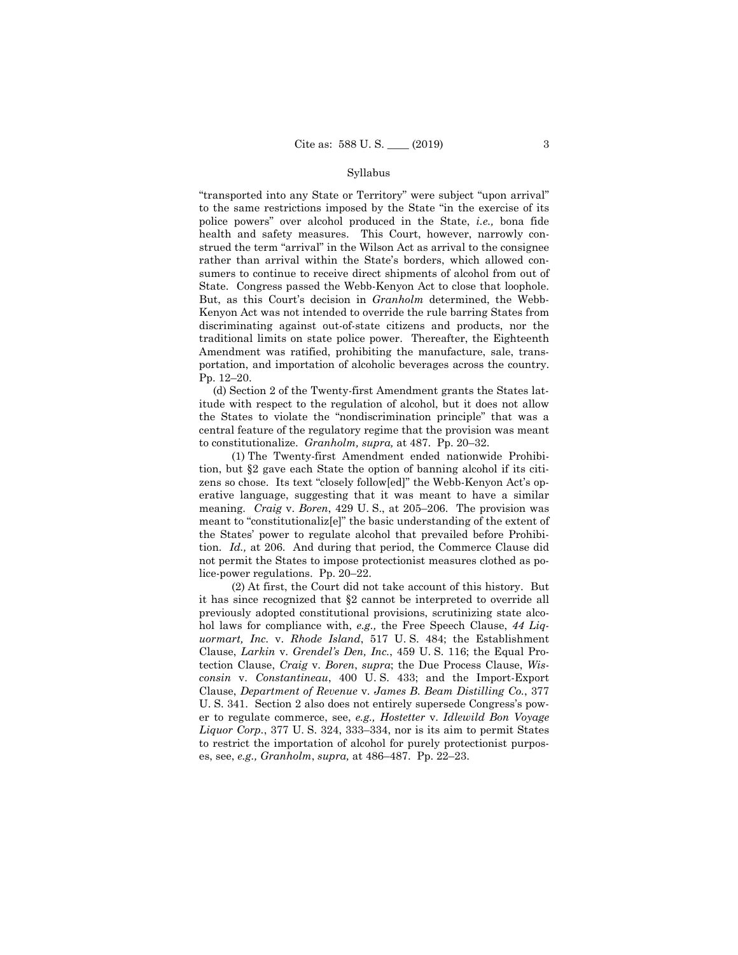### Syllabus

 portation, and importation of alcoholic beverages across the country. Pp. 12–20. "transported into any State or Territory" were subject "upon arrival" to the same restrictions imposed by the State "in the exercise of its police powers" over alcohol produced in the State, *i.e.,* bona fide health and safety measures. This Court, however, narrowly construed the term "arrival" in the Wilson Act as arrival to the consignee rather than arrival within the State's borders, which allowed consumers to continue to receive direct shipments of alcohol from out of State. Congress passed the Webb-Kenyon Act to close that loophole. But, as this Court's decision in *Granholm* determined, the Webb-Kenyon Act was not intended to override the rule barring States from discriminating against out-of-state citizens and products, nor the traditional limits on state police power. Thereafter, the Eighteenth Amendment was ratified, prohibiting the manufacture, sale, trans-

(d) Section 2 of the Twenty-first Amendment grants the States latitude with respect to the regulation of alcohol, but it does not allow the States to violate the "nondiscrimination principle" that was a central feature of the regulatory regime that the provision was meant to constitutionalize. *Granholm, supra,* at 487. Pp. 20–32.

 meaning. *Craig* v. *Boren*, 429 U. S., at 205–206. The provision was (1) The Twenty-first Amendment ended nationwide Prohibition, but §2 gave each State the option of banning alcohol if its citizens so chose. Its text "closely follow[ed]" the Webb-Kenyon Act's operative language, suggesting that it was meant to have a similar meant to "constitutionaliz[e]" the basic understanding of the extent of the States' power to regulate alcohol that prevailed before Prohibition. *Id.,* at 206. And during that period, the Commerce Clause did not permit the States to impose protectionist measures clothed as police-power regulations. Pp. 20–22.

(2) At first, the Court did not take account of this history. But it has since recognized that §2 cannot be interpreted to override all previously adopted constitutional provisions, scrutinizing state alcohol laws for compliance with, *e.g.,* the Free Speech Clause, *44 Liquormart, Inc.* v. *Rhode Island*, 517 U. S. 484; the Establishment Clause, *Larkin* v. *Grendel's Den, Inc.*, 459 U. S. 116; the Equal Protection Clause, *Craig* v. *Boren*, *supra*; the Due Process Clause, *Wisconsin* v. *Constantineau*, 400 U. S. 433; and the Import-Export Clause, *Department of Revenue* v. *James B. Beam Distilling Co.*, 377 U. S. 341. Section 2 also does not entirely supersede Congress's power to regulate commerce, see, *e.g., Hostetter* v. *Idlewild Bon Voyage Liquor Corp.*, 377 U. S. 324, 333–334, nor is its aim to permit States to restrict the importation of alcohol for purely protectionist purposes, see, *e.g., Granholm*, *supra,* at 486–487. Pp. 22–23.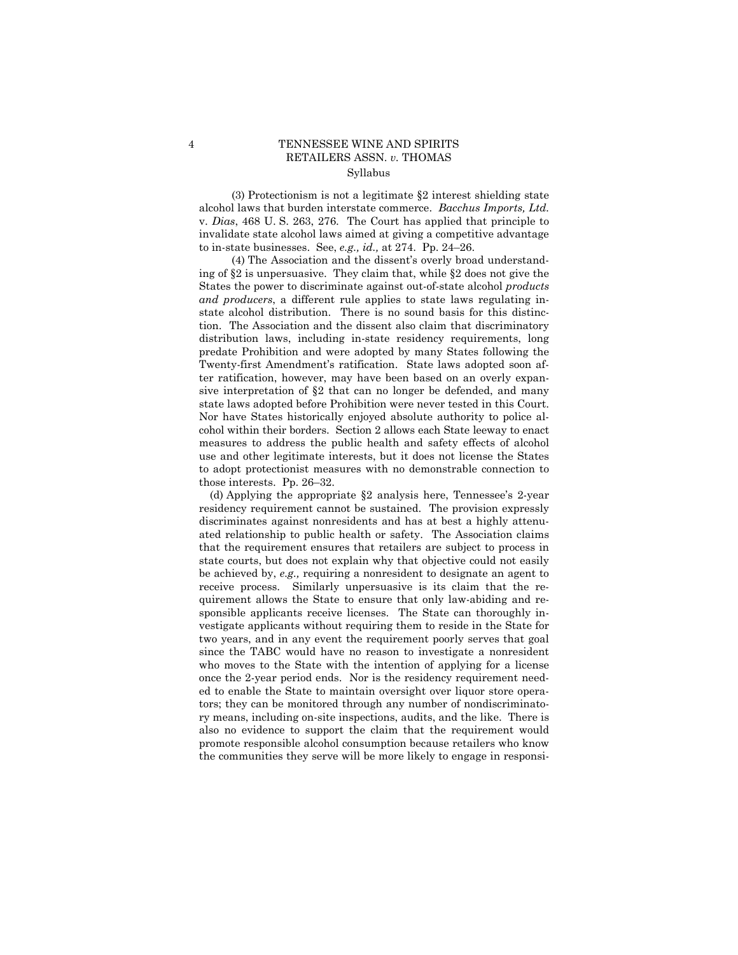# 4 TENNESSEE WINE AND SPIRITS RETAILERS ASSN. *v.* THOMAS Syllabus

(3) Protectionism is not a legitimate §2 interest shielding state alcohol laws that burden interstate commerce. *Bacchus Imports, Ltd.*  v. *Dias*, 468 U. S. 263, 276. The Court has applied that principle to invalidate state alcohol laws aimed at giving a competitive advantage to in-state businesses. See, *e.g., id.,* at 274. Pp. 24–26.

 state laws adopted before Prohibition were never tested in this Court. (4) The Association and the dissent's overly broad understanding of §2 is unpersuasive. They claim that, while §2 does not give the States the power to discriminate against out-of-state alcohol *products and producers*, a different rule applies to state laws regulating instate alcohol distribution. There is no sound basis for this distinction. The Association and the dissent also claim that discriminatory distribution laws, including in-state residency requirements, long predate Prohibition and were adopted by many States following the Twenty-first Amendment's ratification. State laws adopted soon after ratification, however, may have been based on an overly expansive interpretation of §2 that can no longer be defended, and many Nor have States historically enjoyed absolute authority to police alcohol within their borders. Section 2 allows each State leeway to enact measures to address the public health and safety effects of alcohol use and other legitimate interests, but it does not license the States to adopt protectionist measures with no demonstrable connection to those interests. Pp. 26–32.

(d) Applying the appropriate §2 analysis here, Tennessee's 2-year residency requirement cannot be sustained. The provision expressly discriminates against nonresidents and has at best a highly attenuated relationship to public health or safety. The Association claims that the requirement ensures that retailers are subject to process in state courts, but does not explain why that objective could not easily be achieved by, *e.g.,* requiring a nonresident to designate an agent to receive process. Similarly unpersuasive is its claim that the requirement allows the State to ensure that only law-abiding and responsible applicants receive licenses. The State can thoroughly investigate applicants without requiring them to reside in the State for two years, and in any event the requirement poorly serves that goal since the TABC would have no reason to investigate a nonresident who moves to the State with the intention of applying for a license once the 2-year period ends. Nor is the residency requirement needed to enable the State to maintain oversight over liquor store operators; they can be monitored through any number of nondiscriminatory means, including on-site inspections, audits, and the like. There is also no evidence to support the claim that the requirement would promote responsible alcohol consumption because retailers who know the communities they serve will be more likely to engage in responsi-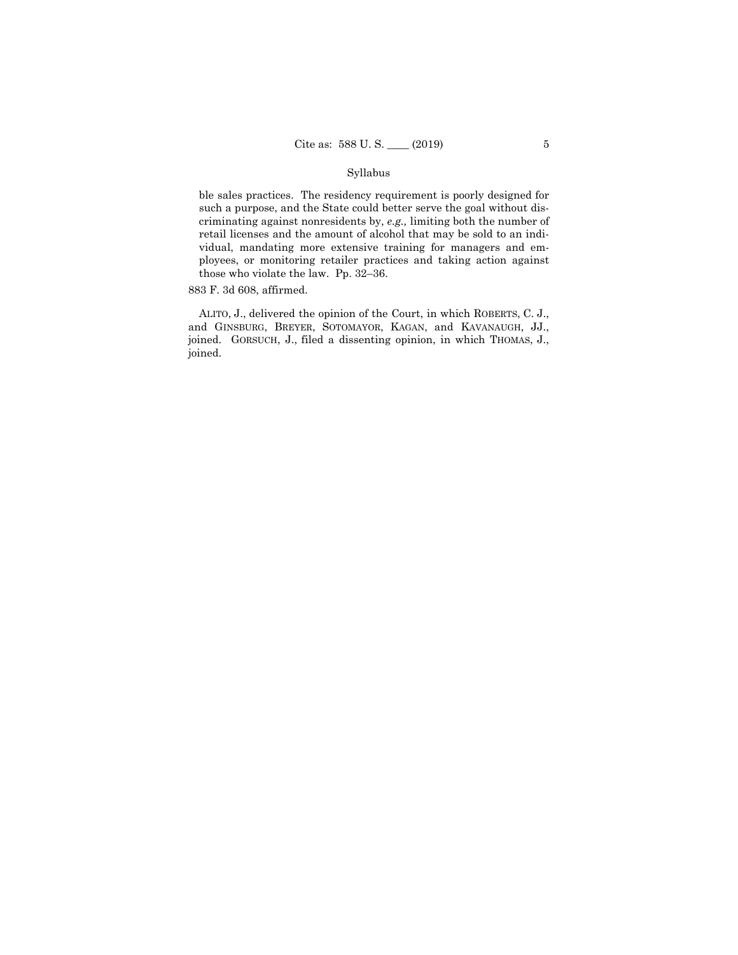## Syllabus

ble sales practices. The residency requirement is poorly designed for such a purpose, and the State could better serve the goal without discriminating against nonresidents by, *e.g.,* limiting both the number of retail licenses and the amount of alcohol that may be sold to an individual, mandating more extensive training for managers and employees, or monitoring retailer practices and taking action against those who violate the law. Pp. 32–36.

883 F. 3d 608, affirmed.

 ALITO, J., delivered the opinion of the Court, in which ROBERTS, C. J., and GINSBURG, BREYER, SOTOMAYOR, KAGAN, and KAVANAUGH, JJ., joined. GORSUCH, J., filed a dissenting opinion, in which THOMAS, J., joined.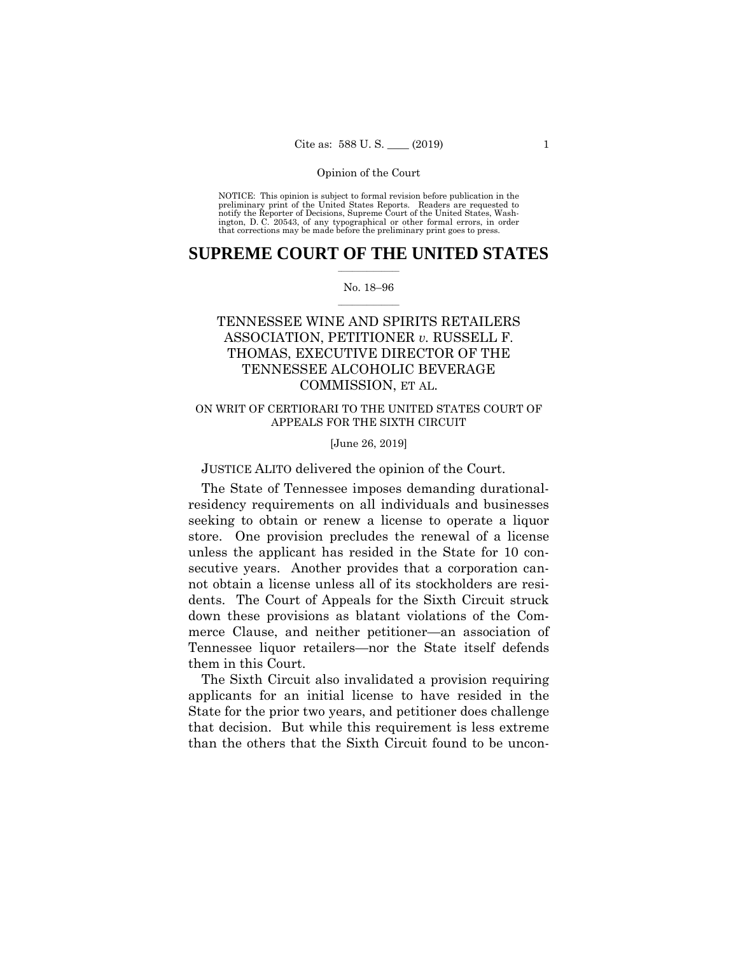preliminary print of the United States Reports. Readers are requested to notify the Reporter of Decisions, Supreme Court of the United States, Wash- ington, D. C. 20543, of any typographical or other formal errors, in order that corrections may be made before the preliminary print goes to press. NOTICE: This opinion is subject to formal revision before publication in the

# $\frac{1}{2}$  , where  $\frac{1}{2}$ **SUPREME COURT OF THE UNITED STATES**

## $\frac{1}{2}$  ,  $\frac{1}{2}$  ,  $\frac{1}{2}$  ,  $\frac{1}{2}$  ,  $\frac{1}{2}$  ,  $\frac{1}{2}$ No. 18–96

# TENNESSEE WINE AND SPIRITS RETAILERS ASSOCIATION, PETITIONER *v.* RUSSELL F. THOMAS, EXECUTIVE DIRECTOR OF THE TENNESSEE ALCOHOLIC BEVERAGE COMMISSION, ET AL.

## ON WRIT OF CERTIORARI TO THE UNITED STATES COURT OF APPEALS FOR THE SIXTH CIRCUIT

## [June 26, 2019]

## JUSTICE ALITO delivered the opinion of the Court.

The State of Tennessee imposes demanding durationalresidency requirements on all individuals and businesses seeking to obtain or renew a license to operate a liquor store. One provision precludes the renewal of a license unless the applicant has resided in the State for 10 consecutive years. Another provides that a corporation cannot obtain a license unless all of its stockholders are residents. The Court of Appeals for the Sixth Circuit struck down these provisions as blatant violations of the Commerce Clause, and neither petitioner—an association of Tennessee liquor retailers—nor the State itself defends them in this Court.

The Sixth Circuit also invalidated a provision requiring applicants for an initial license to have resided in the State for the prior two years, and petitioner does challenge that decision. But while this requirement is less extreme than the others that the Sixth Circuit found to be uncon-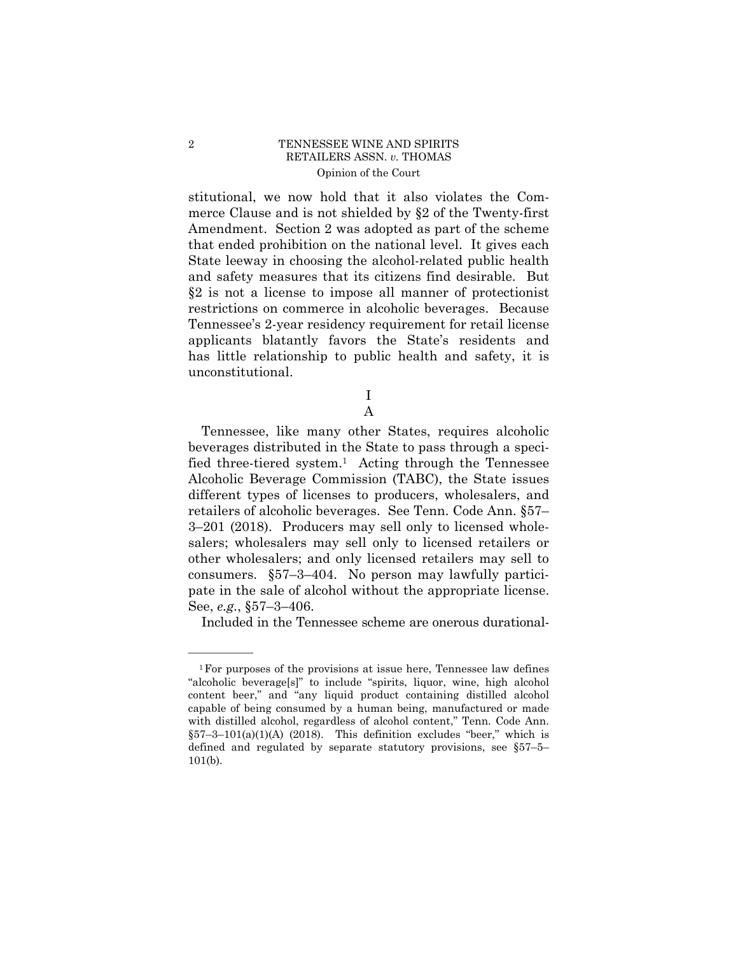stitutional, we now hold that it also violates the Commerce Clause and is not shielded by §2 of the Twenty-first Amendment. Section 2 was adopted as part of the scheme that ended prohibition on the national level. It gives each State leeway in choosing the alcohol-related public health and safety measures that its citizens find desirable. But §2 is not a license to impose all manner of protectionist restrictions on commerce in alcoholic beverages. Because Tennessee's 2-year residency requirement for retail license applicants blatantly favors the State's residents and has little relationship to public health and safety, it is unconstitutional.

> I A

Tennessee, like many other States, requires alcoholic beverages distributed in the State to pass through a specified three-tiered system.<sup>1</sup> Acting through the Tennessee Alcoholic Beverage Commission (TABC), the State issues different types of licenses to producers, wholesalers, and retailers of alcoholic beverages. See Tenn. Code Ann. §57– 3–201 (2018). Producers may sell only to licensed wholesalers; wholesalers may sell only to licensed retailers or other wholesalers; and only licensed retailers may sell to consumers. §57–3–404. No person may lawfully participate in the sale of alcohol without the appropriate license. See, *e.g.*, §57–3–406.

Included in the Tennessee scheme are onerous durational-

<sup>1</sup>For purposes of the provisions at issue here, Tennessee law defines "alcoholic beverage[s]" to include "spirits, liquor, wine, high alcohol content beer," and "any liquid product containing distilled alcohol capable of being consumed by a human being, manufactured or made with distilled alcohol, regardless of alcohol content," Tenn. Code Ann.  $§57-3-101(a)(1)(A)$  (2018). This definition excludes "beer," which is defined and regulated by separate statutory provisions, see §57–5– 101(b).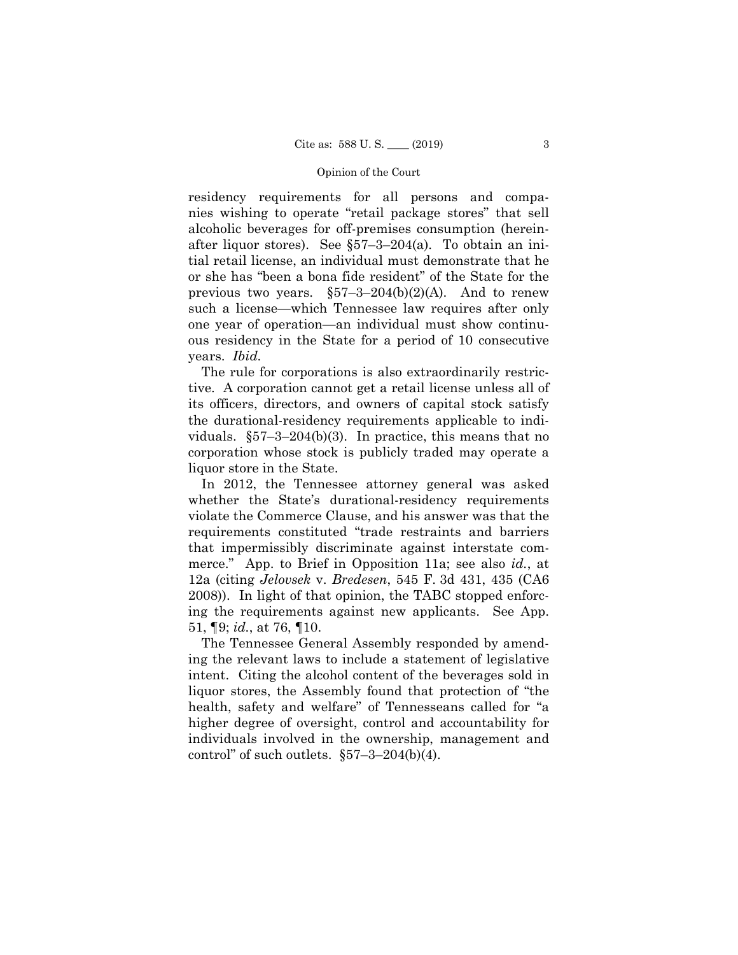residency requirements for all persons and companies wishing to operate "retail package stores" that sell alcoholic beverages for off-premises consumption (hereinafter liquor stores). See §57–3–204(a). To obtain an initial retail license, an individual must demonstrate that he or she has "been a bona fide resident" of the State for the previous two years.  $\S57-3-204(b)(2)(A)$ . And to renew such a license—which Tennessee law requires after only one year of operation—an individual must show continuous residency in the State for a period of 10 consecutive years. *Ibid.* 

The rule for corporations is also extraordinarily restrictive. A corporation cannot get a retail license unless all of its officers, directors, and owners of capital stock satisfy the durational-residency requirements applicable to individuals.  $$57-3-204(b)(3)$ . In practice, this means that no corporation whose stock is publicly traded may operate a liquor store in the State.

In 2012, the Tennessee attorney general was asked whether the State's durational-residency requirements violate the Commerce Clause, and his answer was that the requirements constituted "trade restraints and barriers that impermissibly discriminate against interstate commerce." App. to Brief in Opposition 11a; see also *id.*, at 12a (citing *Jelovsek* v. *Bredesen*, 545 F. 3d 431, 435 (CA6 2008)). In light of that opinion, the TABC stopped enforcing the requirements against new applicants. See App. 51, ¶9; *id.*, at 76, ¶10.

The Tennessee General Assembly responded by amending the relevant laws to include a statement of legislative intent. Citing the alcohol content of the beverages sold in liquor stores, the Assembly found that protection of "the health, safety and welfare" of Tennesseans called for "a higher degree of oversight, control and accountability for individuals involved in the ownership, management and control" of such outlets.  $\S 57 - 3 - 204(b)(4)$ .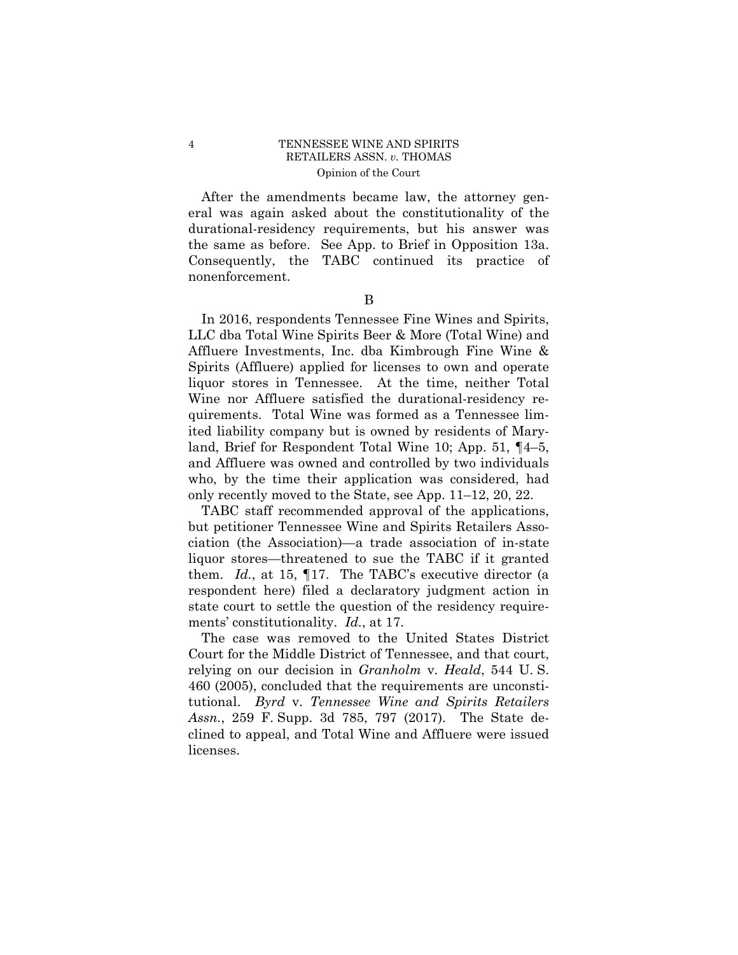After the amendments became law, the attorney general was again asked about the constitutionality of the durational-residency requirements, but his answer was the same as before. See App. to Brief in Opposition 13a. Consequently, the TABC continued its practice of nonenforcement.

B

In 2016, respondents Tennessee Fine Wines and Spirits, LLC dba Total Wine Spirits Beer & More (Total Wine) and Affluere Investments, Inc. dba Kimbrough Fine Wine & Spirits (Affluere) applied for licenses to own and operate liquor stores in Tennessee. At the time, neither Total Wine nor Affluere satisfied the durational-residency requirements. Total Wine was formed as a Tennessee limited liability company but is owned by residents of Maryland, Brief for Respondent Total Wine 10; App. 51, ¶4–5, and Affluere was owned and controlled by two individuals who, by the time their application was considered, had only recently moved to the State, see App. 11–12, 20, 22.

TABC staff recommended approval of the applications, but petitioner Tennessee Wine and Spirits Retailers Association (the Association)—a trade association of in-state liquor stores—threatened to sue the TABC if it granted them. *Id.*, at 15, ¶17. The TABC's executive director (a respondent here) filed a declaratory judgment action in state court to settle the question of the residency requirements' constitutionality. *Id.*, at 17.

The case was removed to the United States District Court for the Middle District of Tennessee, and that court, relying on our decision in *Granholm* v. *Heald*, 544 U. S. 460 (2005), concluded that the requirements are unconstitutional. *Byrd* v. *Tennessee Wine and Spirits Retailers Assn.*, 259 F. Supp. 3d 785, 797 (2017). The State declined to appeal, and Total Wine and Affluere were issued licenses.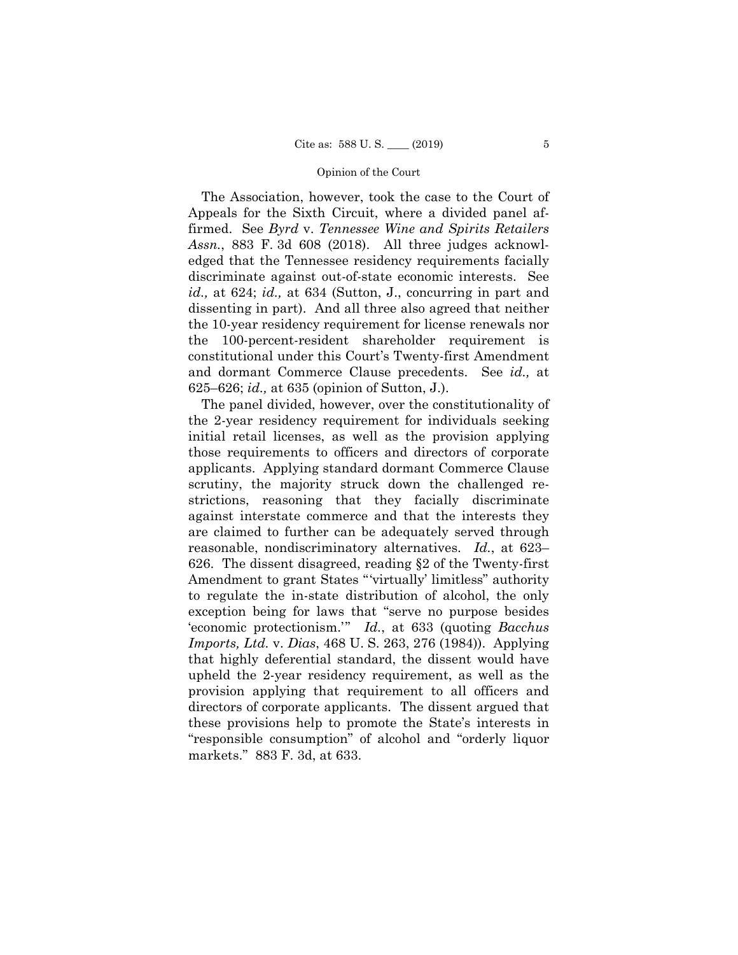The Association, however, took the case to the Court of Appeals for the Sixth Circuit, where a divided panel affirmed. See *Byrd* v. *Tennessee Wine and Spirits Retailers Assn.*, 883 F. 3d 608 (2018). All three judges acknowledged that the Tennessee residency requirements facially discriminate against out-of-state economic interests. See *id.,* at 624; *id.,* at 634 (Sutton, J., concurring in part and dissenting in part). And all three also agreed that neither the 10-year residency requirement for license renewals nor the 100-percent-resident shareholder requirement is constitutional under this Court's Twenty-first Amendment and dormant Commerce Clause precedents. See *id.,* at 625–626; *id.,* at 635 (opinion of Sutton, J.).

The panel divided, however, over the constitutionality of the 2-year residency requirement for individuals seeking initial retail licenses, as well as the provision applying those requirements to officers and directors of corporate applicants. Applying standard dormant Commerce Clause scrutiny, the majority struck down the challenged restrictions, reasoning that they facially discriminate against interstate commerce and that the interests they are claimed to further can be adequately served through reasonable, nondiscriminatory alternatives. *Id.*, at 623– 626. The dissent disagreed, reading §2 of the Twenty-first Amendment to grant States "'virtually' limitless" authority to regulate the in-state distribution of alcohol, the only exception being for laws that "serve no purpose besides 'economic protectionism.'" *Id.*, at 633 (quoting *Bacchus Imports, Ltd.* v. *Dias*, 468 U. S. 263, 276 (1984)). Applying that highly deferential standard, the dissent would have upheld the 2-year residency requirement, as well as the provision applying that requirement to all officers and directors of corporate applicants. The dissent argued that these provisions help to promote the State's interests in "responsible consumption" of alcohol and "orderly liquor markets." 883 F. 3d, at 633.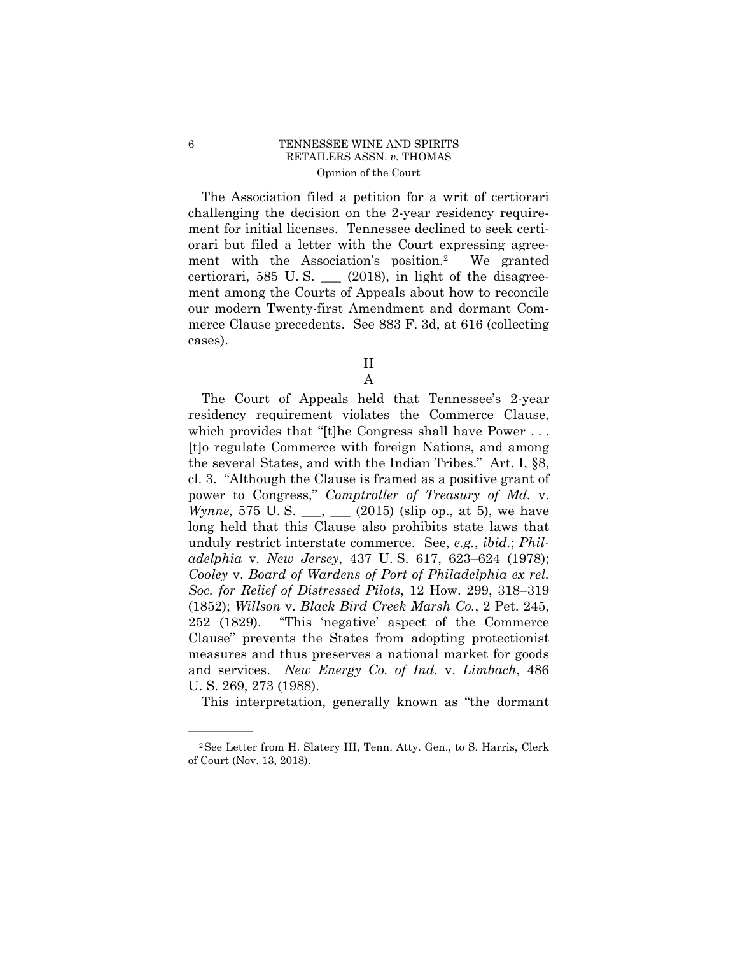ment with the Association's position.2 We granted The Association filed a petition for a writ of certiorari challenging the decision on the 2-year residency requirement for initial licenses. Tennessee declined to seek certiorari but filed a letter with the Court expressing agreecertiorari, 585 U.S.  $\_\_$  (2018), in light of the disagreement among the Courts of Appeals about how to reconcile our modern Twenty-first Amendment and dormant Commerce Clause precedents. See 883 F. 3d, at 616 (collecting cases).

II

A

The Court of Appeals held that Tennessee's 2-year residency requirement violates the Commerce Clause, which provides that "[t]he Congress shall have Power ... [t]o regulate Commerce with foreign Nations, and among the several States, and with the Indian Tribes." Art. I, §8, cl. 3. "Although the Clause is framed as a positive grant of power to Congress," *Comptroller of Treasury of Md.* v. *Wynne*, 575 U.S. \_\_, \_\_ (2015) (slip op., at 5), we have long held that this Clause also prohibits state laws that unduly restrict interstate commerce. See, *e.g.*, *ibid.*; *Philadelphia* v. *New Jersey*, 437 U. S. 617, 623–624 (1978); *Cooley* v. *Board of Wardens of Port of Philadelphia ex rel. Soc. for Relief of Distressed Pilots*, 12 How. 299, 318–319 (1852); *Willson* v. *Black Bird Creek Marsh Co.*, 2 Pet. 245, 252 (1829). "This 'negative' aspect of the Commerce Clause" prevents the States from adopting protectionist measures and thus preserves a national market for goods and services. *New Energy Co. of Ind.* v. *Limbach*, 486 U. S. 269, 273 (1988).

This interpretation, generally known as "the dormant

<sup>2</sup>See Letter from H. Slatery III, Tenn. Atty. Gen., to S. Harris, Clerk of Court (Nov. 13, 2018).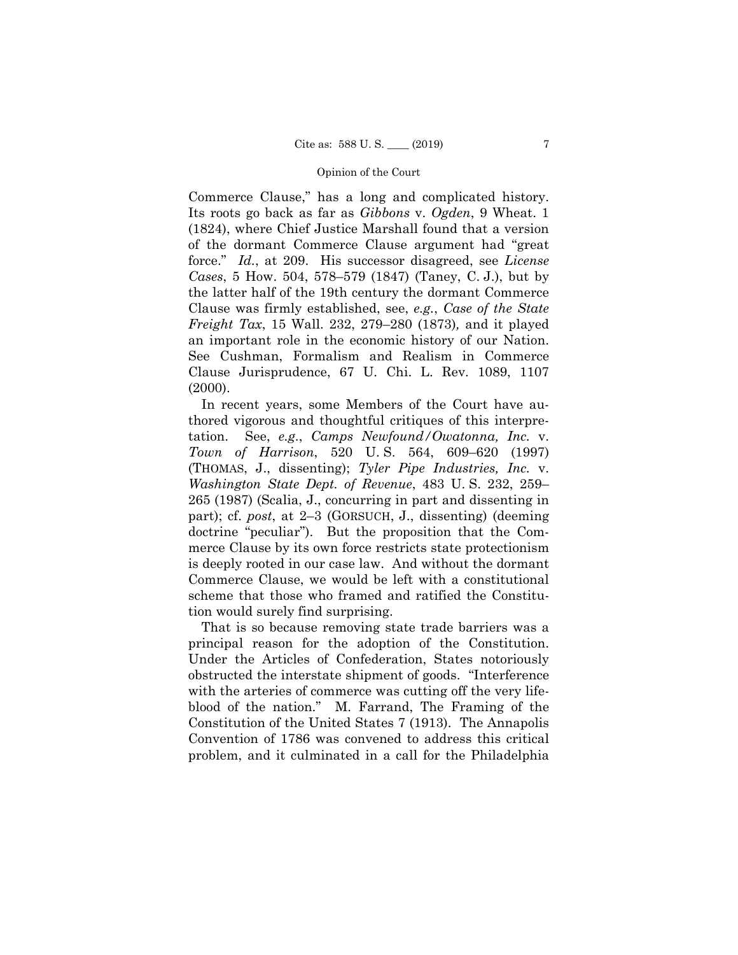Commerce Clause," has a long and complicated history. Its roots go back as far as *Gibbons* v. *Ogden*, 9 Wheat. 1 (1824), where Chief Justice Marshall found that a version of the dormant Commerce Clause argument had "great force." *Id.*, at 209. His successor disagreed, see *License Cases*, 5 How. 504, 578–579 (1847) (Taney, C. J.), but by the latter half of the 19th century the dormant Commerce Clause was firmly established, see, *e.g.*, *Case of the State Freight Tax*, 15 Wall. 232, 279–280 (1873)*,* and it played an important role in the economic history of our Nation. See Cushman, Formalism and Realism in Commerce Clause Jurisprudence, 67 U. Chi. L. Rev. 1089, 1107 (2000).

In recent years, some Members of the Court have authored vigorous and thoughtful critiques of this interpretation. See, *e.g*., *Camps Newfound/Owatonna, Inc.* v. *Town of Harrison*, 520 U. S. 564, 609–620 (1997) (THOMAS, J., dissenting); *Tyler Pipe Industries, Inc.* v. *Washington State Dept. of Revenue*, 483 U. S. 232, 259– 265 (1987) (Scalia, J., concurring in part and dissenting in part); cf. *post*, at 2–3 (GORSUCH, J., dissenting) (deeming doctrine "peculiar"). But the proposition that the Commerce Clause by its own force restricts state protectionism is deeply rooted in our case law. And without the dormant Commerce Clause, we would be left with a constitutional scheme that those who framed and ratified the Constitution would surely find surprising.

That is so because removing state trade barriers was a principal reason for the adoption of the Constitution. Under the Articles of Confederation, States notoriously obstructed the interstate shipment of goods. "Interference with the arteries of commerce was cutting off the very lifeblood of the nation." M. Farrand, The Framing of the Constitution of the United States 7 (1913). The Annapolis Convention of 1786 was convened to address this critical problem, and it culminated in a call for the Philadelphia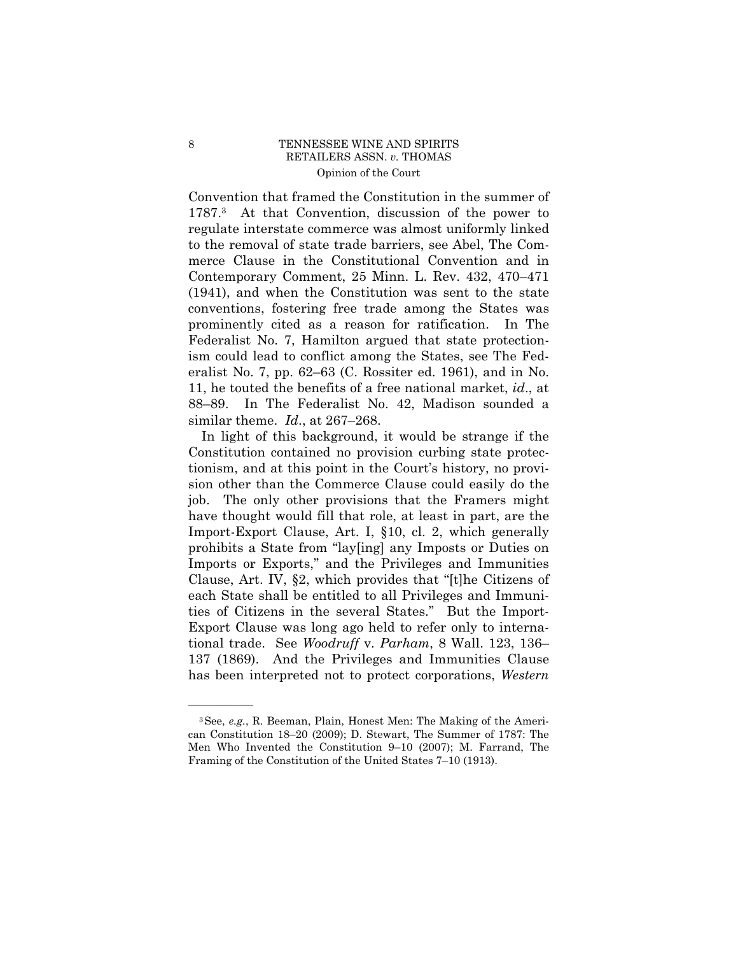Convention that framed the Constitution in the summer of 1787.3 At that Convention, discussion of the power to regulate interstate commerce was almost uniformly linked to the removal of state trade barriers, see Abel, The Commerce Clause in the Constitutional Convention and in Contemporary Comment, 25 Minn. L. Rev. 432, 470–471 (1941), and when the Constitution was sent to the state conventions, fostering free trade among the States was prominently cited as a reason for ratification. In The Federalist No. 7, Hamilton argued that state protectionism could lead to conflict among the States, see The Federalist No. 7, pp. 62–63 (C. Rossiter ed. 1961), and in No. 11, he touted the benefits of a free national market, *id*., at 88–89. In The Federalist No. 42, Madison sounded a similar theme. *Id*., at 267–268.

In light of this background, it would be strange if the Constitution contained no provision curbing state protectionism, and at this point in the Court's history, no provision other than the Commerce Clause could easily do the job. The only other provisions that the Framers might have thought would fill that role, at least in part, are the Import-Export Clause, Art. I, §10, cl. 2, which generally prohibits a State from "lay[ing] any Imposts or Duties on Imports or Exports," and the Privileges and Immunities Clause, Art. IV, §2, which provides that "[t]he Citizens of each State shall be entitled to all Privileges and Immunities of Citizens in the several States." But the Import-Export Clause was long ago held to refer only to international trade. See *Woodruff* v. *Parham*, 8 Wall. 123, 136– 137 (1869). And the Privileges and Immunities Clause has been interpreted not to protect corporations, *Western* 

<sup>3</sup>See, *e.g.*, R. Beeman, Plain, Honest Men: The Making of the American Constitution 18–20 (2009); D. Stewart, The Summer of 1787: The Men Who Invented the Constitution 9–10 (2007); M. Farrand, The Framing of the Constitution of the United States 7–10 (1913).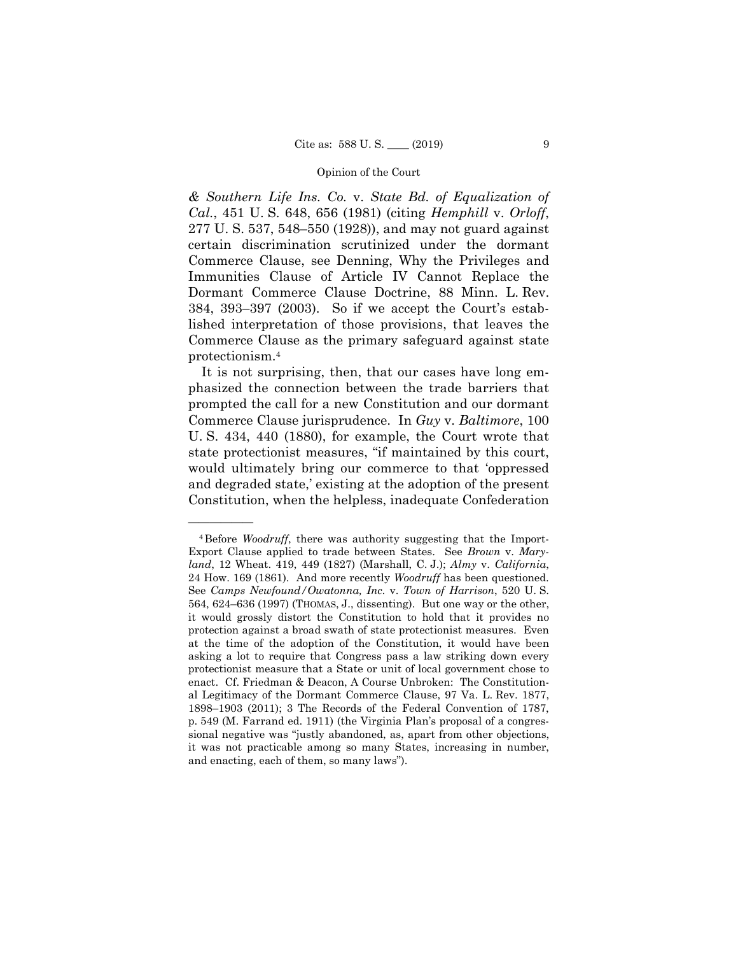*& Southern Life Ins. Co.* v. *State Bd. of Equalization of Cal.*, 451 U. S. 648, 656 (1981) (citing *Hemphill* v. *Orloff*, 277 U. S. 537, 548–550 (1928)), and may not guard against certain discrimination scrutinized under the dormant Commerce Clause, see Denning, Why the Privileges and Immunities Clause of Article IV Cannot Replace the Dormant Commerce Clause Doctrine, 88 Minn. L. Rev. 384, 393–397 (2003). So if we accept the Court's established interpretation of those provisions, that leaves the Commerce Clause as the primary safeguard against state protectionism.4

It is not surprising, then, that our cases have long emphasized the connection between the trade barriers that prompted the call for a new Constitution and our dormant Commerce Clause jurisprudence. In *Guy* v. *Baltimore*, 100 U. S. 434, 440 (1880), for example, the Court wrote that state protectionist measures, "if maintained by this court, would ultimately bring our commerce to that 'oppressed and degraded state,' existing at the adoption of the present Constitution, when the helpless, inadequate Confederation

 24 How. 169 (1861). And more recently *Woodruff* has been questioned. it was not practicable among so many States, increasing in number, 4Before *Woodruff*, there was authority suggesting that the Import-Export Clause applied to trade between States. See *Brown* v. *Maryland*, 12 Wheat. 419, 449 (1827) (Marshall, C. J.); *Almy* v. *California*, See *Camps Newfound/Owatonna, Inc.* v. *Town of Harrison*, 520 U. S. 564, 624–636 (1997) (THOMAS, J., dissenting). But one way or the other, it would grossly distort the Constitution to hold that it provides no protection against a broad swath of state protectionist measures. Even at the time of the adoption of the Constitution, it would have been asking a lot to require that Congress pass a law striking down every protectionist measure that a State or unit of local government chose to enact. Cf. Friedman & Deacon, A Course Unbroken: The Constitutional Legitimacy of the Dormant Commerce Clause, 97 Va. L. Rev. 1877, 1898–1903 (2011); 3 The Records of the Federal Convention of 1787, p. 549 (M. Farrand ed. 1911) (the Virginia Plan's proposal of a congressional negative was "justly abandoned, as, apart from other objections, and enacting, each of them, so many laws").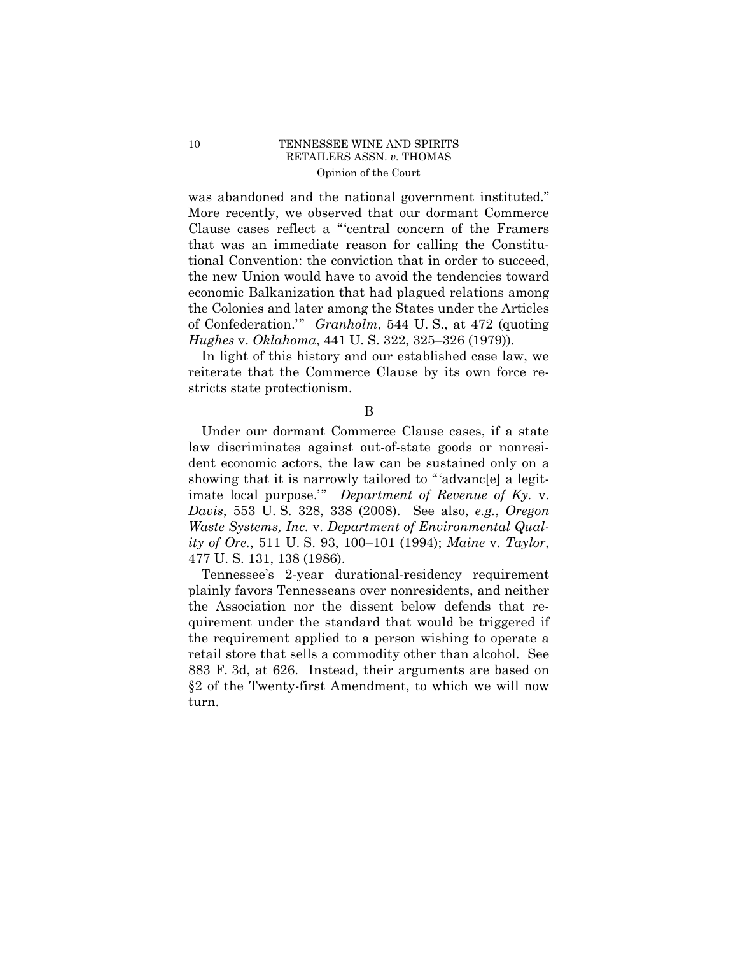was abandoned and the national government instituted." More recently, we observed that our dormant Commerce Clause cases reflect a "'central concern of the Framers that was an immediate reason for calling the Constitutional Convention: the conviction that in order to succeed, the new Union would have to avoid the tendencies toward economic Balkanization that had plagued relations among the Colonies and later among the States under the Articles of Confederation.'" *Granholm*, 544 U. S., at 472 (quoting *Hughes* v. *Oklahoma*, 441 U. S. 322, 325–326 (1979)).

In light of this history and our established case law, we reiterate that the Commerce Clause by its own force restricts state protectionism.

Under our dormant Commerce Clause cases, if a state law discriminates against out-of-state goods or nonresident economic actors, the law can be sustained only on a showing that it is narrowly tailored to "'advanc[e] a legitimate local purpose.'" *Department of Revenue of Ky.* v. *Davis*, 553 U. S. 328, 338 (2008). See also, *e.g.*, *Oregon Waste Systems, Inc.* v. *Department of Environmental Quality of Ore.*, 511 U. S. 93, 100–101 (1994); *Maine* v. *Taylor*, 477 U. S. 131, 138 (1986).

883 F. 3d, at 626. Instead, their arguments are based on Tennessee's 2-year durational-residency requirement plainly favors Tennesseans over nonresidents, and neither the Association nor the dissent below defends that requirement under the standard that would be triggered if the requirement applied to a person wishing to operate a retail store that sells a commodity other than alcohol. See §2 of the Twenty-first Amendment, to which we will now turn.

B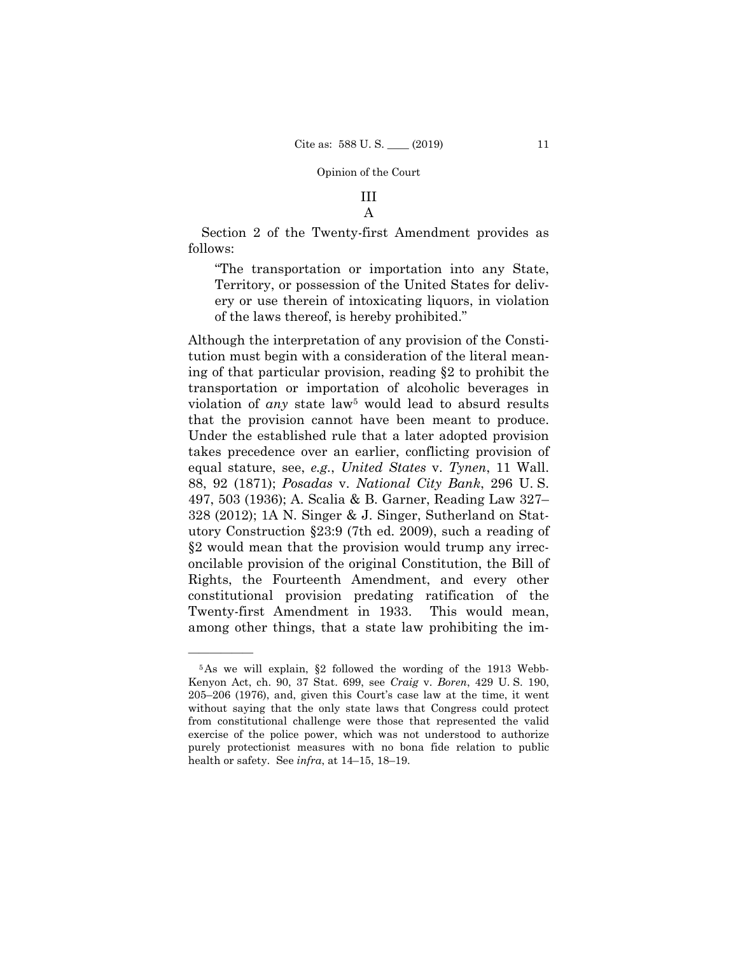# III A

Section 2 of the Twenty-first Amendment provides as follows:

"The transportation or importation into any State, Territory, or possession of the United States for delivery or use therein of intoxicating liquors, in violation of the laws thereof, is hereby prohibited."

Although the interpretation of any provision of the Constitution must begin with a consideration of the literal meaning of that particular provision, reading §2 to prohibit the transportation or importation of alcoholic beverages in violation of *any* state law<sup>5</sup> would lead to absurd results that the provision cannot have been meant to produce. Under the established rule that a later adopted provision takes precedence over an earlier, conflicting provision of equal stature, see, *e.g.*, *United States* v. *Tynen*, 11 Wall. 88, 92 (1871); *Posadas* v. *National City Bank*, 296 U. S. 497, 503 (1936); A. Scalia & B. Garner, Reading Law 327– 328 (2012); 1A N. Singer & J. Singer, Sutherland on Statutory Construction §23:9 (7th ed. 2009), such a reading of §2 would mean that the provision would trump any irreconcilable provision of the original Constitution, the Bill of Rights, the Fourteenth Amendment, and every other constitutional provision predating ratification of the Twenty-first Amendment in 1933. This would mean, among other things, that a state law prohibiting the im-

<sup>5</sup>As we will explain, §2 followed the wording of the 1913 Webb-Kenyon Act, ch. 90, 37 Stat. 699, see *Craig* v. *Boren*, 429 U. S. 190, 205–206 (1976), and, given this Court's case law at the time, it went without saying that the only state laws that Congress could protect from constitutional challenge were those that represented the valid exercise of the police power, which was not understood to authorize purely protectionist measures with no bona fide relation to public health or safety. See *infra*, at 14–15, 18–19.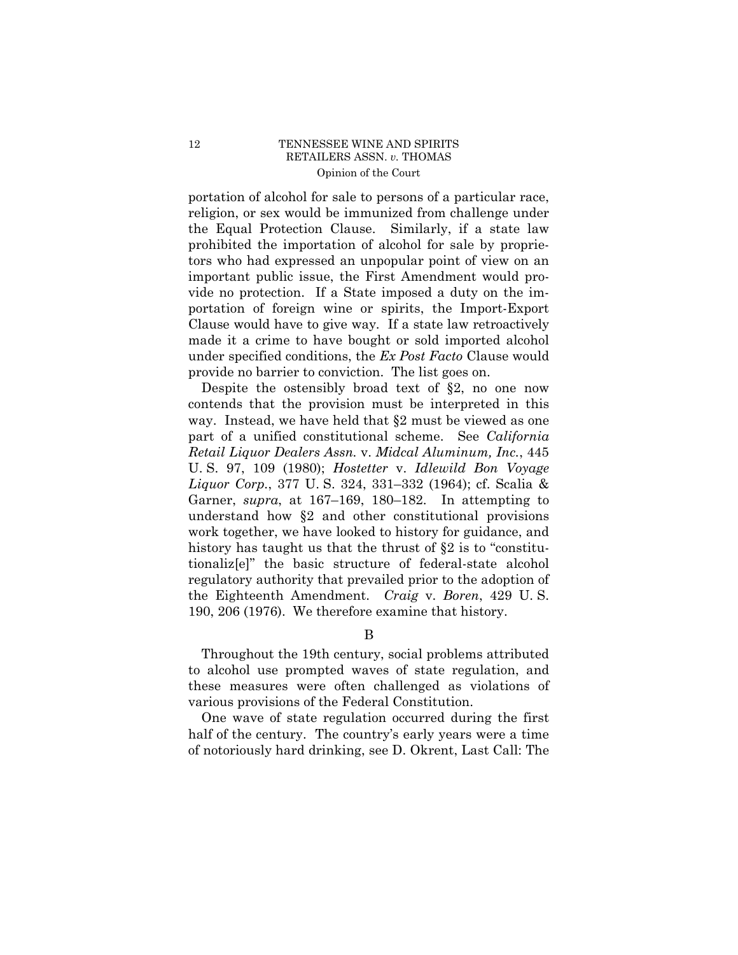portation of alcohol for sale to persons of a particular race, religion, or sex would be immunized from challenge under the Equal Protection Clause. Similarly, if a state law prohibited the importation of alcohol for sale by proprietors who had expressed an unpopular point of view on an important public issue, the First Amendment would provide no protection. If a State imposed a duty on the importation of foreign wine or spirits, the Import-Export Clause would have to give way. If a state law retroactively made it a crime to have bought or sold imported alcohol under specified conditions, the *Ex Post Facto* Clause would provide no barrier to conviction. The list goes on.

Despite the ostensibly broad text of §2, no one now contends that the provision must be interpreted in this way. Instead, we have held that §2 must be viewed as one part of a unified constitutional scheme. See *California Retail Liquor Dealers Assn.* v. *Midcal Aluminum, Inc.*, 445 U. S. 97, 109 (1980); *Hostetter* v. *Idlewild Bon Voyage Liquor Corp.*, 377 U. S. 324, 331–332 (1964); cf. Scalia & Garner, *supra*, at 167–169, 180–182. In attempting to understand how §2 and other constitutional provisions work together, we have looked to history for guidance, and history has taught us that the thrust of §2 is to "constitutionaliz[e]" the basic structure of federal-state alcohol regulatory authority that prevailed prior to the adoption of the Eighteenth Amendment. *Craig* v. *Boren*, 429 U. S. 190, 206 (1976). We therefore examine that history.

B

Throughout the 19th century, social problems attributed to alcohol use prompted waves of state regulation, and these measures were often challenged as violations of various provisions of the Federal Constitution.

One wave of state regulation occurred during the first half of the century. The country's early years were a time of notoriously hard drinking, see D. Okrent, Last Call: The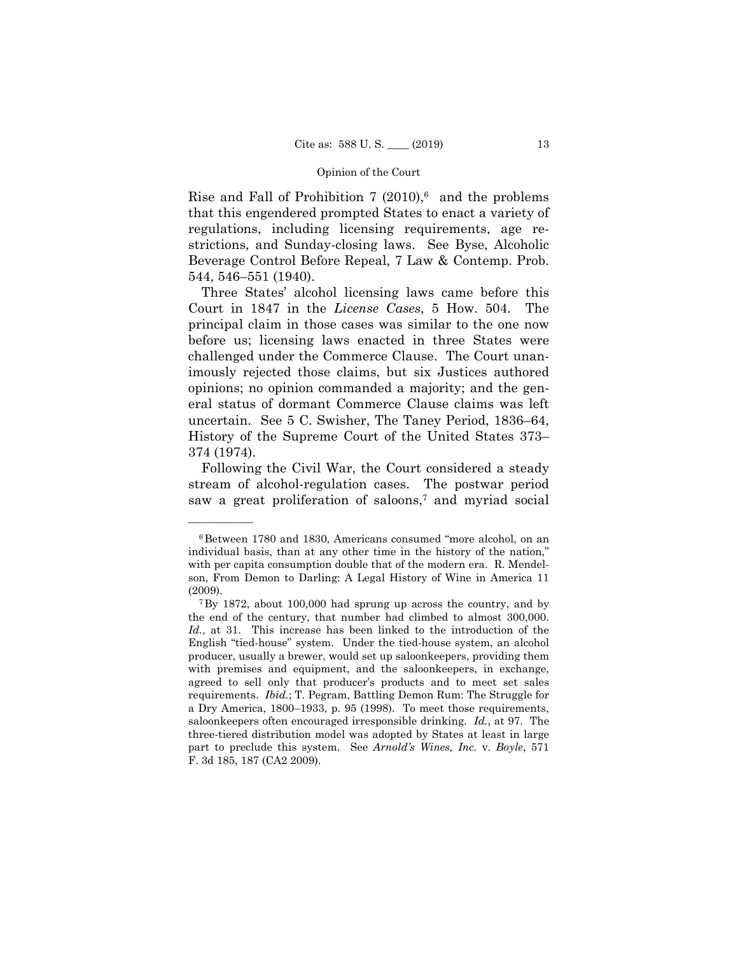Rise and Fall of Prohibition 7  $(2010)$ ,<sup>6</sup> and the problems that this engendered prompted States to enact a variety of regulations, including licensing requirements, age restrictions, and Sunday-closing laws. See Byse, Alcoholic Beverage Control Before Repeal, 7 Law & Contemp. Prob. 544, 546–551 (1940).

Three States' alcohol licensing laws came before this Court in 1847 in the *License Cases*, 5 How. 504. The principal claim in those cases was similar to the one now before us; licensing laws enacted in three States were challenged under the Commerce Clause. The Court unanimously rejected those claims, but six Justices authored opinions; no opinion commanded a majority; and the general status of dormant Commerce Clause claims was left uncertain. See 5 C. Swisher, The Taney Period, 1836–64, History of the Supreme Court of the United States 373– 374 (1974).

Following the Civil War, the Court considered a steady stream of alcohol-regulation cases. The postwar period saw a great proliferation of saloons,<sup>7</sup> and myriad social

<sup>6</sup>Between 1780 and 1830, Americans consumed "more alcohol, on an individual basis, than at any other time in the history of the nation," with per capita consumption double that of the modern era. R. Mendelson, From Demon to Darling: A Legal History of Wine in America 11

<sup>(2009).&</sup>lt;br> $7\,\text{By }1872$ , about 100,000 had sprung up across the country, and by the end of the century, that number had climbed to almost 300,000. *Id.*, at 31. This increase has been linked to the introduction of the English "tied-house" system. Under the tied-house system, an alcohol producer, usually a brewer, would set up saloonkeepers, providing them with premises and equipment, and the saloonkeepers, in exchange, agreed to sell only that producer's products and to meet set sales requirements. *Ibid.*; T. Pegram, Battling Demon Rum: The Struggle for a Dry America, 1800–1933, p. 95 (1998). To meet those requirements, saloonkeepers often encouraged irresponsible drinking. *Id.*, at 97. The three-tiered distribution model was adopted by States at least in large part to preclude this system. See *Arnold's Wines, Inc.* v. *Boyle*, 571 F. 3d 185, 187 (CA2 2009).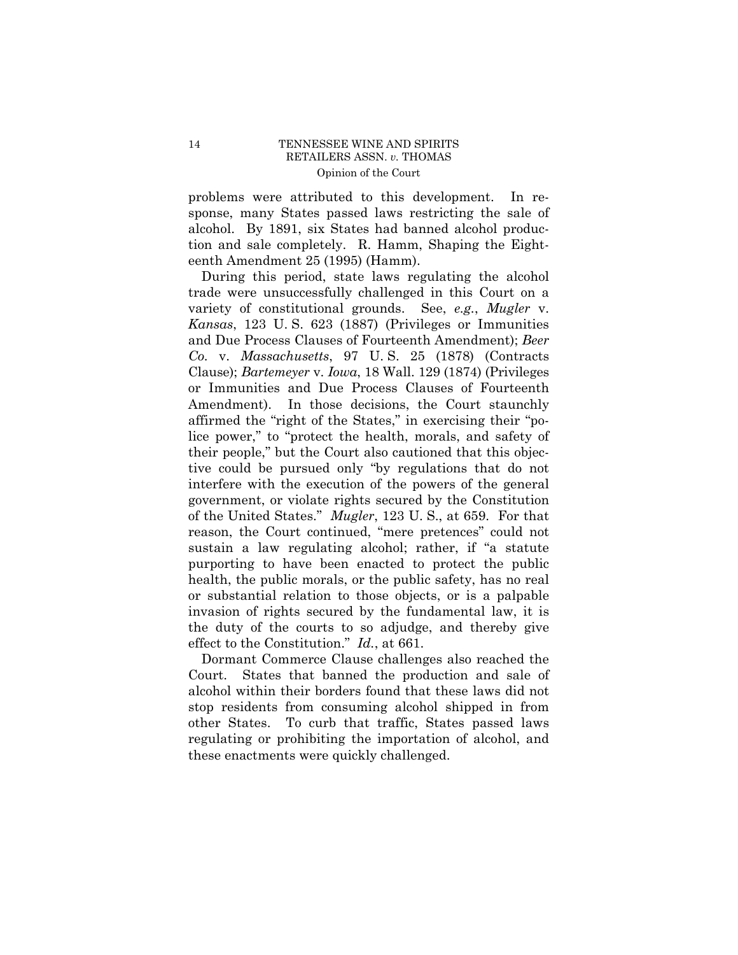problems were attributed to this development. In response, many States passed laws restricting the sale of alcohol. By 1891, six States had banned alcohol production and sale completely. R. Hamm, Shaping the Eighteenth Amendment 25 (1995) (Hamm).

During this period, state laws regulating the alcohol trade were unsuccessfully challenged in this Court on a variety of constitutional grounds. See, *e.g.*, *Mugler* v. *Kansas*, 123 U. S. 623 (1887) (Privileges or Immunities and Due Process Clauses of Fourteenth Amendment); *Beer Co.* v. *Massachusetts*, 97 U. S. 25 (1878) (Contracts Clause); *Bartemeyer* v. *Iowa*, 18 Wall. 129 (1874) (Privileges or Immunities and Due Process Clauses of Fourteenth Amendment). In those decisions, the Court staunchly affirmed the "right of the States," in exercising their "police power," to "protect the health, morals, and safety of their people," but the Court also cautioned that this objective could be pursued only "by regulations that do not interfere with the execution of the powers of the general government, or violate rights secured by the Constitution of the United States." *Mugler*, 123 U. S., at 659. For that reason, the Court continued, "mere pretences" could not sustain a law regulating alcohol; rather, if "a statute purporting to have been enacted to protect the public health, the public morals, or the public safety, has no real or substantial relation to those objects, or is a palpable invasion of rights secured by the fundamental law, it is the duty of the courts to so adjudge, and thereby give effect to the Constitution." *Id.*, at 661.

Dormant Commerce Clause challenges also reached the Court. States that banned the production and sale of alcohol within their borders found that these laws did not stop residents from consuming alcohol shipped in from other States. To curb that traffic, States passed laws regulating or prohibiting the importation of alcohol, and these enactments were quickly challenged.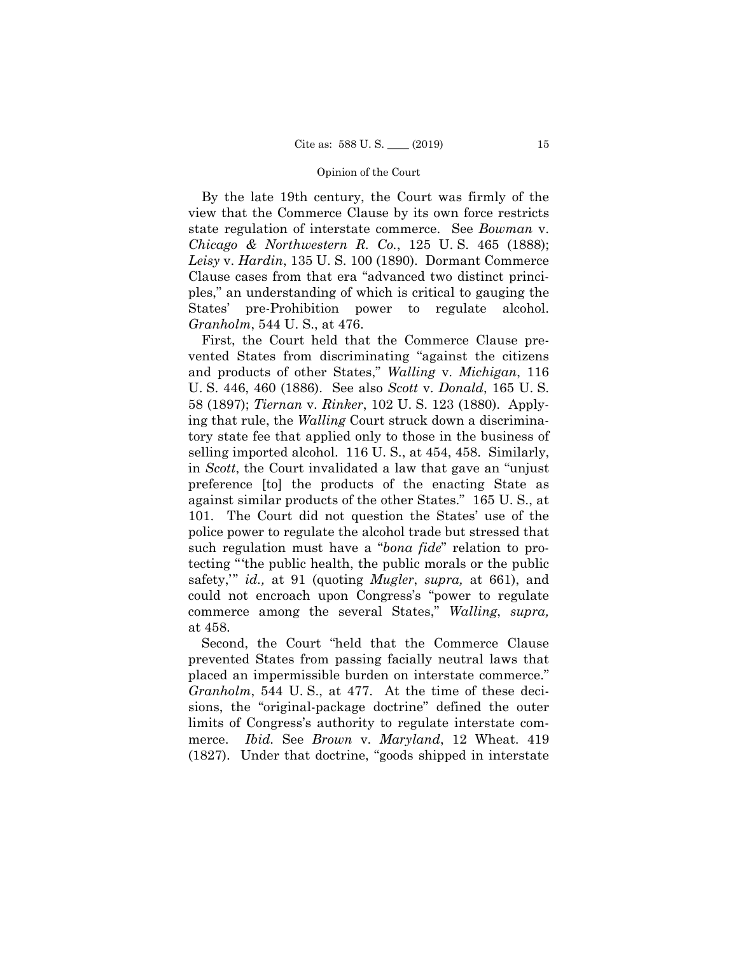By the late 19th century, the Court was firmly of the view that the Commerce Clause by its own force restricts state regulation of interstate commerce. See *Bowman* v. *Chicago & Northwestern R. Co.*, 125 U. S. 465 (1888); *Leisy* v. *Hardin*, 135 U. S. 100 (1890). Dormant Commerce Clause cases from that era "advanced two distinct principles," an understanding of which is critical to gauging the States' pre-Prohibition power to regulate alcohol. *Granholm*, 544 U. S., at 476.

First, the Court held that the Commerce Clause prevented States from discriminating "against the citizens and products of other States," *Walling* v. *Michigan*, 116 U. S. 446, 460 (1886). See also *Scott* v. *Donald*, 165 U. S. 58 (1897); *Tiernan* v. *Rinker*, 102 U. S. 123 (1880). Applying that rule, the *Walling* Court struck down a discriminatory state fee that applied only to those in the business of selling imported alcohol. 116 U. S., at 454, 458. Similarly, in *Scott*, the Court invalidated a law that gave an "unjust preference [to] the products of the enacting State as against similar products of the other States." 165 U. S., at 101. The Court did not question the States' use of the police power to regulate the alcohol trade but stressed that such regulation must have a "*bona fide*" relation to protecting "'the public health, the public morals or the public safety,'" *id.,* at 91 (quoting *Mugler*, *supra,* at 661), and could not encroach upon Congress's "power to regulate commerce among the several States," *Walling*, *supra,*  at 458.

Second, the Court "held that the Commerce Clause prevented States from passing facially neutral laws that placed an impermissible burden on interstate commerce." *Granholm*, 544 U. S., at 477. At the time of these decisions, the "original-package doctrine" defined the outer limits of Congress's authority to regulate interstate commerce. *Ibid.* See *Brown* v. *Maryland*, 12 Wheat. 419 (1827). Under that doctrine, "goods shipped in interstate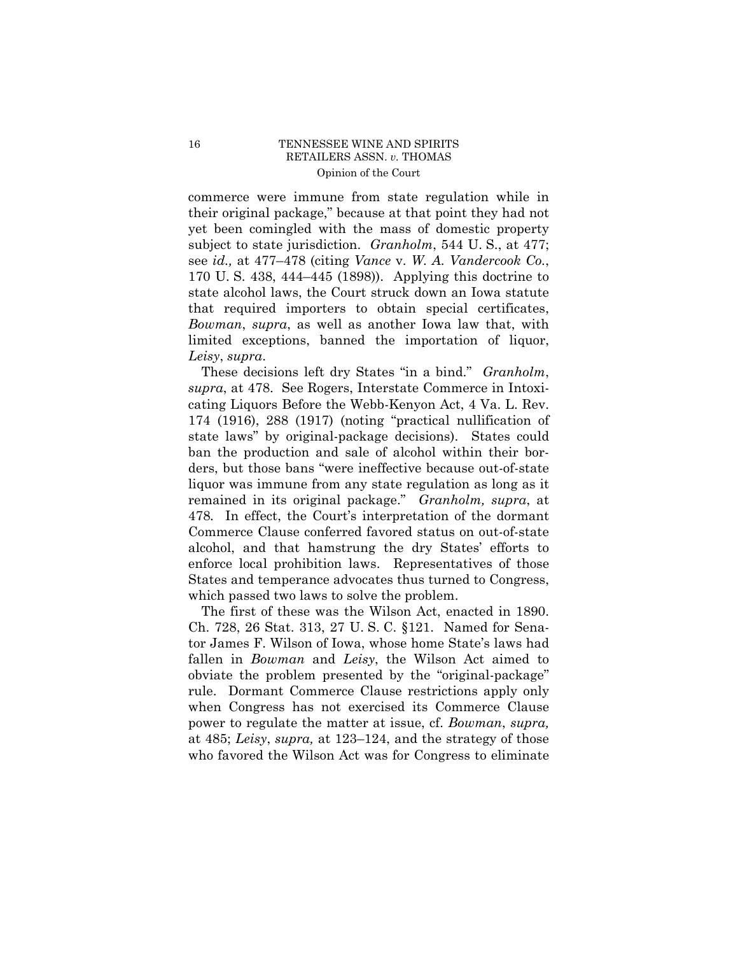commerce were immune from state regulation while in their original package," because at that point they had not yet been comingled with the mass of domestic property subject to state jurisdiction. *Granholm*, 544 U. S., at 477; see *id.,* at 477–478 (citing *Vance* v. *W. A. Vandercook Co.*, 170 U. S. 438, 444–445 (1898)). Applying this doctrine to state alcohol laws, the Court struck down an Iowa statute that required importers to obtain special certificates, *Bowman*, *supra*, as well as another Iowa law that, with limited exceptions, banned the importation of liquor, *Leisy*, *supra*.

These decisions left dry States "in a bind." *Granholm*, *supra*, at 478. See Rogers, Interstate Commerce in Intoxicating Liquors Before the Webb-Kenyon Act, 4 Va. L. Rev. 174 (1916), 288 (1917) (noting "practical nullification of state laws" by original-package decisions). States could ban the production and sale of alcohol within their borders, but those bans "were ineffective because out-of-state liquor was immune from any state regulation as long as it remained in its original package." *Granholm, supra*, at 478*.* In effect, the Court's interpretation of the dormant Commerce Clause conferred favored status on out-of-state alcohol, and that hamstrung the dry States' efforts to enforce local prohibition laws. Representatives of those States and temperance advocates thus turned to Congress, which passed two laws to solve the problem.

The first of these was the Wilson Act, enacted in 1890. Ch. 728, 26 Stat. 313, 27 U. S. C. §121. Named for Senator James F. Wilson of Iowa, whose home State's laws had fallen in *Bowman* and *Leisy*, the Wilson Act aimed to obviate the problem presented by the "original-package" rule. Dormant Commerce Clause restrictions apply only when Congress has not exercised its Commerce Clause power to regulate the matter at issue, cf. *Bowman*, *supra,*  at 485; *Leisy*, *supra,* at 123–124, and the strategy of those who favored the Wilson Act was for Congress to eliminate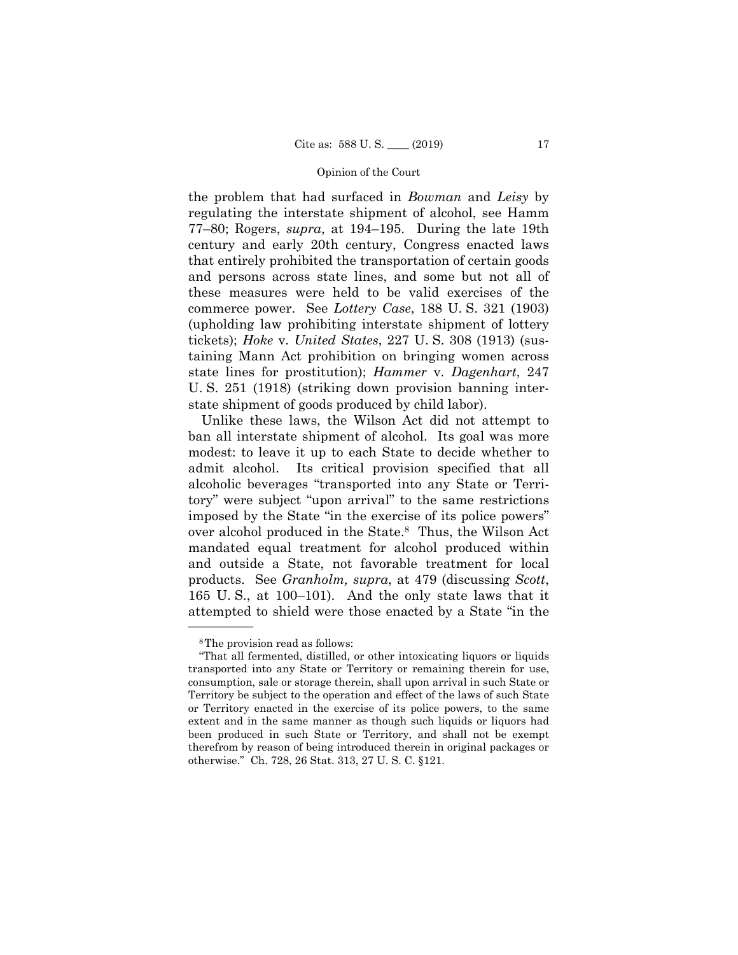the problem that had surfaced in *Bowman* and *Leisy* by regulating the interstate shipment of alcohol, see Hamm 77–80; Rogers, *supra*, at 194–195. During the late 19th century and early 20th century, Congress enacted laws that entirely prohibited the transportation of certain goods and persons across state lines, and some but not all of these measures were held to be valid exercises of the commerce power. See *Lottery Case*, 188 U. S. 321 (1903) (upholding law prohibiting interstate shipment of lottery tickets); *Hoke* v. *United States*, 227 U. S. 308 (1913) (sustaining Mann Act prohibition on bringing women across state lines for prostitution); *Hammer* v. *Dagenhart*, 247 U. S. 251 (1918) (striking down provision banning interstate shipment of goods produced by child labor).

Unlike these laws, the Wilson Act did not attempt to ban all interstate shipment of alcohol. Its goal was more modest: to leave it up to each State to decide whether to admit alcohol. Its critical provision specified that all alcoholic beverages "transported into any State or Territory" were subject "upon arrival" to the same restrictions imposed by the State "in the exercise of its police powers" over alcohol produced in the State.8 Thus, the Wilson Act mandated equal treatment for alcohol produced within and outside a State, not favorable treatment for local products. See *Granholm, supra*, at 479 (discussing *Scott*, 165 U. S., at 100–101). And the only state laws that it attempted to shield were those enacted by a State "in the

<sup>8</sup>The provision read as follows:

<sup>&</sup>quot;That all fermented, distilled, or other intoxicating liquors or liquids transported into any State or Territory or remaining therein for use, consumption, sale or storage therein, shall upon arrival in such State or Territory be subject to the operation and effect of the laws of such State or Territory enacted in the exercise of its police powers, to the same extent and in the same manner as though such liquids or liquors had been produced in such State or Territory, and shall not be exempt therefrom by reason of being introduced therein in original packages or otherwise." Ch. 728, 26 Stat. 313, 27 U. S. C. §121.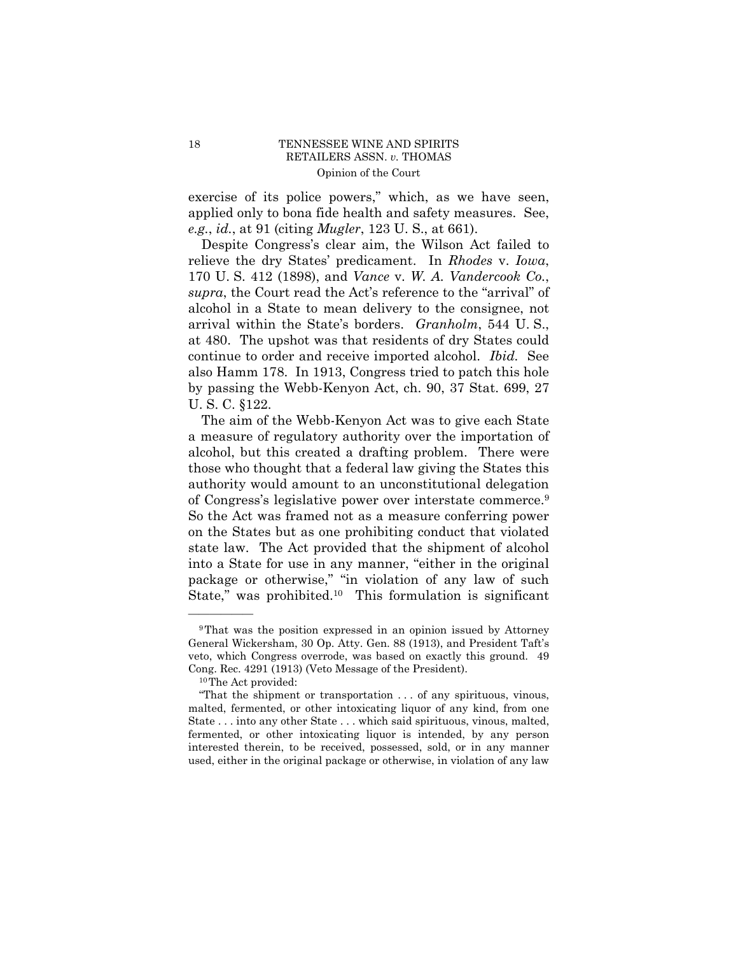exercise of its police powers," which, as we have seen, applied only to bona fide health and safety measures. See, *e.g.*, *id.*, at 91 (citing *Mugler*, 123 U. S., at 661).

 arrival within the State's borders. *Granholm*, 544 U. S., at 480. The upshot was that residents of dry States could Despite Congress's clear aim, the Wilson Act failed to relieve the dry States' predicament. In *Rhodes* v. *Iowa*, 170 U. S. 412 (1898), and *Vance* v. *W. A. Vandercook Co.*, *supra*, the Court read the Act's reference to the "arrival" of alcohol in a State to mean delivery to the consignee, not continue to order and receive imported alcohol. *Ibid.* See also Hamm 178. In 1913, Congress tried to patch this hole by passing the Webb-Kenyon Act, ch. 90, 37 Stat. 699, 27 U. S. C. §122.

 of Congress's legislative power over interstate commerce.9 The aim of the Webb-Kenyon Act was to give each State a measure of regulatory authority over the importation of alcohol, but this created a drafting problem. There were those who thought that a federal law giving the States this authority would amount to an unconstitutional delegation So the Act was framed not as a measure conferring power on the States but as one prohibiting conduct that violated state law. The Act provided that the shipment of alcohol into a State for use in any manner, "either in the original package or otherwise," "in violation of any law of such State," was [prohibited.10](https://prohibited.10) This formulation is significant

<sup>9</sup>That was the position expressed in an opinion issued by Attorney General Wickersham, 30 Op. Atty. Gen. 88 (1913), and President Taft's veto, which Congress overrode, was based on exactly this ground. 49 Cong. Rec. 4291 (1913) (Veto Message of the President). 10The Act provided:

<sup>&</sup>quot;That the shipment or transportation . . . of any spirituous, vinous, malted, fermented, or other intoxicating liquor of any kind, from one State . . . into any other State . . . which said spirituous, vinous, malted, fermented, or other intoxicating liquor is intended, by any person interested therein, to be received, possessed, sold, or in any manner used, either in the original package or otherwise, in violation of any law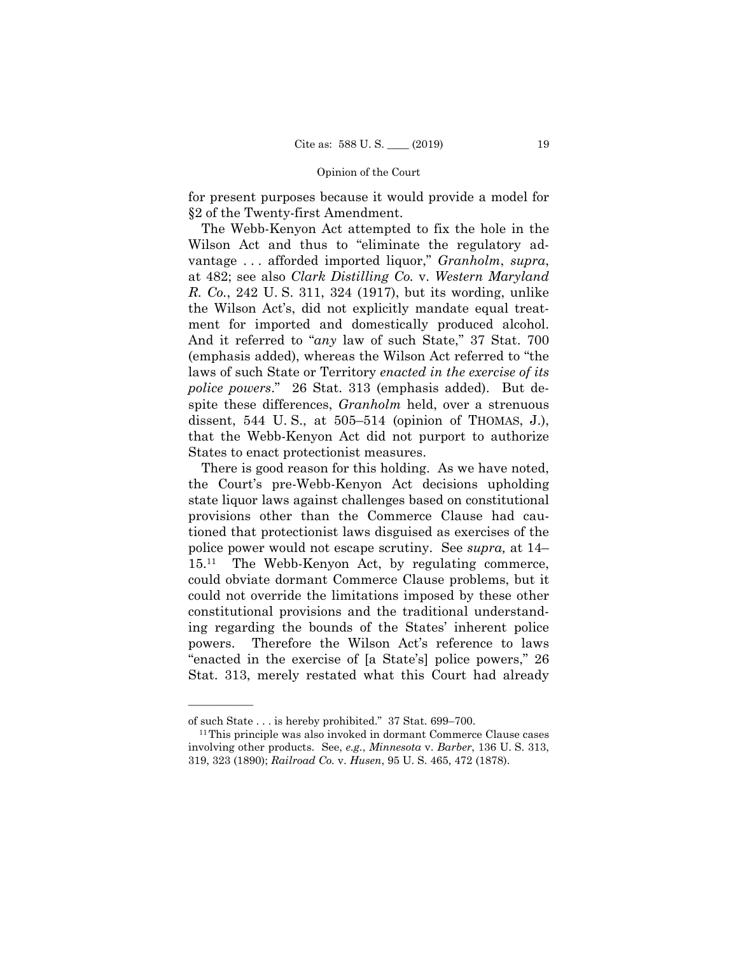for present purposes because it would provide a model for §2 of the Twenty-first Amendment.

The Webb-Kenyon Act attempted to fix the hole in the Wilson Act and thus to "eliminate the regulatory advantage . . . afforded imported liquor," *Granholm*, *supra*, at 482; see also *Clark Distilling Co.* v. *Western Maryland R. Co.*, 242 U. S. 311, 324 (1917), but its wording, unlike the Wilson Act's, did not explicitly mandate equal treatment for imported and domestically produced alcohol. And it referred to "*any* law of such State," 37 Stat. 700 (emphasis added), whereas the Wilson Act referred to "the laws of such State or Territory *enacted in the exercise of its police powers*." 26 Stat. 313 (emphasis added). But despite these differences, *Granholm* held, over a strenuous dissent, 544 U. S., at 505–514 (opinion of THOMAS, J.), that the Webb-Kenyon Act did not purport to authorize States to enact protectionist measures.

There is good reason for this holding. As we have noted, the Court's pre-Webb-Kenyon Act decisions upholding state liquor laws against challenges based on constitutional provisions other than the Commerce Clause had cautioned that protectionist laws disguised as exercises of the police power would not escape scrutiny. See *supra,* at 14– 15.11 The Webb-Kenyon Act, by regulating commerce, could obviate dormant Commerce Clause problems, but it could not override the limitations imposed by these other constitutional provisions and the traditional understanding regarding the bounds of the States' inherent police powers. Therefore the Wilson Act's reference to laws "enacted in the exercise of [a State's] police powers," 26 Stat. 313, merely restated what this Court had already

of such State . . . is hereby prohibited." 37 Stat. 699–700. 11This principle was also invoked in dormant Commerce Clause cases involving other products. See, *e.g.*, *Minnesota* v. *Barber*, 136 U. S. 313, 319, 323 (1890); *Railroad Co.* v. *Husen*, 95 U. S. 465, 472 (1878).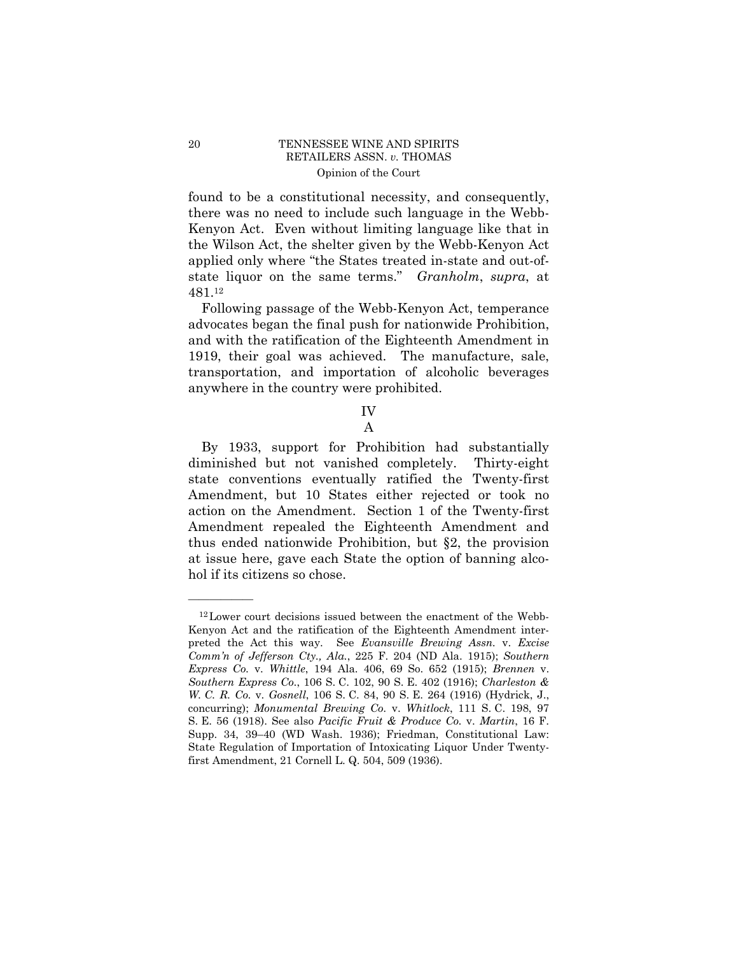found to be a constitutional necessity, and consequently, there was no need to include such language in the Webb-Kenyon Act. Even without limiting language like that in the Wilson Act, the shelter given by the Webb-Kenyon Act applied only where "the States treated in-state and out-ofstate liquor on the same terms." *Granholm*, *supra*, at 481.12

Following passage of the Webb-Kenyon Act, temperance advocates began the final push for nationwide Prohibition, and with the ratification of the Eighteenth Amendment in 1919, their goal was achieved. The manufacture, sale, transportation, and importation of alcoholic beverages anywhere in the country were prohibited.

# IV

# A

By 1933, support for Prohibition had substantially diminished but not vanished completely. Thirty-eight state conventions eventually ratified the Twenty-first Amendment, but 10 States either rejected or took no action on the Amendment. Section 1 of the Twenty-first Amendment repealed the Eighteenth Amendment and thus ended nationwide Prohibition, but §2, the provision at issue here, gave each State the option of banning alcohol if its citizens so chose.

<sup>12</sup>Lower court decisions issued between the enactment of the Webb-Kenyon Act and the ratification of the Eighteenth Amendment interpreted the Act this way. See *Evansville Brewing Assn.* v. *Excise Comm'n of Jefferson Cty., Ala.*, 225 F. 204 (ND Ala. 1915); *Southern Express Co.* v. *Whittle*, 194 Ala. 406, 69 So. 652 (1915); *Brennen* v. *Southern Express Co.*, 106 S. C. 102, 90 S. E. 402 (1916); *Charleston & W. C. R. Co.* v. *Gosnell*, 106 S. C. 84, 90 S. E. 264 (1916) (Hydrick, J., concurring); *Monumental Brewing Co.* v. *Whitlock*, 111 S. C. 198, 97 S. E. 56 (1918). See also *Pacific Fruit & Produce Co.* v. *Martin*, 16 F. Supp. 34, 39–40 (WD Wash. 1936); Friedman, Constitutional Law: State Regulation of Importation of Intoxicating Liquor Under Twentyfirst Amendment, 21 Cornell L. Q. 504, 509 (1936).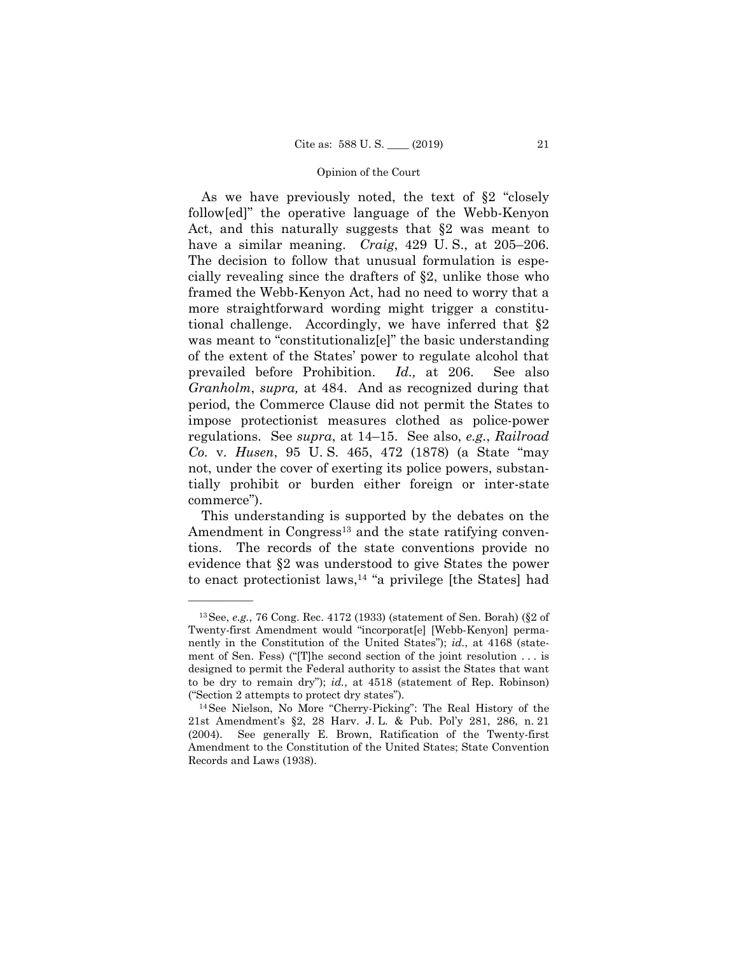*Id.*, at 206. As we have previously noted, the text of §2 "closely follow[ed]" the operative language of the Webb-Kenyon Act, and this naturally suggests that §2 was meant to have a similar meaning. *Craig*, 429 U. S., at 205–206. The decision to follow that unusual formulation is especially revealing since the drafters of §2, unlike those who framed the Webb-Kenyon Act, had no need to worry that a more straightforward wording might trigger a constitutional challenge. Accordingly, we have inferred that §2 was meant to "constitutionalize" the basic understanding of the extent of the States' power to regulate alcohol that prevailed before Prohibition. *Id.,* at 206. See also *Granholm*, *supra,* at 484. And as recognized during that period, the Commerce Clause did not permit the States to impose protectionist measures clothed as police-power regulations. See *supra*, at 14–15. See also, *e.g.*, *Railroad Co.* v. *Husen*, 95 U. S. 465, 472 (1878) (a State "may not, under the cover of exerting its police powers, substantially prohibit or burden either foreign or inter-state commerce").

This understanding is supported by the debates on the Amendment in Congress<sup>13</sup> and the state ratifying conventions. The records of the state conventions provide no evidence that §2 was understood to give States the power to enact protectionist laws,<sup>14</sup> "a privilege [the States] had

<sup>13</sup>See, *e.g.*, 76 Cong. Rec. 4172 (1933) (statement of Sen. Borah) (§2 of Twenty-first Amendment would "incorporat[e] [Webb-Kenyon] permanently in the Constitution of the United States"); *id.*, at 4168 (statement of Sen. Fess) ("[T]he second section of the joint resolution . . . is designed to permit the Federal authority to assist the States that want to be dry to remain dry"); *id.*, at 4518 (statement of Rep. Robinson) ("Section 2 attempts to protect dry states"). 14See Nielson, No More "Cherry-Picking": The Real History of the

 21st Amendment's §2, 28 Harv. J. L. & Pub. Pol'y 281, 286, n. 21 (2004). See generally E. Brown, Ratification of the Twenty-first Amendment to the Constitution of the United States; State Convention Records and Laws (1938).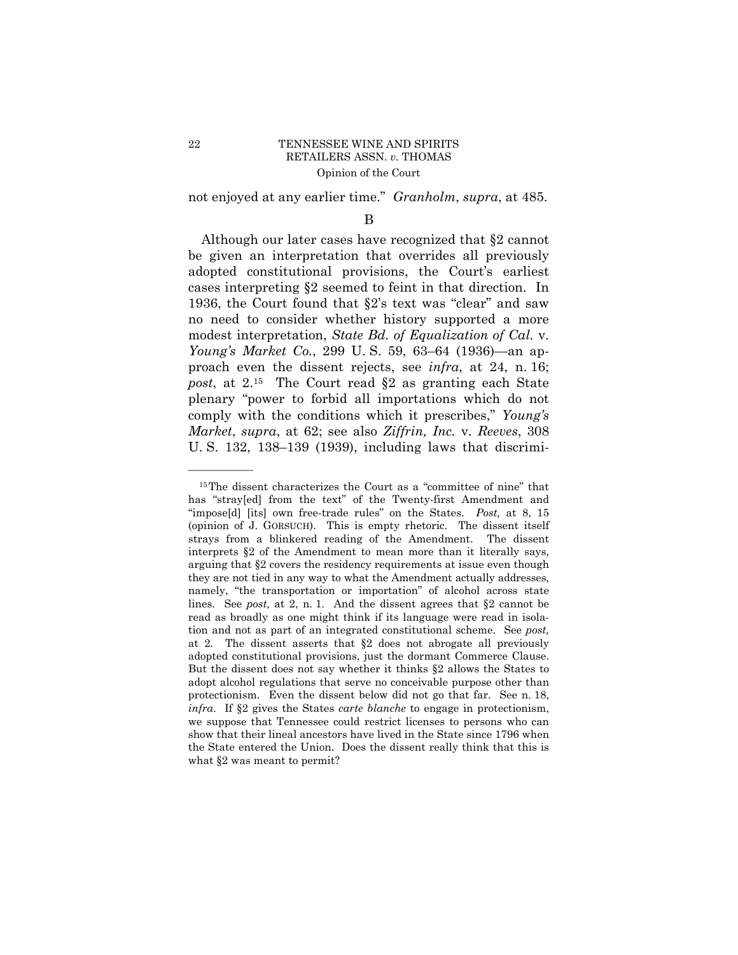not enjoyed at any earlier time." *Granholm*, *supra*, at 485.

## B

Although our later cases have recognized that §2 cannot be given an interpretation that overrides all previously adopted constitutional provisions, the Court's earliest cases interpreting §2 seemed to feint in that direction. In 1936, the Court found that §2's text was "clear" and saw no need to consider whether history supported a more modest interpretation, *State Bd. of Equalization of Cal.* v. *Young's Market Co.*, 299 U. S. 59, 63–64 (1936)—an approach even the dissent rejects, see *infra*, at 24, n. 16; *post*, at 2.15 The Court read §2 as granting each State plenary "power to forbid all importations which do not comply with the conditions which it prescribes," *Young's Market*, *supra*, at 62; see also *Ziffrin, Inc.* v. *Reeves*, 308 U. S. 132, 138–139 (1939), including laws that discrimi-

<sup>15</sup>The dissent characterizes the Court as a "committee of nine" that has "stray[ed] from the text" of the Twenty-first Amendment and "impose[d] [its] own free-trade rules" on the States. *Post,* at 8, 15 (opinion of J. GORSUCH). This is empty rhetoric. The dissent itself strays from a blinkered reading of the Amendment. The dissent interprets §2 of the Amendment to mean more than it literally says, arguing that §2 covers the residency requirements at issue even though they are not tied in any way to what the Amendment actually addresses, namely, "the transportation or importation" of alcohol across state lines. See *post,* at 2, n. 1. And the dissent agrees that §2 cannot be read as broadly as one might think if its language were read in isolation and not as part of an integrated constitutional scheme. See *post,* at 2. The dissent asserts that §2 does not abrogate all previously adopted constitutional provisions, just the dormant Commerce Clause. But the dissent does not say whether it thinks §2 allows the States to adopt alcohol regulations that serve no conceivable purpose other than protectionism. Even the dissent below did not go that far. See n. 18, *infra*. If §2 gives the States *carte blanche* to engage in protectionism, we suppose that Tennessee could restrict licenses to persons who can show that their lineal ancestors have lived in the State since 1796 when the State entered the Union. Does the dissent really think that this is what  $\S 2$  was meant to permit?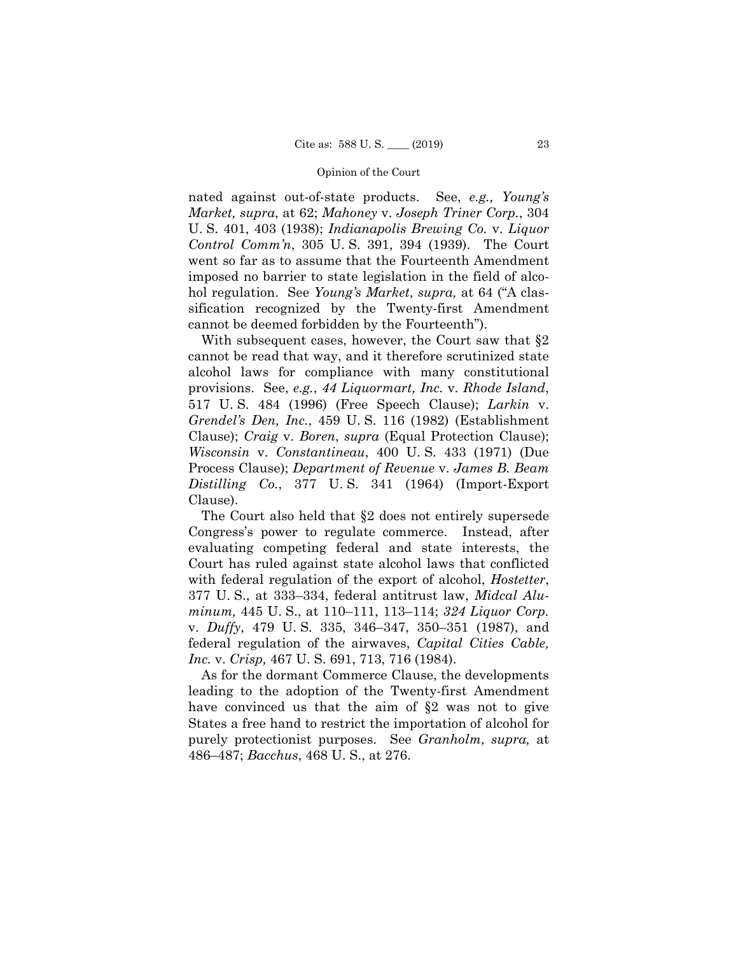nated against out-of-state products. See, *e.g., Young's Market, supra*, at 62; *Mahoney* v. *Joseph Triner Corp.*, 304 U. S. 401, 403 (1938); *Indianapolis Brewing Co.* v. *Liquor Control Comm'n*, 305 U. S. 391, 394 (1939). The Court went so far as to assume that the Fourteenth Amendment imposed no barrier to state legislation in the field of alcohol regulation. See *Young's Market*, *supra,* at 64 ("A classification recognized by the Twenty-first Amendment cannot be deemed forbidden by the Fourteenth").

With subsequent cases, however, the Court saw that §2 cannot be read that way, and it therefore scrutinized state alcohol laws for compliance with many constitutional provisions. See, *e.g.*, *44 Liquormart, Inc.* v. *Rhode Island*, 517 U. S. 484 (1996) (Free Speech Clause); *Larkin* v. *Grendel's Den, Inc.*, 459 U. S. 116 (1982) (Establishment Clause); *Craig* v. *Boren*, *supra* (Equal Protection Clause); *Wisconsin* v. *Constantineau*, 400 U. S. 433 (1971) (Due Process Clause); *Department of Revenue* v. *James B. Beam Distilling Co.*, 377 U. S. 341 (1964) (Import-Export Clause).

 federal regulation of the airwaves, *Capital Cities Cable,*  The Court also held that §2 does not entirely supersede Congress's power to regulate commerce. Instead, after evaluating competing federal and state interests, the Court has ruled against state alcohol laws that conflicted with federal regulation of the export of alcohol, *Hostetter*, 377 U. S., at 333–334, federal antitrust law, *Midcal Aluminum,* 445 U. S., at 110–111, 113–114; *324 Liquor Corp.*  v. *Duffy*, 479 U. S. 335, 346–347, 350–351 (1987), and *Inc.* v. *Crisp,* 467 U. S. 691, 713, 716 (1984).

As for the dormant Commerce Clause, the developments leading to the adoption of the Twenty-first Amendment have convinced us that the aim of §2 was not to give States a free hand to restrict the importation of alcohol for purely protectionist purposes. See *Granholm*, *supra,* at 486–487; *Bacchus*, 468 U. S., at 276.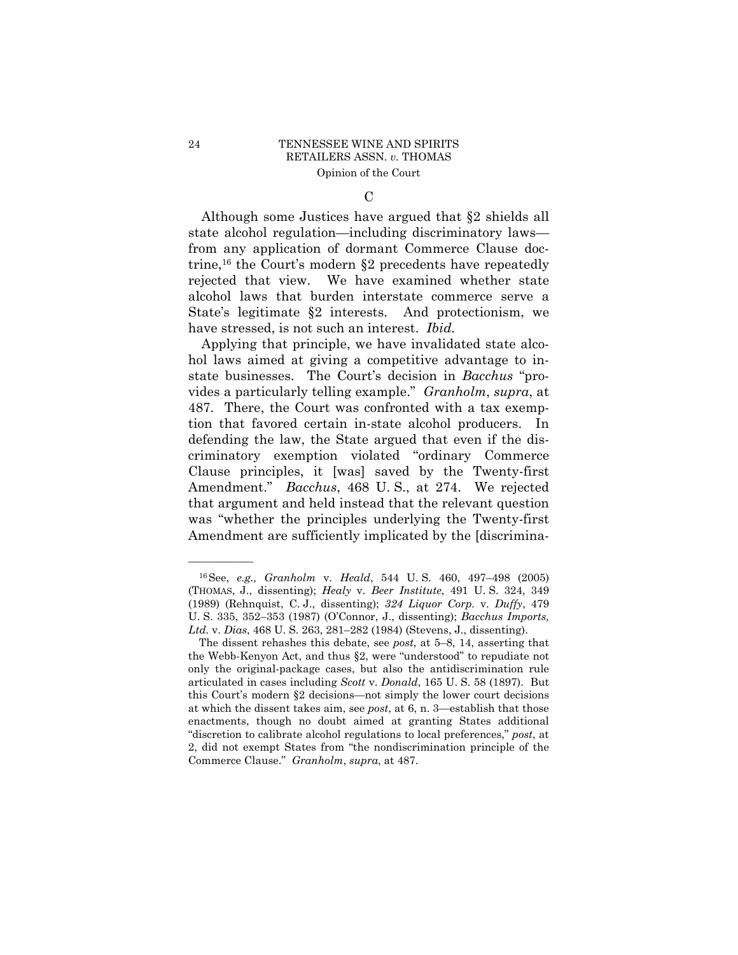C

Although some Justices have argued that §2 shields all state alcohol regulation—including discriminatory laws from any application of dormant Commerce Clause doctrine,<sup>16</sup> the Court's modern  $\S2$  precedents have repeatedly rejected that view. We have examined whether state alcohol laws that burden interstate commerce serve a State's legitimate §2 interests. And protectionism, we have stressed, is not such an interest. *Ibid.* 

 Amendment." *Bacchus*, 468 U. S., at 274. We rejected Applying that principle, we have invalidated state alcohol laws aimed at giving a competitive advantage to instate businesses. The Court's decision in *Bacchus* "provides a particularly telling example." *Granholm*, *supra*, at 487. There, the Court was confronted with a tax exemption that favored certain in-state alcohol producers. In defending the law, the State argued that even if the discriminatory exemption violated "ordinary Commerce Clause principles, it [was] saved by the Twenty-first that argument and held instead that the relevant question was "whether the principles underlying the Twenty-first Amendment are sufficiently implicated by the [discrimina-

<sup>16</sup>See, *e.g., Granholm* v. *Heald*, 544 U. S. 460, 497–498 (2005) (THOMAS, J., dissenting); *Healy* v. *Beer Institute*, 491 U. S. 324, 349 (1989) (Rehnquist, C. J., dissenting); *324 Liquor Corp.* v. *Duffy*, 479 U. S. 335, 352–353 (1987) (O'Connor, J., dissenting); *Bacchus Imports, Ltd.* v. *Dias*, 468 U. S. 263, 281–282 (1984) (Stevens, J., dissenting).

The dissent rehashes this debate, see *post*, at 5–8, 14, asserting that the Webb-Kenyon Act, and thus §2, were "understood" to repudiate not only the original-package cases, but also the antidiscrimination rule articulated in cases including *Scott* v. *Donald*, 165 U. S. 58 (1897). But this Court's modern §2 decisions—not simply the lower court decisions at which the dissent takes aim, see *post*, at 6, n. 3—establish that those enactments, though no doubt aimed at granting States additional "discretion to calibrate alcohol regulations to local preferences," *post*, at 2, did not exempt States from "the nondiscrimination principle of the Commerce Clause." *Granholm*, *supra*, at 487.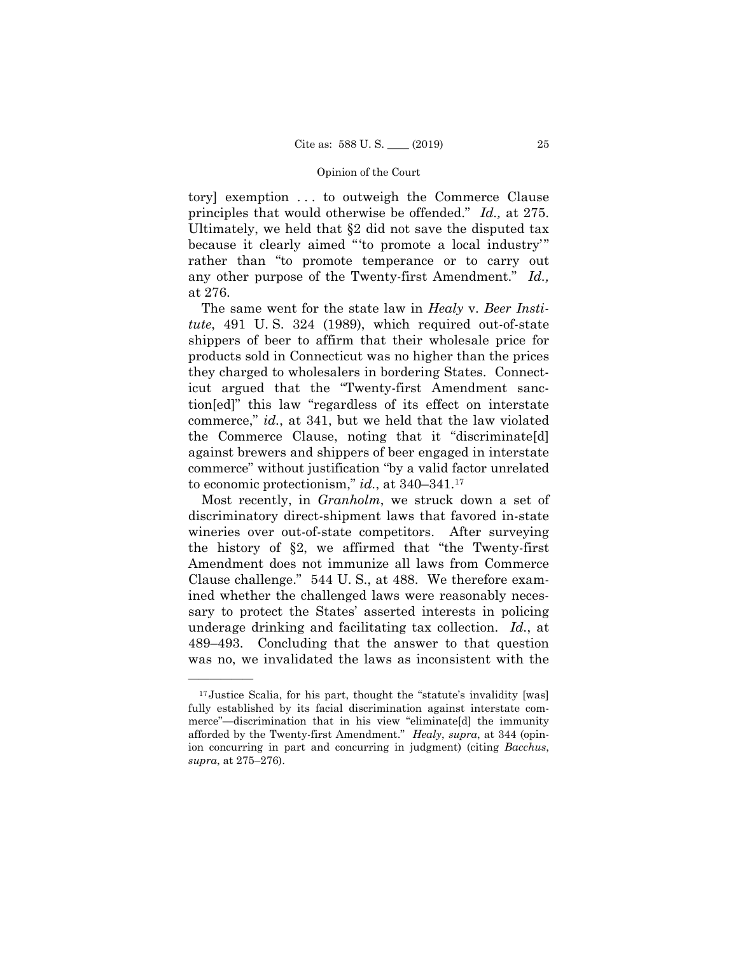tory] exemption . . . to outweigh the Commerce Clause principles that would otherwise be offended." *Id.,* at 275. Ultimately, we held that §2 did not save the disputed tax because it clearly aimed "'to promote a local industry'" rather than "to promote temperance or to carry out any other purpose of the Twenty-first Amendment." *Id.,*  at 276.

The same went for the state law in *Healy* v. *Beer Institute*, 491 U. S. 324 (1989), which required out-of-state shippers of beer to affirm that their wholesale price for products sold in Connecticut was no higher than the prices they charged to wholesalers in bordering States. Connecticut argued that the "Twenty-first Amendment sanction[ed]" this law "regardless of its effect on interstate commerce," *id.*, at 341, but we held that the law violated the Commerce Clause, noting that it "discriminate[d] against brewers and shippers of beer engaged in interstate commerce" without justification "by a valid factor unrelated to economic protectionism," *id.*, at [340–341.17](https://340�341.17)

Most recently, in *Granholm*, we struck down a set of discriminatory direct-shipment laws that favored in-state wineries over out-of-state competitors. After surveying the history of §2, we affirmed that "the Twenty-first Amendment does not immunize all laws from Commerce Clause challenge." 544 U. S., at 488. We therefore examined whether the challenged laws were reasonably necessary to protect the States' asserted interests in policing underage drinking and facilitating tax collection. *Id.*, at 489–493. Concluding that the answer to that question was no, we invalidated the laws as inconsistent with the

<sup>&</sup>lt;sup>17</sup> Justice Scalia, for his part, thought the "statute's invalidity [was] fully established by its facial discrimination against interstate commerce"—discrimination that in his view "eliminate[d] the immunity afforded by the Twenty-first Amendment." *Healy*, *supra*, at 344 (opinion concurring in part and concurring in judgment) (citing *Bacchus*, *supra*, at 275–276).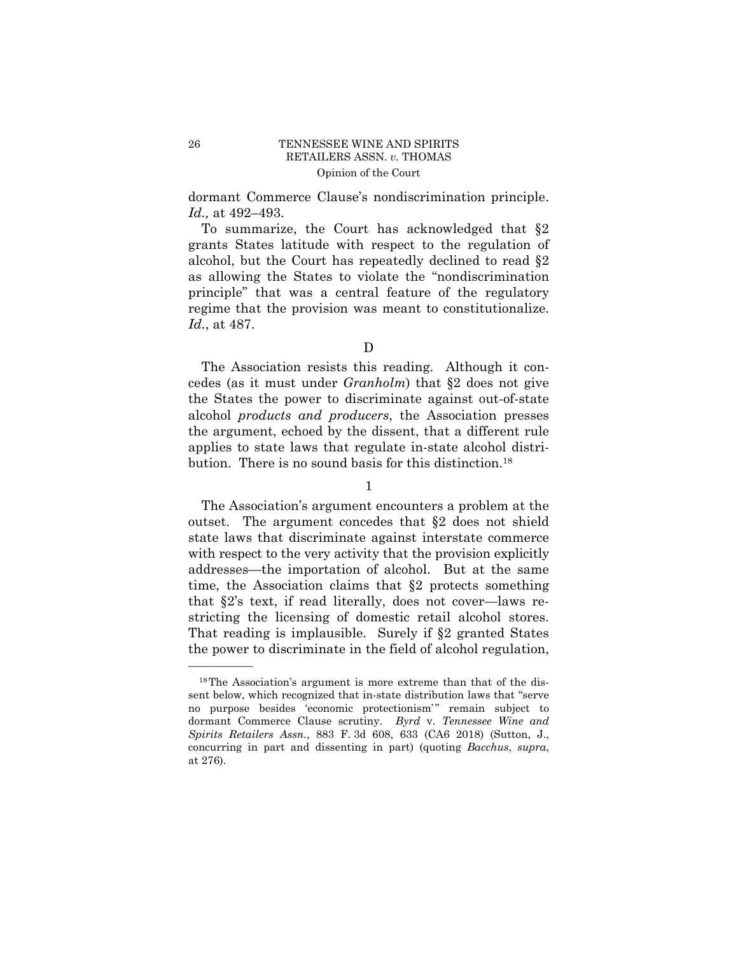dormant Commerce Clause's nondiscrimination principle. *Id.,* at 492–493.

To summarize, the Court has acknowledged that §2 grants States latitude with respect to the regulation of alcohol, but the Court has repeatedly declined to read §2 as allowing the States to violate the "nondiscrimination principle" that was a central feature of the regulatory regime that the provision was meant to constitutionalize. *Id.*, at 487.

The Association resists this reading. Although it concedes (as it must under *Granholm*) that §2 does not give the States the power to discriminate against out-of-state alcohol *products and producers*, the Association presses the argument, echoed by the dissent, that a different rule applies to state laws that regulate in-state alcohol distribution. There is no sound basis for this [distinction.18](https://distinction.18)

1

 with respect to the very activity that the provision explicitly The Association's argument encounters a problem at the outset. The argument concedes that §2 does not shield state laws that discriminate against interstate commerce addresses—the importation of alcohol. But at the same time, the Association claims that §2 protects something that §2's text, if read literally, does not cover—laws restricting the licensing of domestic retail alcohol stores. That reading is implausible. Surely if §2 granted States the power to discriminate in the field of alcohol regulation,

D

<sup>18</sup>The Association's argument is more extreme than that of the dissent below, which recognized that in-state distribution laws that "serve no purpose besides 'economic protectionism'" remain subject to dormant Commerce Clause scrutiny. *Byrd* v. *Tennessee Wine and Spirits Retailers Assn.*, 883 F. 3d 608, 633 (CA6 2018) (Sutton, J., concurring in part and dissenting in part) (quoting *Bacchus*, *supra*, at 276).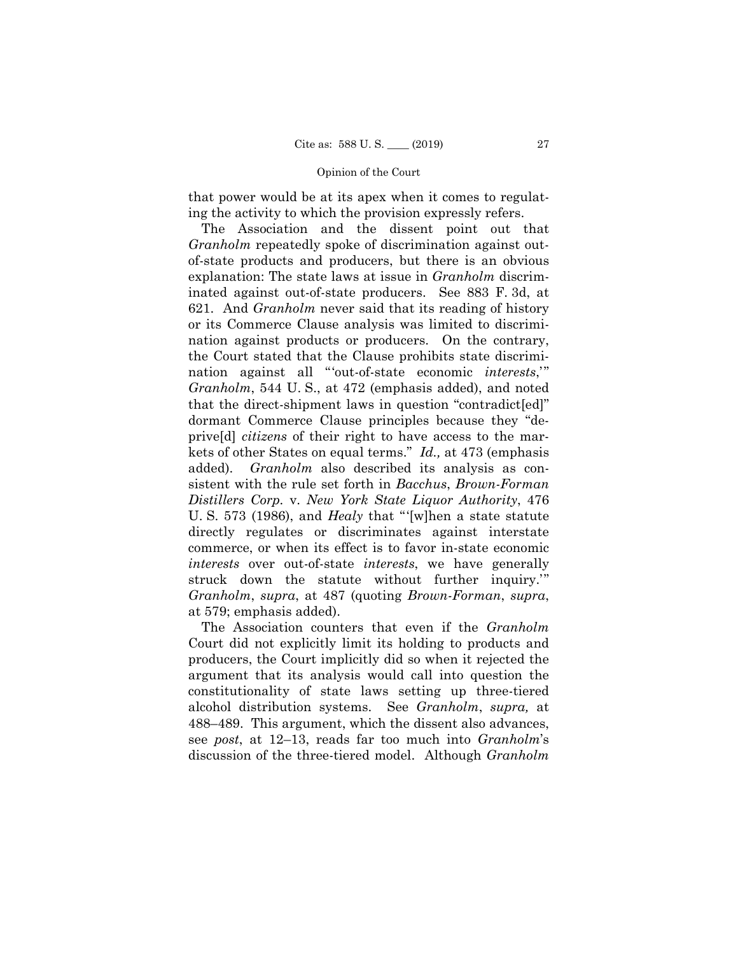that power would be at its apex when it comes to regulating the activity to which the provision expressly refers.

The Association and the dissent point out that *Granholm* repeatedly spoke of discrimination against outof-state products and producers, but there is an obvious explanation: The state laws at issue in *Granholm* discriminated against out-of-state producers. See 883 F. 3d, at 621. And *Granholm* never said that its reading of history or its Commerce Clause analysis was limited to discrimination against products or producers. On the contrary, the Court stated that the Clause prohibits state discrimination against all "'out-of-state economic *interests*,'" *Granholm*, 544 U. S., at 472 (emphasis added), and noted that the direct-shipment laws in question "contradict[ed]" dormant Commerce Clause principles because they "deprive[d] *citizens* of their right to have access to the markets of other States on equal terms." *Id.,* at 473 (emphasis added). *Granholm* also described its analysis as consistent with the rule set forth in *Bacchus*, *Brown-Forman Distillers Corp.* v. *New York State Liquor Authority*, 476 U. S. 573 (1986), and *Healy* that "'[w]hen a state statute directly regulates or discriminates against interstate commerce, or when its effect is to favor in-state economic *interests* over out-of-state *interests*, we have generally struck down the statute without further inquiry.'" *Granholm*, *supra*, at 487 (quoting *Brown-Forman*, *supra*, at 579; emphasis added).

The Association counters that even if the *Granholm*  Court did not explicitly limit its holding to products and producers, the Court implicitly did so when it rejected the argument that its analysis would call into question the constitutionality of state laws setting up three-tiered alcohol distribution systems. See *Granholm*, *supra,* at 488–489. This argument, which the dissent also advances, see *post*, at 12–13, reads far too much into *Granholm*'s discussion of the three-tiered model. Although *Granholm*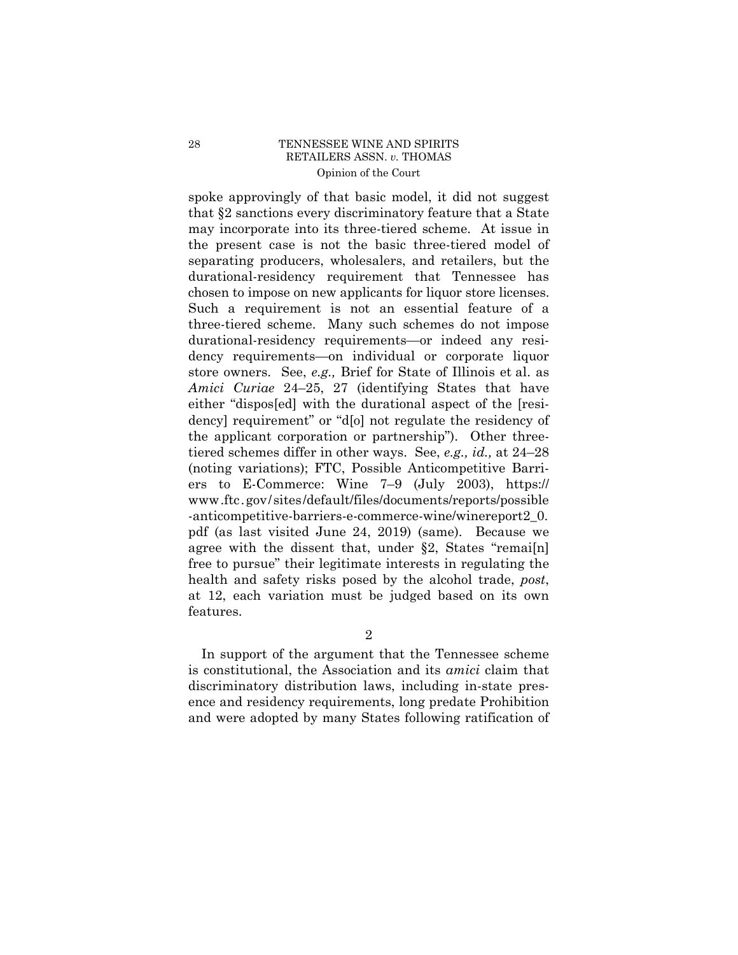the applicant corporation or partnership"). Other three- <www.ftc.gov/sites/default/files/documents/reports/possible> spoke approvingly of that basic model, it did not suggest that §2 sanctions every discriminatory feature that a State may incorporate into its three-tiered scheme. At issue in the present case is not the basic three-tiered model of separating producers, wholesalers, and retailers, but the durational-residency requirement that Tennessee has chosen to impose on new applicants for liquor store licenses. Such a requirement is not an essential feature of a three-tiered scheme. Many such schemes do not impose durational-residency requirements—or indeed any residency requirements—on individual or corporate liquor store owners. See, *e.g.,* Brief for State of Illinois et al. as *Amici Curiae* 24–25, 27 (identifying States that have either "dispos[ed] with the durational aspect of the [residency] requirement" or "d[o] not regulate the residency of tiered schemes differ in other ways. See, *e.g., id.,* at 24–28 (noting variations); FTC, Possible Anticompetitive Barriers to E-Commerce: Wine 7–9 (July 2003), https:// -anticompetitive-barriers-e-commerce-wine/winereport2\_0. pdf (as last visited June 24, 2019) (same). Because we agree with the dissent that, under §2, States "remai[n] free to pursue" their legitimate interests in regulating the health and safety risks posed by the alcohol trade, *post*, at 12, each variation must be judged based on its own features.

2

In support of the argument that the Tennessee scheme is constitutional, the Association and its *amici* claim that discriminatory distribution laws, including in-state presence and residency requirements, long predate Prohibition and were adopted by many States following ratification of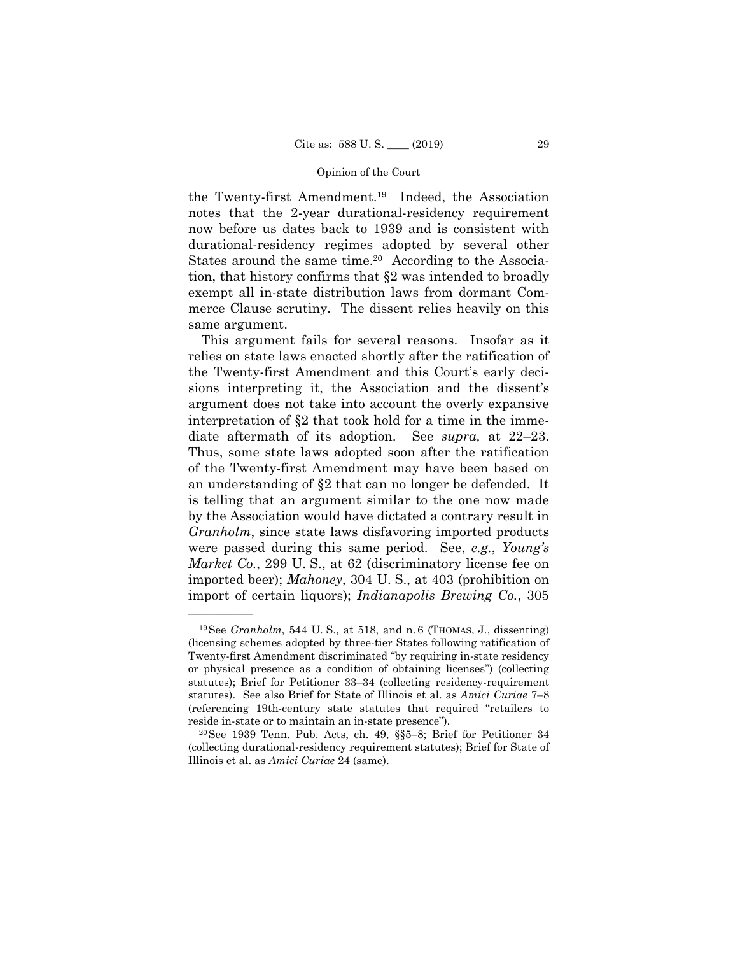the Twenty-first [Amendment.19](https://Amendment.19) Indeed, the Association notes that the 2-year durational-residency requirement now before us dates back to 1939 and is consistent with durational-residency regimes adopted by several other States around the same time.<sup>20</sup> According to the Association, that history confirms that §2 was intended to broadly exempt all in-state distribution laws from dormant Commerce Clause scrutiny. The dissent relies heavily on this same argument.

This argument fails for several reasons. Insofar as it relies on state laws enacted shortly after the ratification of the Twenty-first Amendment and this Court's early decisions interpreting it, the Association and the dissent's argument does not take into account the overly expansive interpretation of §2 that took hold for a time in the immediate aftermath of its adoption. See *supra,* at 22–23. Thus, some state laws adopted soon after the ratification of the Twenty-first Amendment may have been based on an understanding of §2 that can no longer be defended. It is telling that an argument similar to the one now made by the Association would have dictated a contrary result in *Granholm*, since state laws disfavoring imported products were passed during this same period. See, *e.g.*, *Young's Market Co.*, 299 U.S., at 62 (discriminatory license fee on imported beer); *Mahoney*, 304 U. S., at 403 (prohibition on import of certain liquors); *Indianapolis Brewing Co.*, 305

 19See *Granholm*, 544 U. S., at 518, and n. 6 (THOMAS, J., dissenting) (licensing schemes adopted by three-tier States following ratification of Twenty-first Amendment discriminated "by requiring in-state residency or physical presence as a condition of obtaining licenses") (collecting statutes); Brief for Petitioner 33–34 (collecting residency-requirement statutes). See also Brief for State of Illinois et al. as *Amici Curiae* 7–8 (referencing 19th-century state statutes that required "retailers to

reside in-state or to maintain an in-state presence"). 20See 1939 Tenn. Pub. Acts, ch. 49, §§5–8; Brief for Petitioner 34 (collecting durational-residency requirement statutes); Brief for State of Illinois et al. as *Amici Curiae* 24 (same).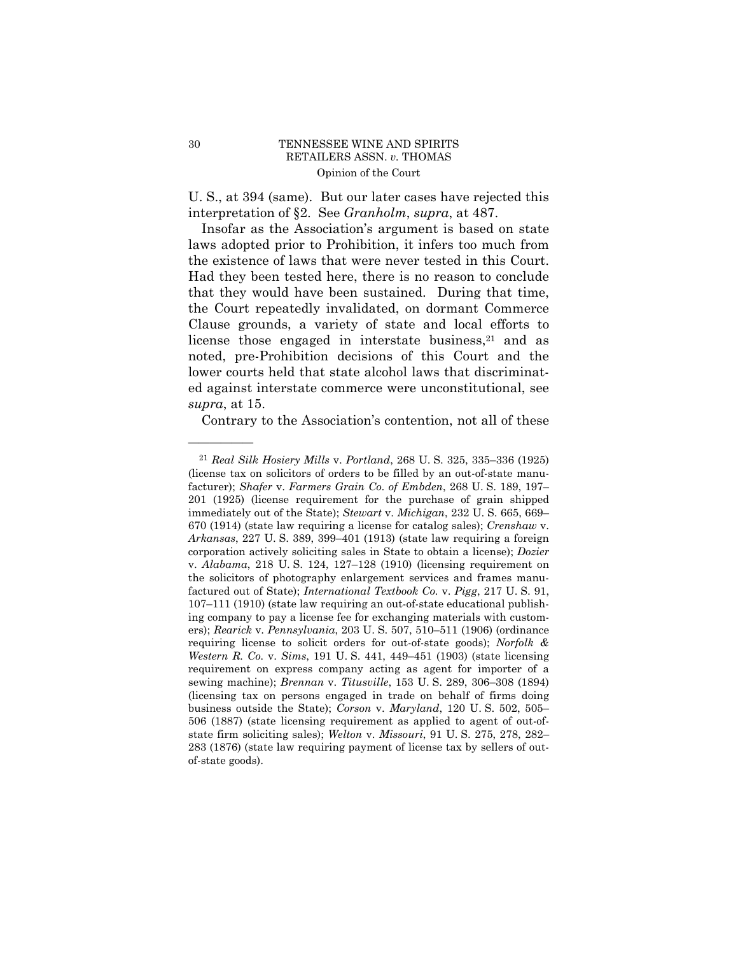U. S., at 394 (same). But our later cases have rejected this interpretation of §2. See *Granholm*, *supra*, at 487.

Insofar as the Association's argument is based on state laws adopted prior to Prohibition, it infers too much from the existence of laws that were never tested in this Court. Had they been tested here, there is no reason to conclude that they would have been sustained. During that time, the Court repeatedly invalidated, on dormant Commerce Clause grounds, a variety of state and local efforts to license those engaged in interstate business, $21$  and as noted, pre-Prohibition decisions of this Court and the lower courts held that state alcohol laws that discriminated against interstate commerce were unconstitutional, see *supra*, at 15.

Contrary to the Association's contention, not all of these

 requirement on express company acting as agent for importer of a <sup>21</sup>*Real Silk Hosiery Mills* v. *Portland*, 268 U. S. 325, 335–336 (1925) (license tax on solicitors of orders to be filled by an out-of-state manufacturer); *Shafer* v. *Farmers Grain Co. of Embden*, 268 U. S. 189, 197– 201 (1925) (license requirement for the purchase of grain shipped immediately out of the State); *Stewart* v. *Michigan*, 232 U. S. 665, 669– 670 (1914) (state law requiring a license for catalog sales); *Crenshaw* v. *Arkansas*, 227 U. S. 389, 399–401 (1913) (state law requiring a foreign corporation actively soliciting sales in State to obtain a license); *Dozier*  v. *Alabama*, 218 U. S. 124, 127–128 (1910) (licensing requirement on the solicitors of photography enlargement services and frames manufactured out of State); *International Textbook Co.* v. *Pigg*, 217 U. S. 91, 107–111 (1910) (state law requiring an out-of-state educational publishing company to pay a license fee for exchanging materials with customers); *Rearick* v. *Pennsylvania*, 203 U. S. 507, 510–511 (1906) (ordinance requiring license to solicit orders for out-of-state goods); *Norfolk & Western R. Co.* v. *Sims*, 191 U. S. 441, 449–451 (1903) (state licensing sewing machine); *Brennan* v. *Titusville*, 153 U. S. 289, 306–308 (1894) (licensing tax on persons engaged in trade on behalf of firms doing business outside the State); *Corson* v. *Maryland*, 120 U. S. 502, 505– 506 (1887) (state licensing requirement as applied to agent of out-ofstate firm soliciting sales); *Welton* v. *Missouri*, 91 U. S. 275, 278, 282– 283 (1876) (state law requiring payment of license tax by sellers of outof-state goods).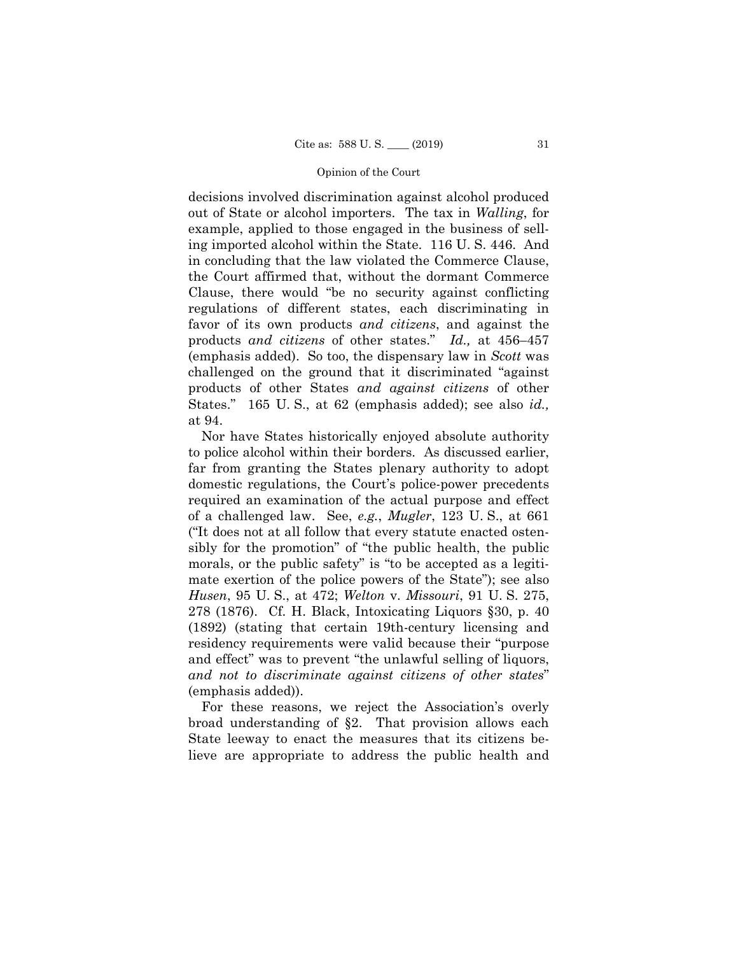decisions involved discrimination against alcohol produced out of State or alcohol importers. The tax in *Walling*, for example, applied to those engaged in the business of selling imported alcohol within the State. 116 U. S. 446. And in concluding that the law violated the Commerce Clause, the Court affirmed that, without the dormant Commerce Clause, there would "be no security against conflicting regulations of different states, each discriminating in favor of its own products *and citizens*, and against the products *and citizens* of other states." *Id.,* at 456–457 (emphasis added). So too, the dispensary law in *Scott* was challenged on the ground that it discriminated "against products of other States *and against citizens* of other States." 165 U. S., at 62 (emphasis added); see also *id.,*  at 94.

Nor have States historically enjoyed absolute authority to police alcohol within their borders. As discussed earlier, far from granting the States plenary authority to adopt domestic regulations, the Court's police-power precedents required an examination of the actual purpose and effect of a challenged law. See, *e.g.*, *Mugler*, 123 U. S., at 661 ("It does not at all follow that every statute enacted ostensibly for the promotion" of "the public health, the public morals, or the public safety" is "to be accepted as a legitimate exertion of the police powers of the State"); see also *Husen*, 95 U. S., at 472; *Welton* v. *Missouri*, 91 U. S. 275, 278 (1876). Cf. H. Black, Intoxicating Liquors §30, p. 40 (1892) (stating that certain 19th-century licensing and residency requirements were valid because their "purpose and effect" was to prevent "the unlawful selling of liquors, *and not to discriminate against citizens of other states*" (emphasis added)).

For these reasons, we reject the Association's overly broad understanding of §2. That provision allows each State leeway to enact the measures that its citizens believe are appropriate to address the public health and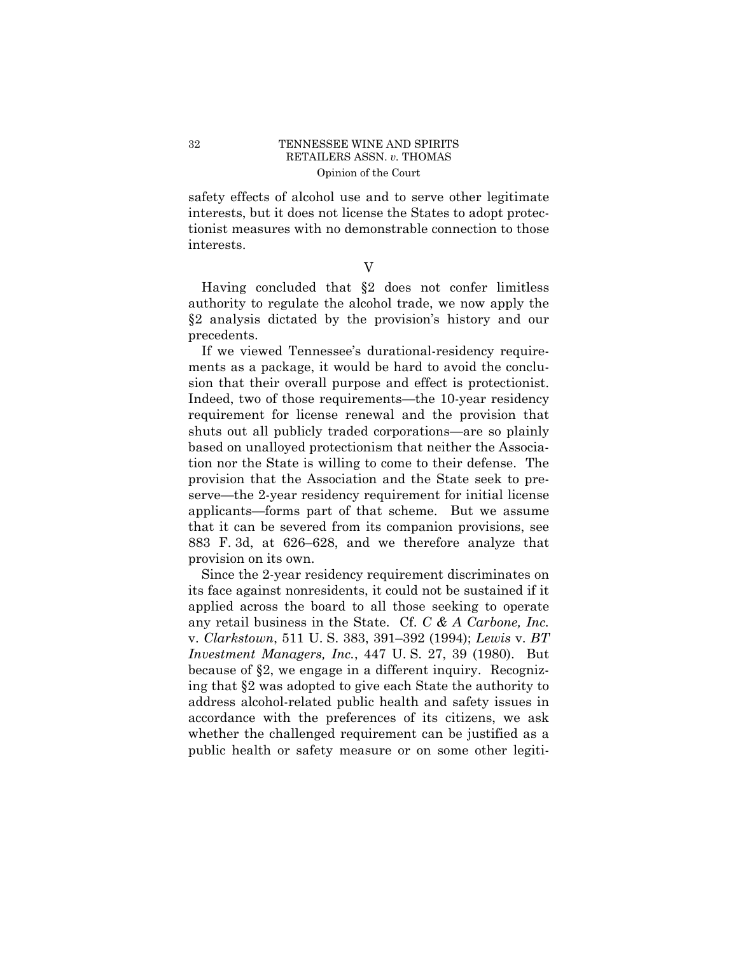safety effects of alcohol use and to serve other legitimate interests, but it does not license the States to adopt protectionist measures with no demonstrable connection to those interests.

V

Having concluded that §2 does not confer limitless authority to regulate the alcohol trade, we now apply the §2 analysis dictated by the provision's history and our precedents.

If we viewed Tennessee's durational-residency requirements as a package, it would be hard to avoid the conclusion that their overall purpose and effect is protectionist. Indeed, two of those requirements—the 10-year residency requirement for license renewal and the provision that shuts out all publicly traded corporations—are so plainly based on unalloyed protectionism that neither the Association nor the State is willing to come to their defense. The provision that the Association and the State seek to preserve—the 2-year residency requirement for initial license applicants—forms part of that scheme. But we assume that it can be severed from its companion provisions, see 883 F. 3d, at 626–628, and we therefore analyze that provision on its own.

Since the 2-year residency requirement discriminates on its face against nonresidents, it could not be sustained if it applied across the board to all those seeking to operate any retail business in the State. Cf. *C & A Carbone, Inc.*  v. *Clarkstown*, 511 U. S. 383, 391–392 (1994); *Lewis* v. *BT Investment Managers, Inc.*, 447 U. S. 27, 39 (1980). But because of §2, we engage in a different inquiry. Recognizing that §2 was adopted to give each State the authority to address alcohol-related public health and safety issues in accordance with the preferences of its citizens, we ask whether the challenged requirement can be justified as a public health or safety measure or on some other legiti-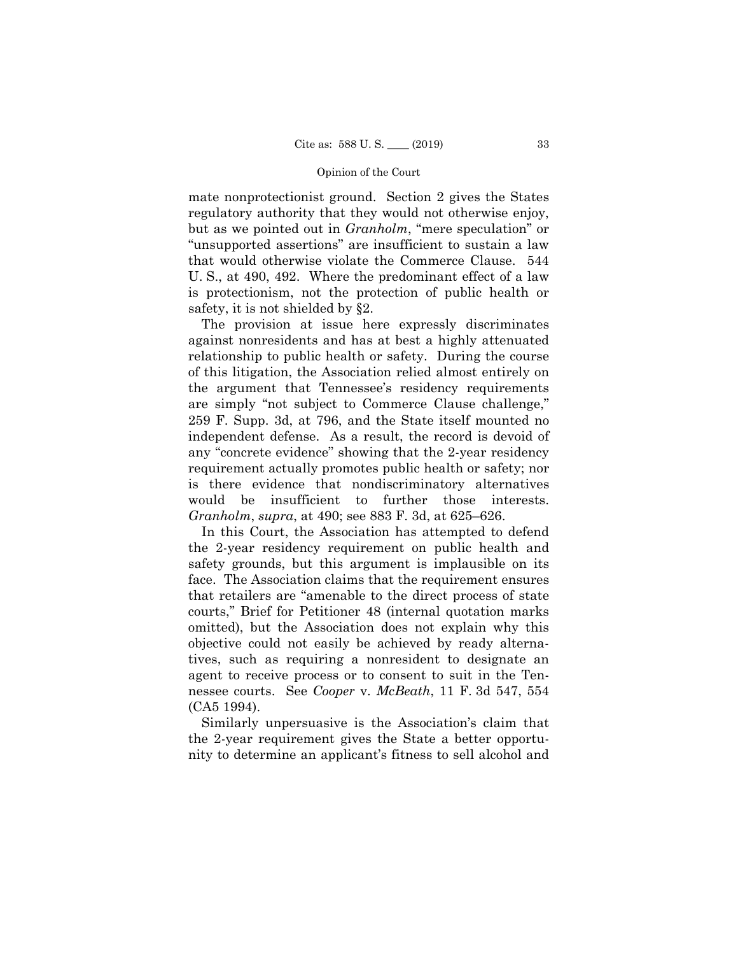mate nonprotectionist ground. Section 2 gives the States regulatory authority that they would not otherwise enjoy, but as we pointed out in *Granholm*, "mere speculation" or "unsupported assertions" are insufficient to sustain a law that would otherwise violate the Commerce Clause. 544 U. S., at 490, 492. Where the predominant effect of a law is protectionism, not the protection of public health or safety, it is not shielded by §2.

 would be insufficient to further those interests. The provision at issue here expressly discriminates against nonresidents and has at best a highly attenuated relationship to public health or safety. During the course of this litigation, the Association relied almost entirely on the argument that Tennessee's residency requirements are simply "not subject to Commerce Clause challenge," 259 F. Supp. 3d, at 796, and the State itself mounted no independent defense. As a result, the record is devoid of any "concrete evidence" showing that the 2-year residency requirement actually promotes public health or safety; nor is there evidence that nondiscriminatory alternatives *Granholm*, *supra*, at 490; see 883 F. 3d, at 625–626.

In this Court, the Association has attempted to defend the 2-year residency requirement on public health and safety grounds, but this argument is implausible on its face. The Association claims that the requirement ensures that retailers are "amenable to the direct process of state courts," Brief for Petitioner 48 (internal quotation marks omitted), but the Association does not explain why this objective could not easily be achieved by ready alternatives, such as requiring a nonresident to designate an agent to receive process or to consent to suit in the Tennessee courts. See *Cooper* v. *McBeath*, 11 F. 3d 547, 554 (CA5 1994).

Similarly unpersuasive is the Association's claim that the 2-year requirement gives the State a better opportunity to determine an applicant's fitness to sell alcohol and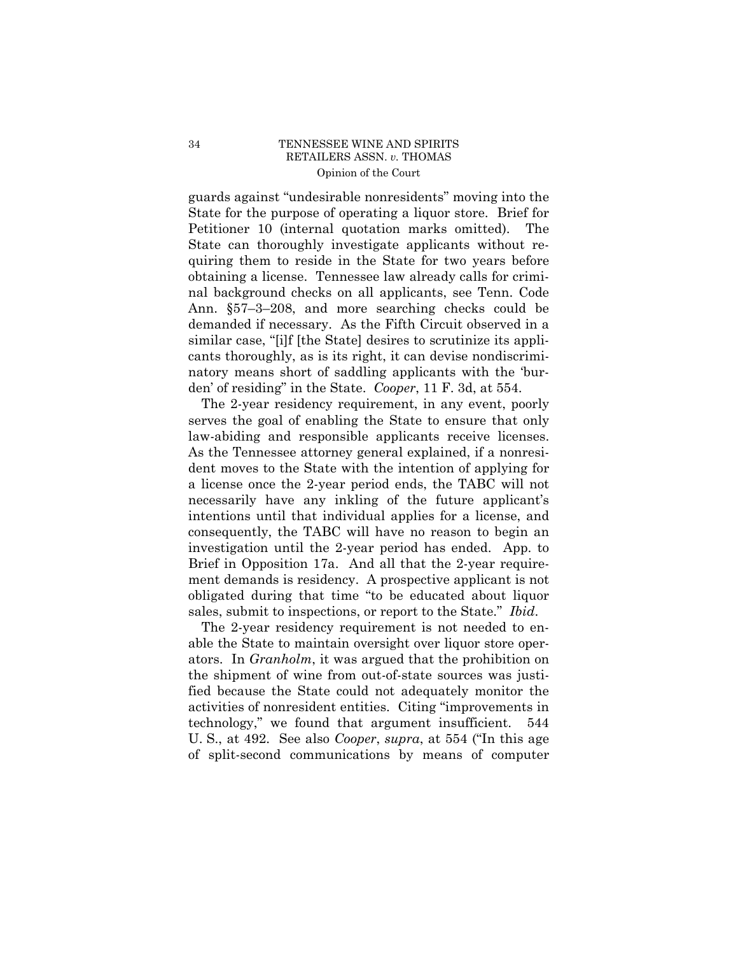guards against "undesirable nonresidents" moving into the State for the purpose of operating a liquor store. Brief for Petitioner 10 (internal quotation marks omitted). The State can thoroughly investigate applicants without requiring them to reside in the State for two years before obtaining a license. Tennessee law already calls for criminal background checks on all applicants, see Tenn. Code Ann. §57–3–208, and more searching checks could be demanded if necessary. As the Fifth Circuit observed in a similar case, "[i]f [the State] desires to scrutinize its applicants thoroughly, as is its right, it can devise nondiscriminatory means short of saddling applicants with the 'burden' of residing" in the State. *Cooper*, 11 F. 3d, at 554.

The 2-year residency requirement, in any event, poorly serves the goal of enabling the State to ensure that only law-abiding and responsible applicants receive licenses. As the Tennessee attorney general explained, if a nonresident moves to the State with the intention of applying for a license once the 2-year period ends, the TABC will not necessarily have any inkling of the future applicant's intentions until that individual applies for a license, and consequently, the TABC will have no reason to begin an investigation until the 2-year period has ended. App. to Brief in Opposition 17a. And all that the 2-year requirement demands is residency. A prospective applicant is not obligated during that time "to be educated about liquor sales, submit to inspections, or report to the State." *Ibid*.

The 2-year residency requirement is not needed to enable the State to maintain oversight over liquor store operators. In *Granholm*, it was argued that the prohibition on the shipment of wine from out-of-state sources was justified because the State could not adequately monitor the activities of nonresident entities. Citing "improvements in technology," we found that argument insufficient. 544 U. S., at 492. See also *Cooper*, *supra*, at 554 ("In this age of split-second communications by means of computer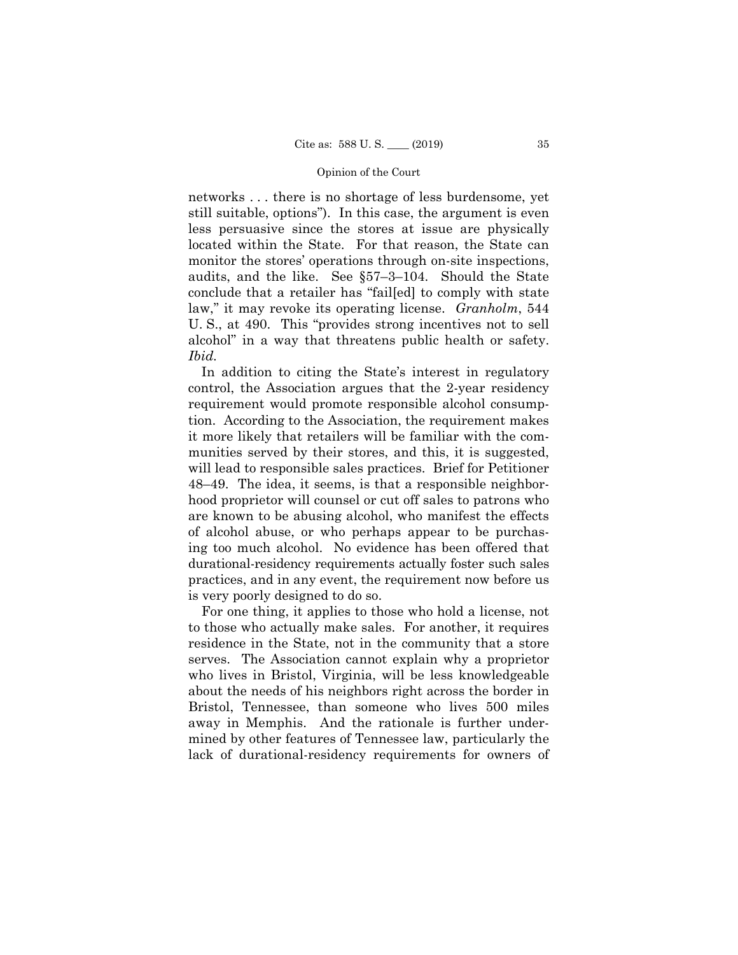networks . . . there is no shortage of less burdensome, yet still suitable, options"). In this case, the argument is even less persuasive since the stores at issue are physically located within the State. For that reason, the State can monitor the stores' operations through on-site inspections, audits, and the like. See §57–3–104. Should the State conclude that a retailer has "fail[ed] to comply with state law," it may revoke its operating license. *Granholm*, 544 U. S., at 490. This "provides strong incentives not to sell alcohol" in a way that threatens public health or safety. *Ibid.* 

In addition to citing the State's interest in regulatory control, the Association argues that the 2-year residency requirement would promote responsible alcohol consumption. According to the Association, the requirement makes it more likely that retailers will be familiar with the communities served by their stores, and this, it is suggested, will lead to responsible sales practices. Brief for Petitioner 48–49. The idea, it seems, is that a responsible neighborhood proprietor will counsel or cut off sales to patrons who are known to be abusing alcohol, who manifest the effects of alcohol abuse, or who perhaps appear to be purchasing too much alcohol. No evidence has been offered that durational-residency requirements actually foster such sales practices, and in any event, the requirement now before us is very poorly designed to do so.

For one thing, it applies to those who hold a license, not to those who actually make sales. For another, it requires residence in the State, not in the community that a store serves. The Association cannot explain why a proprietor who lives in Bristol, Virginia, will be less knowledgeable about the needs of his neighbors right across the border in Bristol, Tennessee, than someone who lives 500 miles away in Memphis. And the rationale is further undermined by other features of Tennessee law, particularly the lack of durational-residency requirements for owners of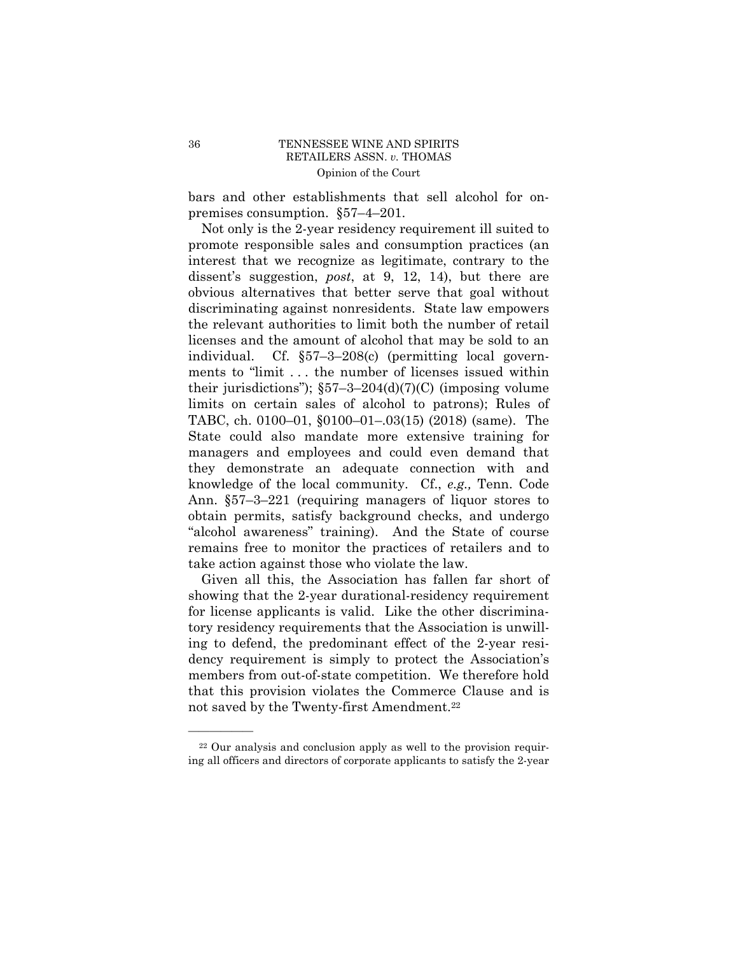bars and other establishments that sell alcohol for onpremises consumption. §57–4–201.

Not only is the 2-year residency requirement ill suited to promote responsible sales and consumption practices (an interest that we recognize as legitimate, contrary to the dissent's suggestion, *post*, at 9, 12, 14), but there are obvious alternatives that better serve that goal without discriminating against nonresidents. State law empowers the relevant authorities to limit both the number of retail licenses and the amount of alcohol that may be sold to an individual. Cf. §57–3–208(c) (permitting local governments to "limit . . . the number of licenses issued within their jurisdictions");  $\S57-3-204(d)(7)(C)$  (imposing volume limits on certain sales of alcohol to patrons); Rules of TABC, ch. 0100–01, §0100–01–.03(15) (2018) (same). The State could also mandate more extensive training for managers and employees and could even demand that they demonstrate an adequate connection with and knowledge of the local community. Cf., *e.g.,* Tenn. Code Ann. §57–3–221 (requiring managers of liquor stores to obtain permits, satisfy background checks, and undergo "alcohol awareness" training). And the State of course remains free to monitor the practices of retailers and to take action against those who violate the law.

Given all this, the Association has fallen far short of showing that the 2-year durational-residency requirement for license applicants is valid. Like the other discriminatory residency requirements that the Association is unwilling to defend, the predominant effect of the 2-year residency requirement is simply to protect the Association's members from out-of-state competition. We therefore hold that this provision violates the Commerce Clause and is not saved by the Twenty-first [Amendment.22](https://Amendment.22)

<sup>22</sup> Our analysis and conclusion apply as well to the provision requiring all officers and directors of corporate applicants to satisfy the 2-year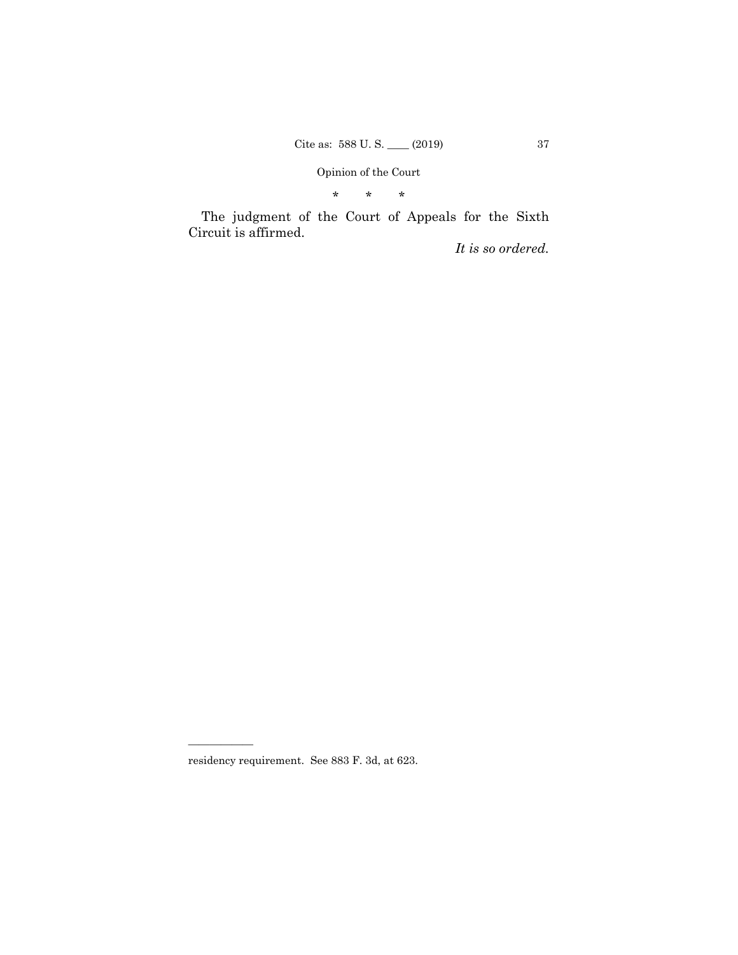\* \* \*

The judgment of the Court of Appeals for the Sixth Circuit is affirmed.

*It is so ordered.* 

residency requirement. See 883 F. 3d, at 623.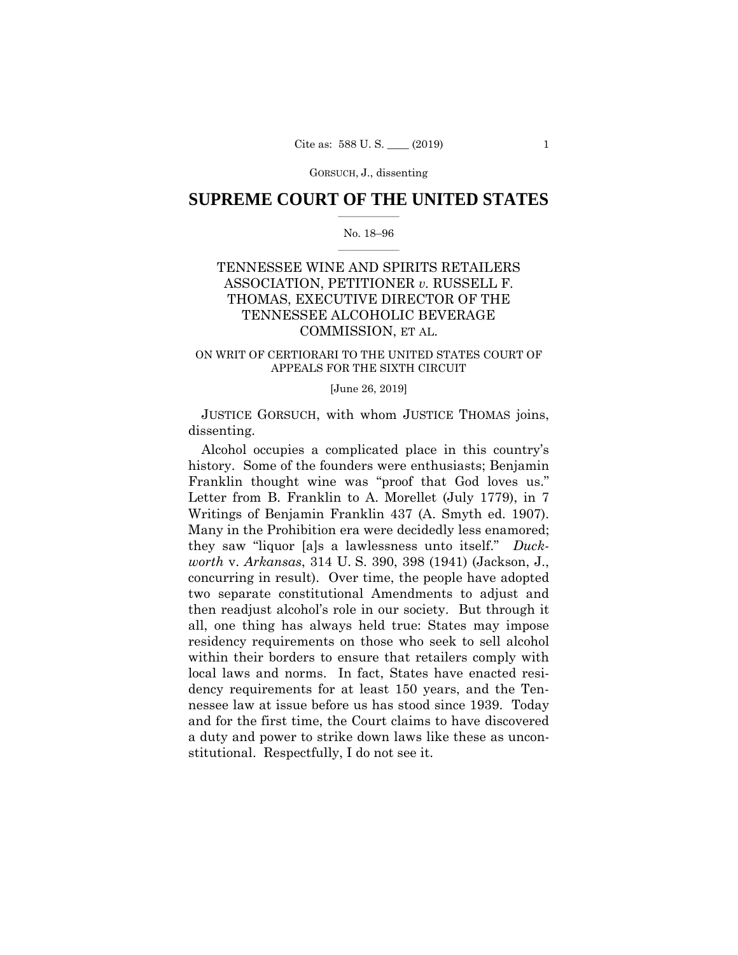GORSUCH, J., dissenting

# $\frac{1}{2}$  , where  $\frac{1}{2}$ **SUPREME COURT OF THE UNITED STATES**

## $\frac{1}{2}$  ,  $\frac{1}{2}$  ,  $\frac{1}{2}$  ,  $\frac{1}{2}$  ,  $\frac{1}{2}$  ,  $\frac{1}{2}$ No. 18–96

# TENNESSEE WINE AND SPIRITS RETAILERS ASSOCIATION, PETITIONER *v.* RUSSELL F. THOMAS, EXECUTIVE DIRECTOR OF THE TENNESSEE ALCOHOLIC BEVERAGE COMMISSION, ET AL.

# ON WRIT OF CERTIORARI TO THE UNITED STATES COURT OF APPEALS FOR THE SIXTH CIRCUIT

## [June 26, 2019]

JUSTICE GORSUCH, with whom JUSTICE THOMAS joins, dissenting.

Alcohol occupies a complicated place in this country's history. Some of the founders were enthusiasts; Benjamin Franklin thought wine was "proof that God loves us." Letter from B. Franklin to A. Morellet (July 1779), in 7 Writings of Benjamin Franklin 437 (A. Smyth ed. 1907). Many in the Prohibition era were decidedly less enamored; they saw "liquor [a]s a lawlessness unto itself." *Duckworth* v. *Arkansas*, 314 U. S. 390, 398 (1941) (Jackson, J., concurring in result). Over time, the people have adopted two separate constitutional Amendments to adjust and then readjust alcohol's role in our society. But through it all, one thing has always held true: States may impose residency requirements on those who seek to sell alcohol within their borders to ensure that retailers comply with local laws and norms. In fact, States have enacted residency requirements for at least 150 years, and the Tennessee law at issue before us has stood since 1939. Today and for the first time, the Court claims to have discovered a duty and power to strike down laws like these as unconstitutional. Respectfully, I do not see it.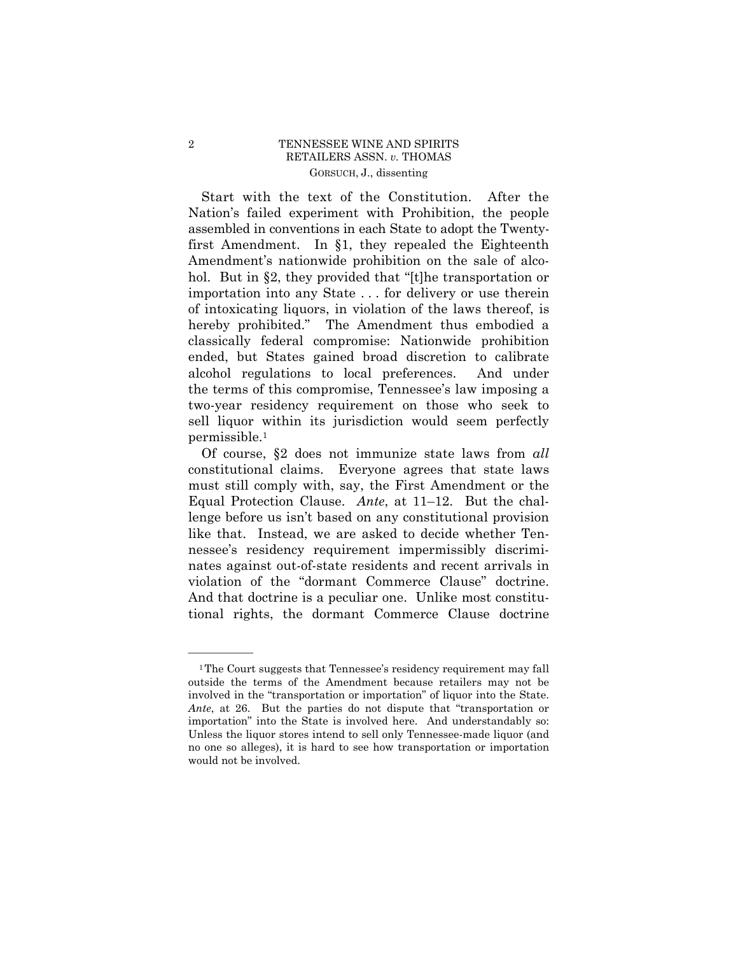# 2 TENNESSEE WINE AND SPIRITS RETAILERS ASSN. *v.* THOMAS GORSUCH, J., dissenting

 two-year residency requirement on those who seek to Start with the text of the Constitution. After the Nation's failed experiment with Prohibition, the people assembled in conventions in each State to adopt the Twentyfirst Amendment. In §1, they repealed the Eighteenth Amendment's nationwide prohibition on the sale of alcohol. But in §2, they provided that "[t]he transportation or importation into any State . . . for delivery or use therein of intoxicating liquors, in violation of the laws thereof, is hereby prohibited." The Amendment thus embodied a classically federal compromise: Nationwide prohibition ended, but States gained broad discretion to calibrate alcohol regulations to local preferences. And under the terms of this compromise, Tennessee's law imposing a sell liquor within its jurisdiction would seem perfectly permissible.1

Of course, §2 does not immunize state laws from *all*  constitutional claims. Everyone agrees that state laws must still comply with, say, the First Amendment or the Equal Protection Clause. *Ante*, at 11–12. But the challenge before us isn't based on any constitutional provision like that. Instead, we are asked to decide whether Tennessee's residency requirement impermissibly discriminates against out-of-state residents and recent arrivals in violation of the "dormant Commerce Clause" doctrine. And that doctrine is a peculiar one. Unlike most constitutional rights, the dormant Commerce Clause doctrine

<sup>&</sup>lt;sup>1</sup>The Court suggests that Tennessee's residency requirement may fall outside the terms of the Amendment because retailers may not be involved in the "transportation or importation" of liquor into the State. *Ante*, at 26. But the parties do not dispute that "transportation or importation" into the State is involved here. And understandably so: Unless the liquor stores intend to sell only Tennessee-made liquor (and no one so alleges), it is hard to see how transportation or importation would not be involved.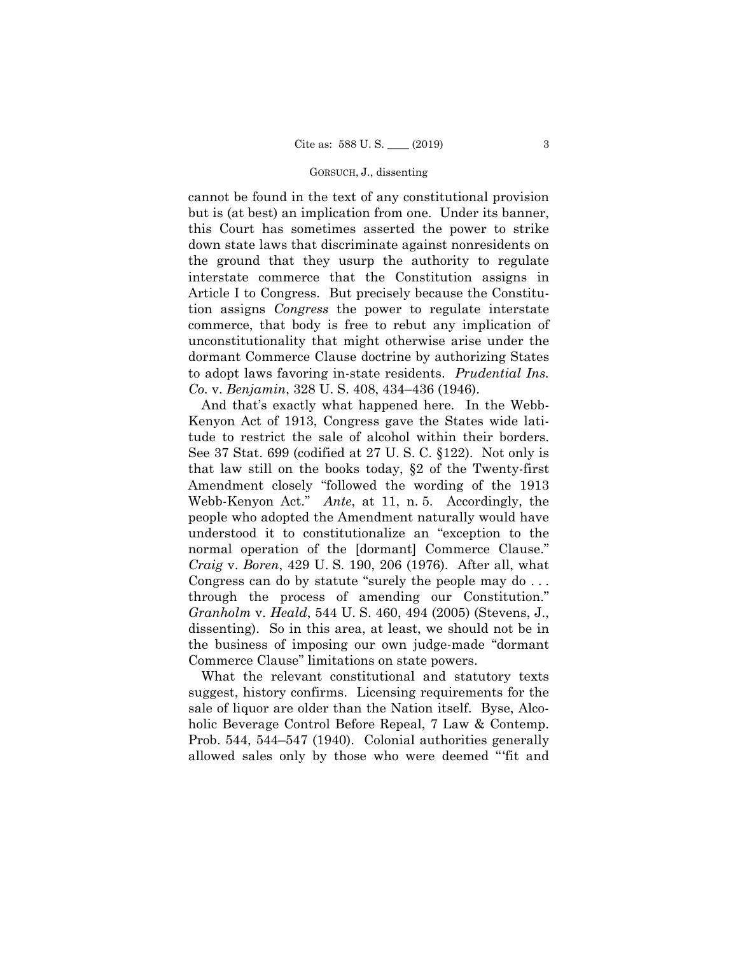### GORSUCH, J., dissenting

cannot be found in the text of any constitutional provision but is (at best) an implication from one. Under its banner, this Court has sometimes asserted the power to strike down state laws that discriminate against nonresidents on the ground that they usurp the authority to regulate interstate commerce that the Constitution assigns in Article I to Congress. But precisely because the Constitution assigns *Congress* the power to regulate interstate commerce, that body is free to rebut any implication of unconstitutionality that might otherwise arise under the dormant Commerce Clause doctrine by authorizing States to adopt laws favoring in-state residents. *Prudential Ins. Co.* v. *Benjamin*, 328 U. S. 408, 434–436 (1946).

 Congress can do by statute "surely the people may do . . . And that's exactly what happened here. In the Webb-Kenyon Act of 1913, Congress gave the States wide latitude to restrict the sale of alcohol within their borders. See 37 Stat. 699 (codified at 27 U. S. C. §122). Not only is that law still on the books today, §2 of the Twenty-first Amendment closely "followed the wording of the 1913 Webb-Kenyon Act." *Ante*, at 11, n. 5. Accordingly, the people who adopted the Amendment naturally would have understood it to constitutionalize an "exception to the normal operation of the [dormant] Commerce Clause." *Craig* v. *Boren*, 429 U. S. 190, 206 (1976). After all, what through the process of amending our Constitution." *Granholm* v. *Heald*, 544 U. S. 460, 494 (2005) (Stevens, J., dissenting). So in this area, at least, we should not be in the business of imposing our own judge-made "dormant Commerce Clause" limitations on state powers.

What the relevant constitutional and statutory texts suggest, history confirms. Licensing requirements for the sale of liquor are older than the Nation itself. Byse, Alcoholic Beverage Control Before Repeal, 7 Law & Contemp. Prob. 544, 544–547 (1940). Colonial authorities generally allowed sales only by those who were deemed "'fit and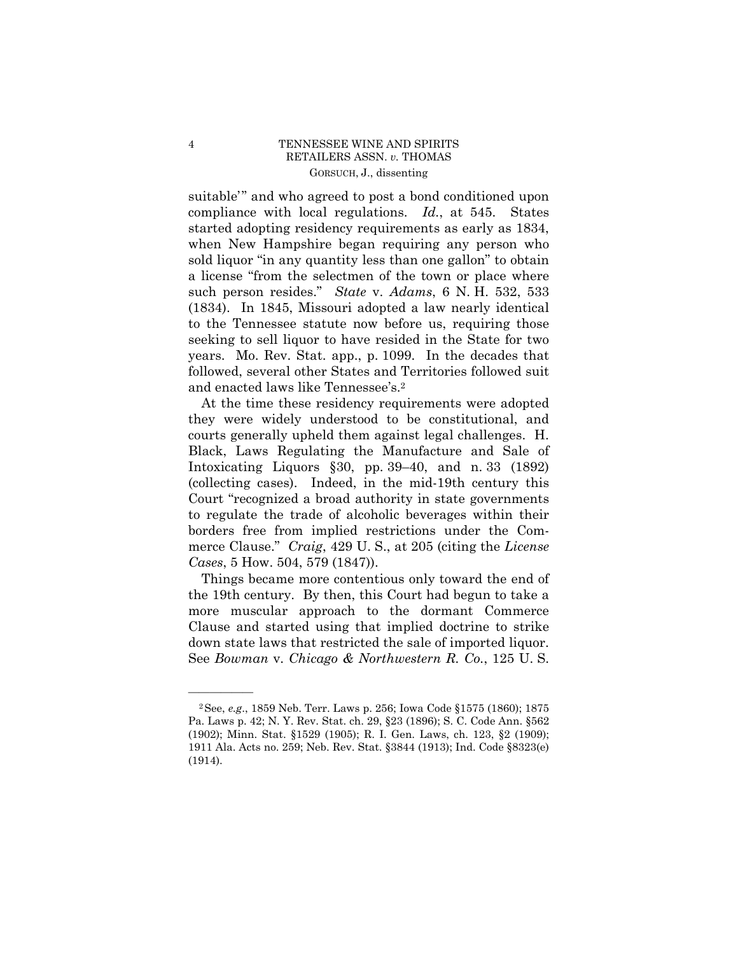# 4 TENNESSEE WINE AND SPIRITS RETAILERS ASSN. *v.* THOMAS GORSUCH, J., dissenting

 (1834). In 1845, Missouri adopted a law nearly identical suitable'" and who agreed to post a bond conditioned upon compliance with local regulations. *Id.*, at 545. States started adopting residency requirements as early as 1834, when New Hampshire began requiring any person who sold liquor "in any quantity less than one gallon" to obtain a license "from the selectmen of the town or place where such person resides." *State* v. *Adams*, 6 N. H. 532, 533 to the Tennessee statute now before us, requiring those seeking to sell liquor to have resided in the State for two years. Mo. Rev. Stat. app., p. 1099. In the decades that followed, several other States and Territories followed suit and enacted laws like Tennessee's.2

At the time these residency requirements were adopted they were widely understood to be constitutional, and courts generally upheld them against legal challenges. H. Black, Laws Regulating the Manufacture and Sale of Intoxicating Liquors §30, pp. 39–40, and n. 33 (1892) (collecting cases). Indeed, in the mid-19th century this Court "recognized a broad authority in state governments to regulate the trade of alcoholic beverages within their borders free from implied restrictions under the Commerce Clause." *Craig*, 429 U. S., at 205 (citing the *License Cases*, 5 How. 504, 579 (1847)).

Things became more contentious only toward the end of the 19th century. By then, this Court had begun to take a more muscular approach to the dormant Commerce Clause and started using that implied doctrine to strike down state laws that restricted the sale of imported liquor. See *Bowman* v. *Chicago & Northwestern R. Co.*, 125 U. S.

<sup>2</sup>See, *e.g*., 1859 Neb. Terr. Laws p. 256; Iowa Code §1575 (1860); 1875 Pa. Laws p. 42; N. Y. Rev. Stat. ch. 29, §23 (1896); S. C. Code Ann. §562 (1902); Minn. Stat. §1529 (1905); R. I. Gen. Laws, ch. 123, §2 (1909); 1911 Ala. Acts no. 259; Neb. Rev. Stat. §3844 (1913); Ind. Code §8323(e) (1914).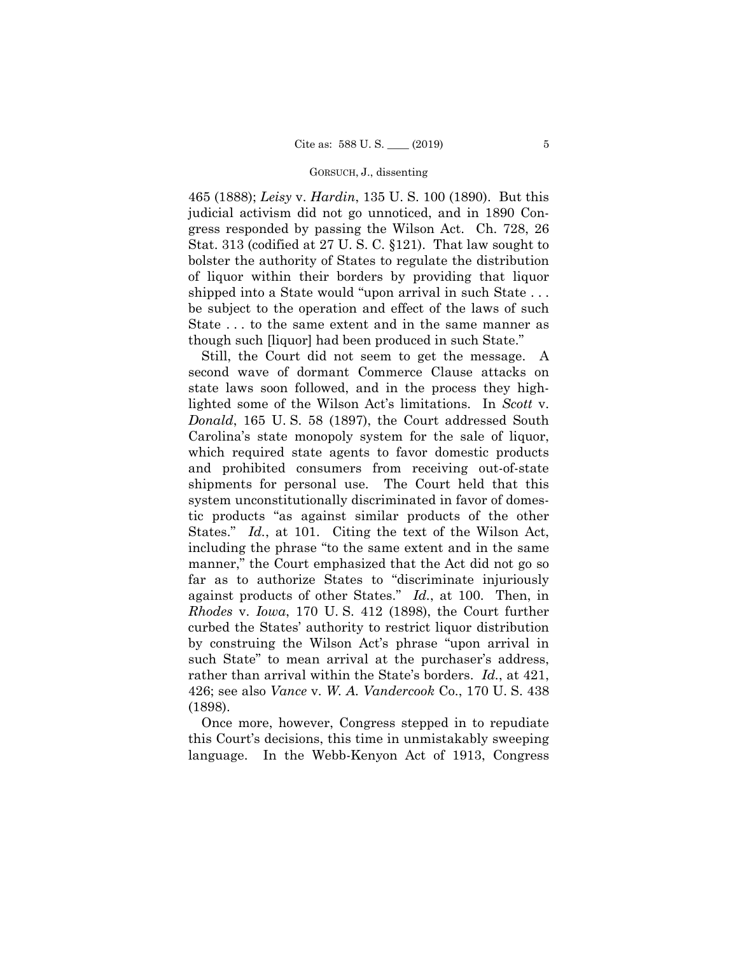### GORSUCH, J., dissenting

465 (1888); *Leisy* v. *Hardin*, 135 U. S. 100 (1890). But this judicial activism did not go unnoticed, and in 1890 Congress responded by passing the Wilson Act. Ch. 728, 26 Stat. 313 (codified at 27 U. S. C. §121). That law sought to bolster the authority of States to regulate the distribution of liquor within their borders by providing that liquor shipped into a State would "upon arrival in such State . . . be subject to the operation and effect of the laws of such State . . . to the same extent and in the same manner as though such [liquor] had been produced in such State."

States." *Id.*, at 101. Citing the text of the Wilson Act, against products of other States." *Id.*, at 100. Then, in rather than arrival within the State's borders. *Id.*, at 421, Still, the Court did not seem to get the message. A second wave of dormant Commerce Clause attacks on state laws soon followed, and in the process they highlighted some of the Wilson Act's limitations. In *Scott* v. *Donald*, 165 U. S. 58 (1897), the Court addressed South Carolina's state monopoly system for the sale of liquor, which required state agents to favor domestic products and prohibited consumers from receiving out-of-state shipments for personal use. The Court held that this system unconstitutionally discriminated in favor of domestic products "as against similar products of the other including the phrase "to the same extent and in the same manner," the Court emphasized that the Act did not go so far as to authorize States to "discriminate injuriously *Rhodes* v. *Iowa*, 170 U. S. 412 (1898), the Court further curbed the States' authority to restrict liquor distribution by construing the Wilson Act's phrase "upon arrival in such State" to mean arrival at the purchaser's address, 426; see also *Vance* v. *W. A. Vandercook* Co., 170 U. S. 438 (1898).

Once more, however, Congress stepped in to repudiate this Court's decisions, this time in unmistakably sweeping language. In the Webb-Kenyon Act of 1913, Congress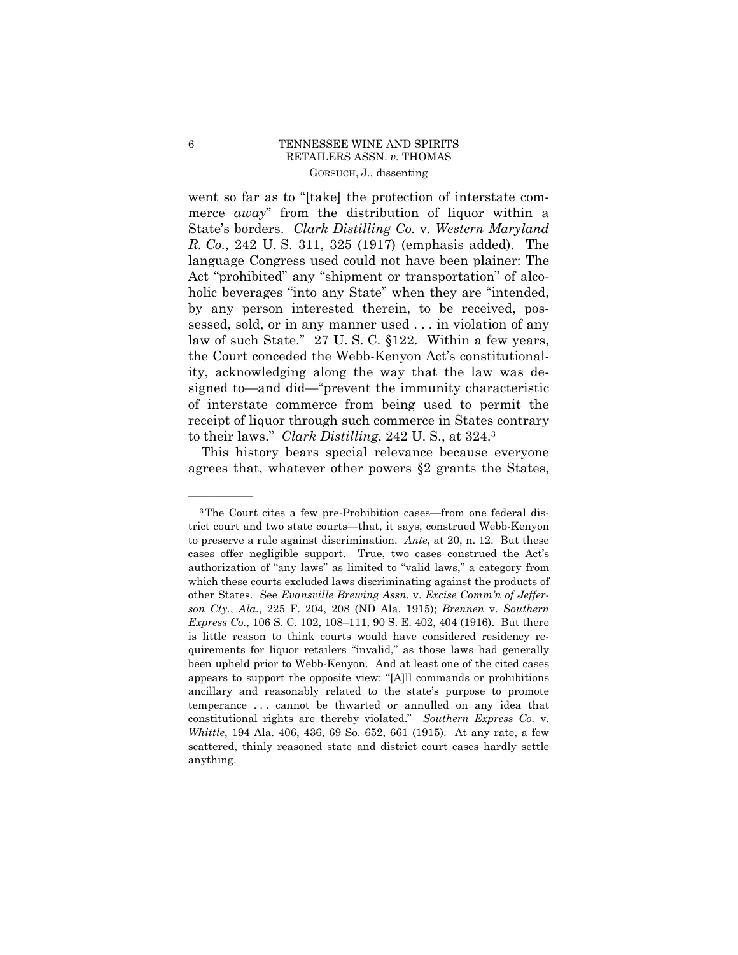# 6 TENNESSEE WINE AND SPIRITS RETAILERS ASSN. *v.* THOMAS GORSUCH, J., dissenting

 *R. Co.*, 242 U. S. 311, 325 (1917) (emphasis added). The went so far as to "[take] the protection of interstate commerce *away*" from the distribution of liquor within a State's borders. *Clark Distilling Co.* v. *Western Maryland*  language Congress used could not have been plainer: The Act "prohibited" any "shipment or transportation" of alcoholic beverages "into any State" when they are "intended, by any person interested therein, to be received, possessed, sold, or in any manner used . . . in violation of any law of such State." 27 U. S. C. §122. Within a few years, the Court conceded the Webb-Kenyon Act's constitutionality, acknowledging along the way that the law was designed to—and did—"prevent the immunity characteristic of interstate commerce from being used to permit the receipt of liquor through such commerce in States contrary to their laws." *Clark Distilling*, 242 U. S., at 324.3

This history bears special relevance because everyone agrees that, whatever other powers §2 grants the States,

*Whittle*, 194 Ala. 406, 436, 69 So. 652, 661 (1915). At any rate, a few 3The Court cites a few pre-Prohibition cases—from one federal district court and two state courts—that, it says, construed Webb-Kenyon to preserve a rule against discrimination. *Ante*, at 20, n. 12. But these cases offer negligible support. True, two cases construed the Act's authorization of "any laws" as limited to "valid laws," a category from which these courts excluded laws discriminating against the products of other States. See *Evansville Brewing Assn.* v. *Excise Comm'n of Jefferson Cty.*, *Ala.*, 225 F. 204, 208 (ND Ala. 1915); *Brennen* v. *Southern Express Co.*, 106 S. C. 102, 108–111, 90 S. E. 402, 404 (1916). But there is little reason to think courts would have considered residency requirements for liquor retailers "invalid," as those laws had generally been upheld prior to Webb-Kenyon. And at least one of the cited cases appears to support the opposite view: "[A]ll commands or prohibitions ancillary and reasonably related to the state's purpose to promote temperance . . . cannot be thwarted or annulled on any idea that constitutional rights are thereby violated." *Southern Express Co.* v. scattered, thinly reasoned state and district court cases hardly settle anything.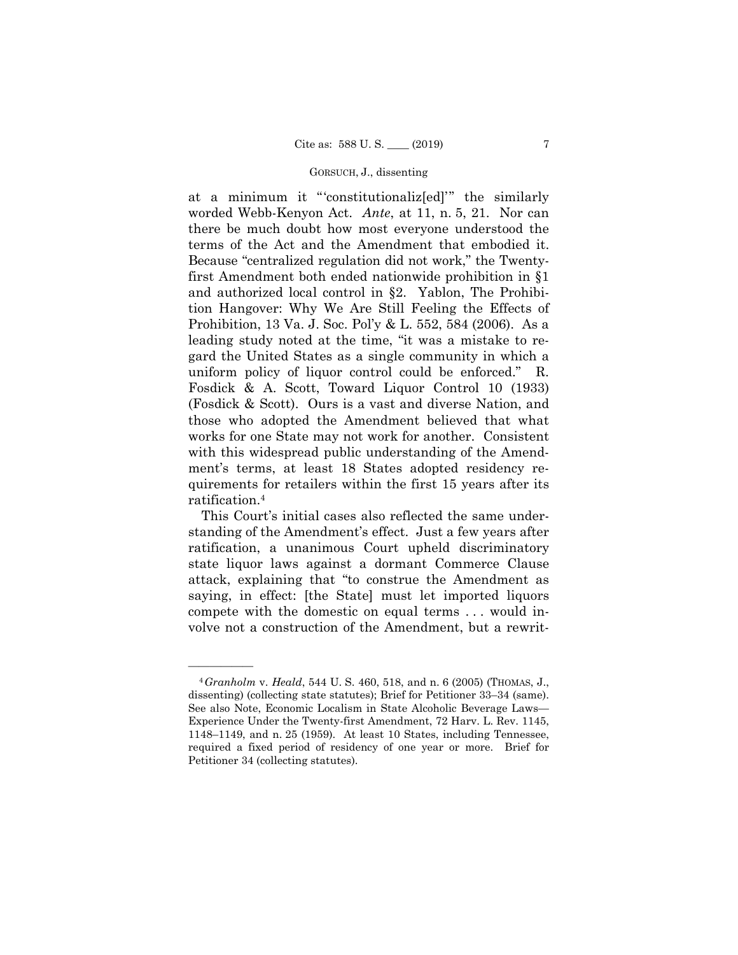# GORSUCH, J., dissenting

at a minimum it "'constitutionaliz[ed]'" the similarly worded Webb-Kenyon Act. *Ante*, at 11, n. 5, 21. Nor can there be much doubt how most everyone understood the terms of the Act and the Amendment that embodied it. Because "centralized regulation did not work," the Twentyfirst Amendment both ended nationwide prohibition in §1 and authorized local control in §2. Yablon, The Prohibition Hangover: Why We Are Still Feeling the Effects of Prohibition, 13 Va. J. Soc. Pol'y & L. 552, 584 (2006). As a leading study noted at the time, "it was a mistake to regard the United States as a single community in which a uniform policy of liquor control could be enforced." R. Fosdick & A. Scott, Toward Liquor Control 10 (1933) (Fosdick & Scott). Ours is a vast and diverse Nation, and those who adopted the Amendment believed that what works for one State may not work for another. Consistent with this widespread public understanding of the Amendment's terms, at least 18 States adopted residency requirements for retailers within the first 15 years after its ratification.4

This Court's initial cases also reflected the same understanding of the Amendment's effect. Just a few years after ratification, a unanimous Court upheld discriminatory state liquor laws against a dormant Commerce Clause attack, explaining that "to construe the Amendment as saying, in effect: [the State] must let imported liquors compete with the domestic on equal terms . . . would involve not a construction of the Amendment, but a rewrit-

 dissenting) (collecting state statutes); Brief for Petitioner 33–34 (same). <sup>4</sup>*Granholm* v. *Heald*, 544 U. S. 460, 518, and n. 6 (2005) (THOMAS, J., See also Note, Economic Localism in State Alcoholic Beverage Laws— Experience Under the Twenty-first Amendment, 72 Harv. L. Rev. 1145, 1148–1149, and n. 25 (1959). At least 10 States, including Tennessee, required a fixed period of residency of one year or more. Brief for Petitioner 34 (collecting statutes).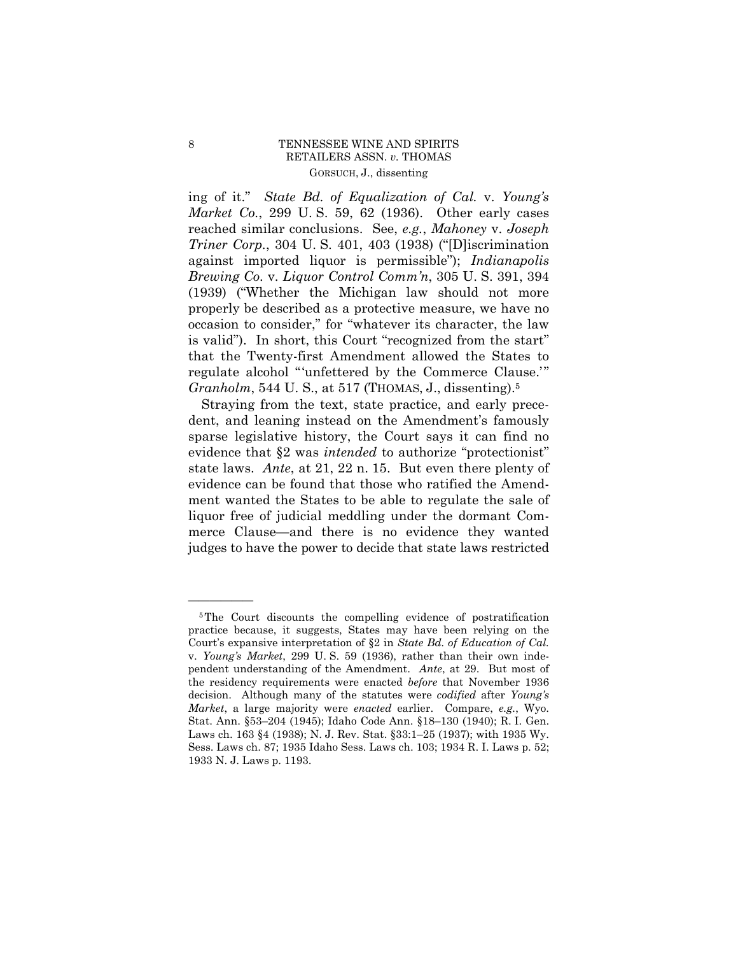# 8 TENNESSEE WINE AND SPIRITS RETAILERS ASSN. *v.* THOMAS GORSUCH, J., dissenting

*Granholm*, 544 U. S., at 517 (THOMAS, J., dissenting).<sup>5</sup> ing of it." *State Bd. of Equalization of Cal.* v. *Young's Market Co.*, 299 U. S. 59, 62 (1936). Other early cases reached similar conclusions. See, *e.g.*, *Mahoney* v. *Joseph Triner Corp.*, 304 U. S. 401, 403 (1938) ("[D]iscrimination against imported liquor is permissible"); *Indianapolis Brewing Co.* v. *Liquor Control Comm'n*, 305 U. S. 391, 394 (1939) ("Whether the Michigan law should not more properly be described as a protective measure, we have no occasion to consider," for "whatever its character, the law is valid"). In short, this Court "recognized from the start" that the Twenty-first Amendment allowed the States to regulate alcohol "'unfettered by the Commerce Clause.'"

Straying from the text, state practice, and early precedent, and leaning instead on the Amendment's famously sparse legislative history, the Court says it can find no evidence that §2 was *intended* to authorize "protectionist" state laws. *Ante*, at 21, 22 n. 15. But even there plenty of evidence can be found that those who ratified the Amendment wanted the States to be able to regulate the sale of liquor free of judicial meddling under the dormant Commerce Clause—and there is no evidence they wanted judges to have the power to decide that state laws restricted

 pendent understanding of the Amendment. *Ante*, at 29. But most of 5The Court discounts the compelling evidence of postratification practice because, it suggests, States may have been relying on the Court's expansive interpretation of §2 in *State Bd. of Education of Cal.*  v. *Young's Market*, 299 U. S. 59 (1936), rather than their own indethe residency requirements were enacted *before* that November 1936 decision. Although many of the statutes were *codified* after *Young's Market*, a large majority were *enacted* earlier. Compare, *e.g.*, Wyo. Stat. Ann. §53–204 (1945); Idaho Code Ann. §18–130 (1940); R. I. Gen. Laws ch. 163 §4 (1938); N. J. Rev. Stat. §33:1–25 (1937); with 1935 Wy. Sess. Laws ch. 87; 1935 Idaho Sess. Laws ch. 103; 1934 R. I. Laws p. 52; 1933 N. J. Laws p. 1193.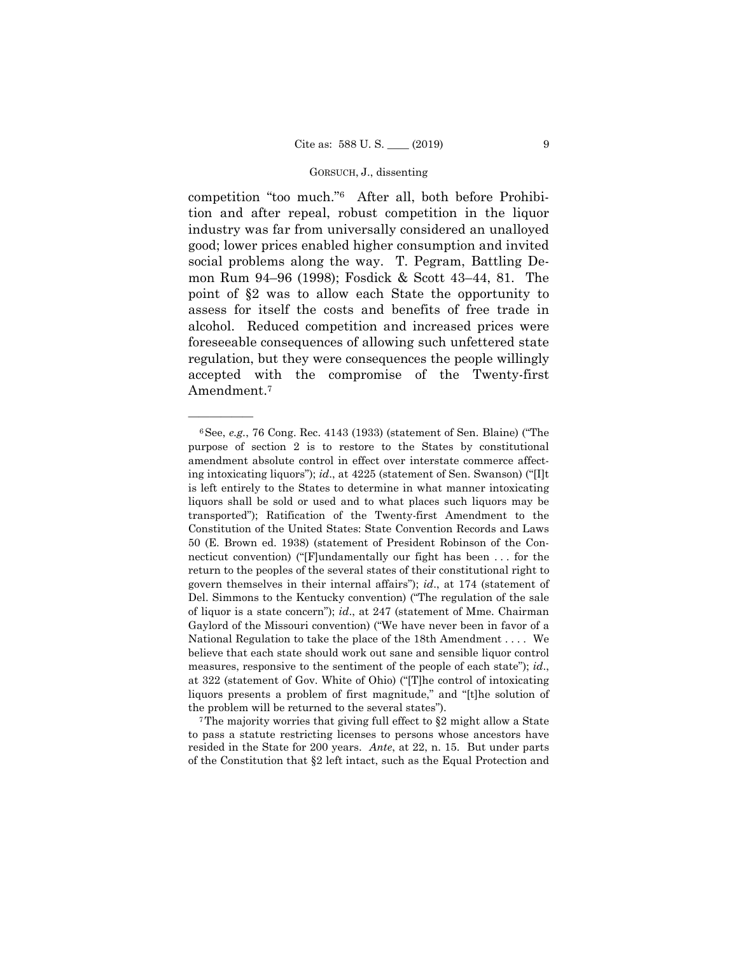# GORSUCH, J., dissenting

competition "too much."6 After all, both before Prohibition and after repeal, robust competition in the liquor industry was far from universally considered an unalloyed good; lower prices enabled higher consumption and invited social problems along the way. T. Pegram, Battling Demon Rum 94–96 (1998); Fosdick & Scott 43–44, 81. The point of §2 was to allow each State the opportunity to assess for itself the costs and benefits of free trade in alcohol. Reduced competition and increased prices were foreseeable consequences of allowing such unfettered state regulation, but they were consequences the people willingly accepted with the compromise of the Twenty-first Amendment.7

——————

to pass a statute restricting licenses to persons whose ancestors have resided in the State for 200 years. *Ante*, at 22, n. 15. But under parts of the Constitution that §2 left intact, such as the Equal Protection and

<sup>6</sup>See, *e.g.*, 76 Cong. Rec. 4143 (1933) (statement of Sen. Blaine) ("The purpose of section 2 is to restore to the States by constitutional amendment absolute control in effect over interstate commerce affecting intoxicating liquors"); *id*., at 4225 (statement of Sen. Swanson) ("[I]t is left entirely to the States to determine in what manner intoxicating liquors shall be sold or used and to what places such liquors may be transported"); Ratification of the Twenty-first Amendment to the Constitution of the United States: State Convention Records and Laws 50 (E. Brown ed. 1938) (statement of President Robinson of the Connecticut convention) ("[F]undamentally our fight has been . . . for the return to the peoples of the several states of their constitutional right to govern themselves in their internal affairs"); *id*., at 174 (statement of Del. Simmons to the Kentucky convention) ("The regulation of the sale of liquor is a state concern"); *id*., at 247 (statement of Mme. Chairman Gaylord of the Missouri convention) ("We have never been in favor of a National Regulation to take the place of the 18th Amendment . . . . We believe that each state should work out sane and sensible liquor control measures, responsive to the sentiment of the people of each state"); *id*., at 322 (statement of Gov. White of Ohio) ("[T]he control of intoxicating liquors presents a problem of first magnitude," and "[t]he solution of the problem will be returned to the several states").<br>The majority worries that giving full effect to  $\S2$  might allow a State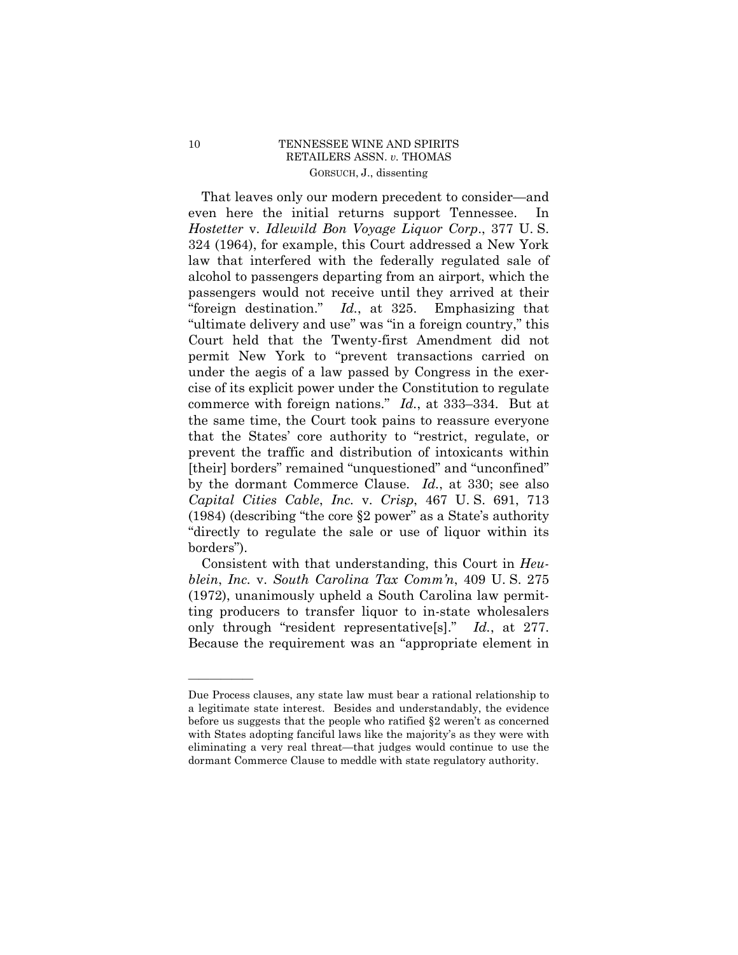# 10 TENNESSEE WINE AND SPIRITS RETAILERS ASSN. *v.* THOMAS GORSUCH, J., dissenting

That leaves only our modern precedent to consider—and even here the initial returns support Tennessee. In *Hostetter* v. *Idlewild Bon Voyage Liquor Corp*., 377 U. S. 324 (1964), for example, this Court addressed a New York law that interfered with the federally regulated sale of alcohol to passengers departing from an airport, which the passengers would not receive until they arrived at their "foreign destination." *Id.*, at 325. Emphasizing that "ultimate delivery and use" was "in a foreign country," this Court held that the Twenty-first Amendment did not permit New York to "prevent transactions carried on under the aegis of a law passed by Congress in the exercise of its explicit power under the Constitution to regulate commerce with foreign nations." *Id.*, at 333–334. But at the same time, the Court took pains to reassure everyone that the States' core authority to "restrict, regulate, or prevent the traffic and distribution of intoxicants within [their] borders" remained "unquestioned" and "unconfined" by the dormant Commerce Clause. *Id.*, at 330; see also *Capital Cities Cable*, *Inc.* v. *Crisp*, 467 U. S. 691, 713 (1984) (describing "the core §2 power" as a State's authority "directly to regulate the sale or use of liquor within its borders").

Consistent with that understanding, this Court in *Heublein*, *Inc.* v. *South Carolina Tax Comm'n*, 409 U. S. 275 (1972), unanimously upheld a South Carolina law permitting producers to transfer liquor to in-state wholesalers only through "resident representative[s]." *Id.*, at 277. Because the requirement was an "appropriate element in

 with States adopting fanciful laws like the majority's as they were with Due Process clauses, any state law must bear a rational relationship to a legitimate state interest. Besides and understandably, the evidence before us suggests that the people who ratified §2 weren't as concerned eliminating a very real threat—that judges would continue to use the dormant Commerce Clause to meddle with state regulatory authority.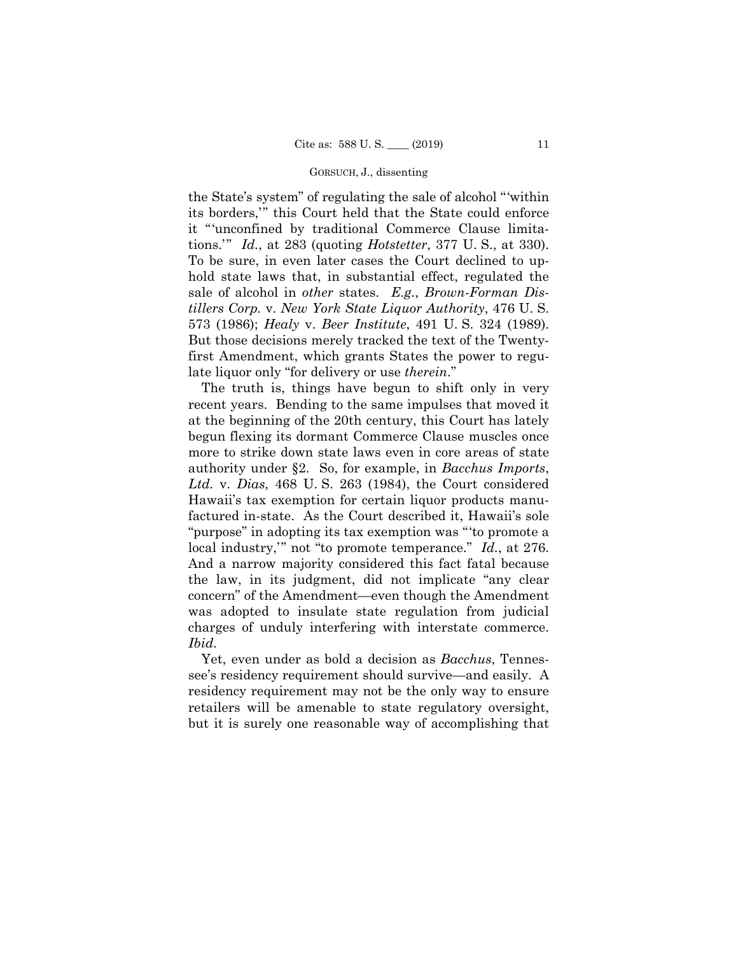### GORSUCH, J., dissenting

the State's system" of regulating the sale of alcohol "'within its borders,'" this Court held that the State could enforce it "'unconfined by traditional Commerce Clause limitations.'" *Id.*, at 283 (quoting *Hotstetter*, 377 U. S., at 330). To be sure, in even later cases the Court declined to uphold state laws that, in substantial effect, regulated the sale of alcohol in *other* states. *E.g.*, *Brown-Forman Distillers Corp.* v. *New York State Liquor Authority*, 476 U. S. 573 (1986); *Healy* v. *Beer Institute*, 491 U. S. 324 (1989). But those decisions merely tracked the text of the Twentyfirst Amendment, which grants States the power to regulate liquor only "for delivery or use *therein*."

The truth is, things have begun to shift only in very recent years. Bending to the same impulses that moved it at the beginning of the 20th century, this Court has lately begun flexing its dormant Commerce Clause muscles once more to strike down state laws even in core areas of state authority under §2. So, for example, in *Bacchus Imports*, *Ltd.* v. *Dias*, 468 U. S. 263 (1984), the Court considered Hawaii's tax exemption for certain liquor products manufactured in-state. As the Court described it, Hawaii's sole "purpose" in adopting its tax exemption was "'to promote a local industry,'" not "to promote temperance." *Id.*, at 276. And a narrow majority considered this fact fatal because the law, in its judgment, did not implicate "any clear concern" of the Amendment—even though the Amendment was adopted to insulate state regulation from judicial charges of unduly interfering with interstate commerce. *Ibid.* 

Yet, even under as bold a decision as *Bacchus*, Tennessee's residency requirement should survive—and easily. A residency requirement may not be the only way to ensure retailers will be amenable to state regulatory oversight, but it is surely one reasonable way of accomplishing that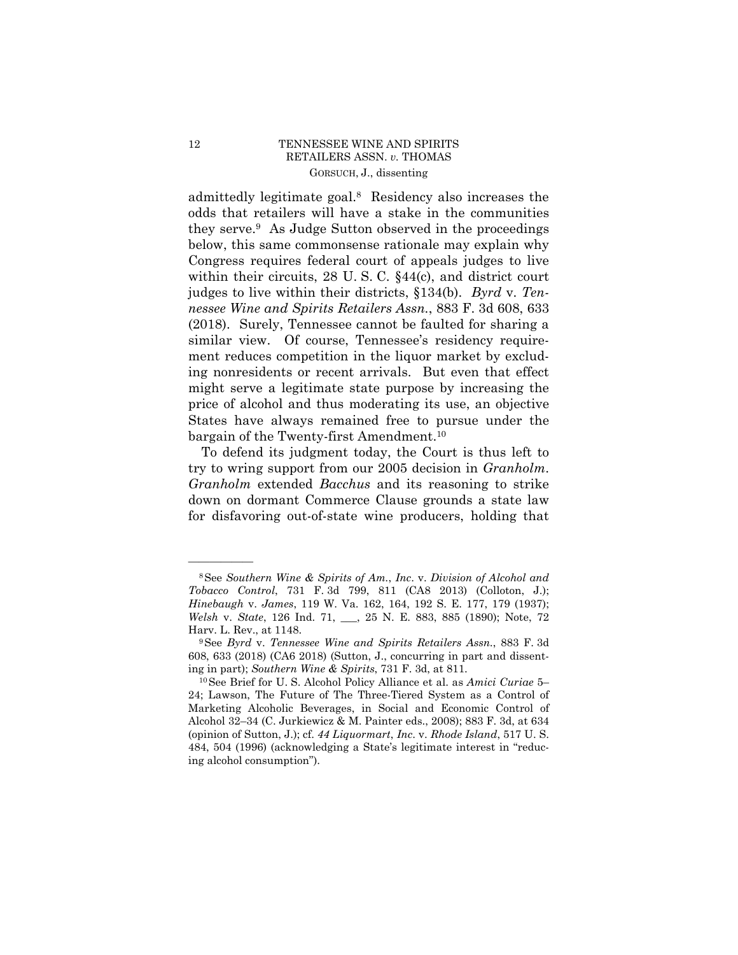# 12 TENNESSEE WINE AND SPIRITS RETAILERS ASSN. *v.* THOMAS GORSUCH, J., dissenting

admittedly legitimate goal.8 Residency also increases the odds that retailers will have a stake in the communities they serve.9 As Judge Sutton observed in the proceedings below, this same commonsense rationale may explain why Congress requires federal court of appeals judges to live within their circuits, 28 U.S.C. §44(c), and district court judges to live within their districts, §134(b). *Byrd* v. *Tennessee Wine and Spirits Retailers Assn.*, 883 F. 3d 608, 633 (2018). Surely, Tennessee cannot be faulted for sharing a similar view. Of course, Tennessee's residency requirement reduces competition in the liquor market by excluding nonresidents or recent arrivals. But even that effect might serve a legitimate state purpose by increasing the price of alcohol and thus moderating its use, an objective States have always remained free to pursue under the bargain of the Twenty-first [Amendment.10](https://Amendment.10)

To defend its judgment today, the Court is thus left to try to wring support from our 2005 decision in *Granholm*. *Granholm* extended *Bacchus* and its reasoning to strike down on dormant Commerce Clause grounds a state law for disfavoring out-of-state wine producers, holding that

 8See *Southern Wine & Spirits of Am.*, *Inc*. v. *Division of Alcohol and Tobacco Control*, 731 F. 3d 799, 811 (CA8 2013) (Colloton, J.); *Hinebaugh* v. *James*, 119 W. Va. 162, 164, 192 S. E. 177, 179 (1937); *Welsh* v. *State*, 126 Ind. 71, \_\_\_, 25 N. E. 883, 885 (1890); Note, 72 Harv. L. Rev., at 1148.<br><sup>9</sup>See *Byrd v. Tennessee Wine and Spirits Retailers Assn.*, 883 F. 3d

<sup>608, 633 (2018) (</sup>CA6 2018) (Sutton, J., concurring in part and dissenting in part); *Southern Wine & Spirits*, 731 F. 3d, at 811. 10See Brief for U. S. Alcohol Policy Alliance et al. as *Amici Curiae* 5–

<sup>24;</sup> Lawson, The Future of The Three-Tiered System as a Control of Marketing Alcoholic Beverages, in Social and Economic Control of Alcohol 32–34 (C. Jurkiewicz & M. Painter eds., 2008); 883 F. 3d, at 634 (opinion of Sutton, J.); cf. *44 Liquormart*, *Inc*. v. *Rhode Island*, 517 U. S. 484, 504 (1996) (acknowledging a State's legitimate interest in "reducing alcohol consumption").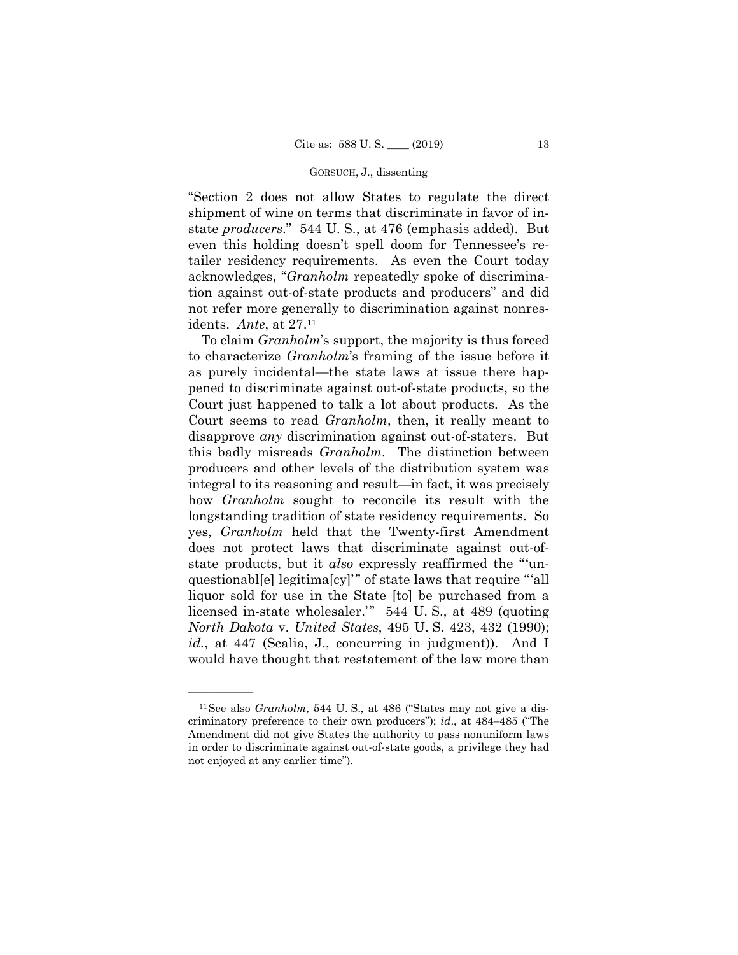### GORSUCH, J., dissenting

"Section 2 does not allow States to regulate the direct shipment of wine on terms that discriminate in favor of instate *producers*." 544 U. S., at 476 (emphasis added). But even this holding doesn't spell doom for Tennessee's retailer residency requirements. As even the Court today acknowledges, "*Granholm* repeatedly spoke of discrimination against out-of-state products and producers" and did not refer more generally to discrimination against nonresidents. *Ante*, at 27.11

To claim *Granholm*'s support, the majority is thus forced to characterize *Granholm*'s framing of the issue before it as purely incidental—the state laws at issue there happened to discriminate against out-of-state products, so the Court just happened to talk a lot about products. As the Court seems to read *Granholm*, then, it really meant to disapprove *any* discrimination against out-of-staters. But this badly misreads *Granholm*. The distinction between producers and other levels of the distribution system was integral to its reasoning and result—in fact, it was precisely how *Granholm* sought to reconcile its result with the longstanding tradition of state residency requirements. So yes, *Granholm* held that the Twenty-first Amendment does not protect laws that discriminate against out-ofstate products, but it *also* expressly reaffirmed the "'unquestionable legitima [cy]" of state laws that require "all liquor sold for use in the State [to] be purchased from a licensed in-state wholesaler.'" 544 U. S., at 489 (quoting *North Dakota* v. *United States*, 495 U. S. 423, 432 (1990); id., at 447 (Scalia, J., concurring in judgment)). And I would have thought that restatement of the law more than

<sup>&</sup>lt;sup>11</sup> See also *Granholm*, 544 U.S., at 486 ("States may not give a discriminatory preference to their own producers"); *id*., at 484–485 ("The Amendment did not give States the authority to pass nonuniform laws in order to discriminate against out-of-state goods, a privilege they had not enjoyed at any earlier time").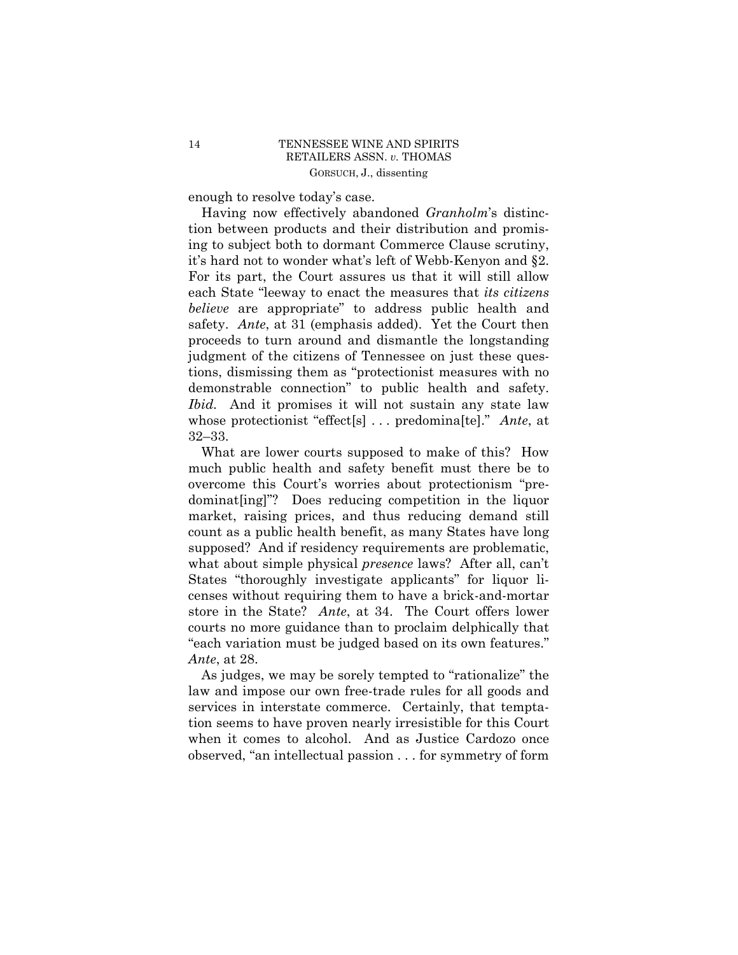enough to resolve today's case.

 demonstrable connection" to public health and safety. Having now effectively abandoned *Granholm*'s distinction between products and their distribution and promising to subject both to dormant Commerce Clause scrutiny, it's hard not to wonder what's left of Webb-Kenyon and §2. For its part, the Court assures us that it will still allow each State "leeway to enact the measures that *its citizens believe* are appropriate" to address public health and safety. *Ante*, at 31 (emphasis added). Yet the Court then proceeds to turn around and dismantle the longstanding judgment of the citizens of Tennessee on just these questions, dismissing them as "protectionist measures with no *Ibid.* And it promises it will not sustain any state law whose protectionist "effect[s] . . . predomina[te]." *Ante*, at 32–33.

What are lower courts supposed to make of this? How much public health and safety benefit must there be to overcome this Court's worries about protectionism "predominat[ing]"? Does reducing competition in the liquor market, raising prices, and thus reducing demand still count as a public health benefit, as many States have long supposed? And if residency requirements are problematic, what about simple physical *presence* laws? After all, can't States "thoroughly investigate applicants" for liquor licenses without requiring them to have a brick-and-mortar store in the State? *Ante*, at 34. The Court offers lower courts no more guidance than to proclaim delphically that "each variation must be judged based on its own features." *Ante*, at 28.

As judges, we may be sorely tempted to "rationalize" the law and impose our own free-trade rules for all goods and services in interstate commerce. Certainly, that temptation seems to have proven nearly irresistible for this Court when it comes to alcohol. And as Justice Cardozo once observed, "an intellectual passion . . . for symmetry of form